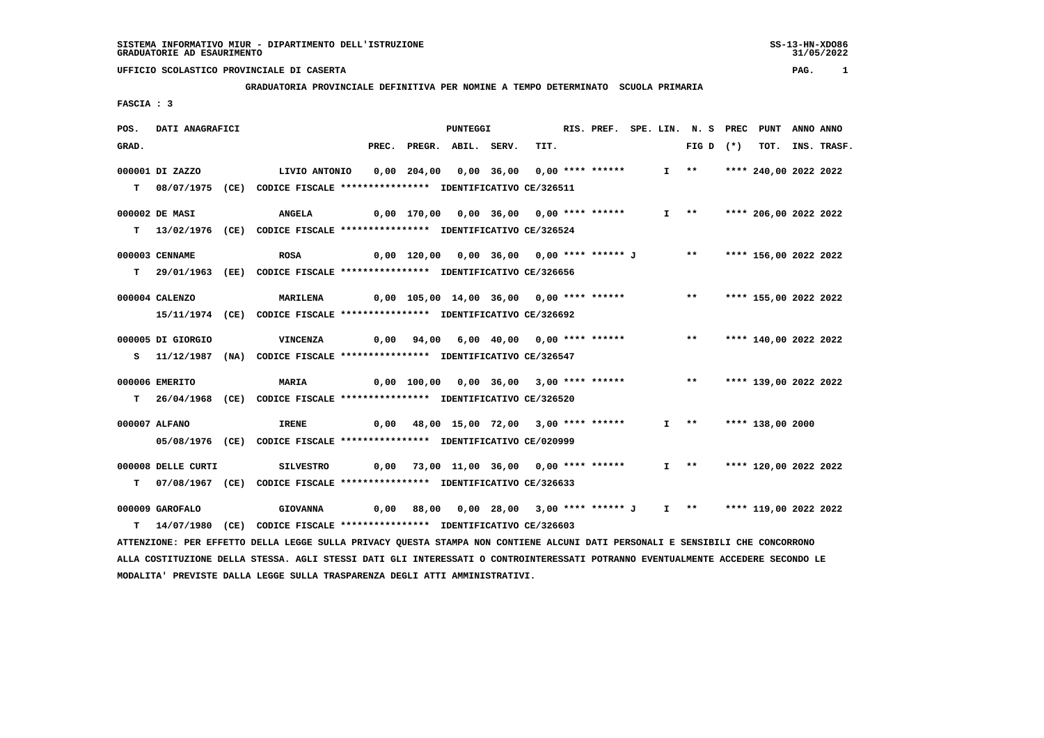#### **GRADUATORIA PROVINCIALE DEFINITIVA PER NOMINE A TEMPO DETERMINATO SCUOLA PRIMARIA**

 **FASCIA : 3**

| POS.  | DATI ANAGRAFICI    |                                                                                                                               |       | PUNTEGGI                                                       |      |  |  | RIS. PREF. SPE. LIN. N. S PREC PUNT |                       | ANNO ANNO |                  |
|-------|--------------------|-------------------------------------------------------------------------------------------------------------------------------|-------|----------------------------------------------------------------|------|--|--|-------------------------------------|-----------------------|-----------|------------------|
| GRAD. |                    |                                                                                                                               | PREC. | PREGR. ABIL. SERV.                                             | TIT. |  |  | FIG D $(*)$                         |                       |           | TOT. INS. TRASF. |
|       | 000001 DI ZAZZO    | LIVIO ANTONIO                                                                                                                 |       | 0,00 204,00 0,00 36,00 0,00 **** ******                        |      |  |  | $I \quad * \quad$                   | **** 240,00 2022 2022 |           |                  |
| T.    | 08/07/1975         | (CE) CODICE FISCALE *************** IDENTIFICATIVO CE/326511                                                                  |       |                                                                |      |  |  |                                     |                       |           |                  |
|       |                    |                                                                                                                               |       |                                                                |      |  |  |                                     |                       |           |                  |
|       | 000002 DE MASI     | <b>ANGELA</b>                                                                                                                 |       | 0,00 170,00 0,00 36,00 0,00 **** ******                        |      |  |  | I ** **** 206,00 2022 2022          |                       |           |                  |
|       | $T = 13/02/1976$   | (CE) CODICE FISCALE *************** IDENTIFICATIVO CE/326524                                                                  |       |                                                                |      |  |  |                                     |                       |           |                  |
|       | 000003 CENNAME     | <b>ROSA</b>                                                                                                                   |       | 0,00 120,00 0,00 36,00 0,00 **** ****** J ** **                |      |  |  |                                     | **** 156,00 2022 2022 |           |                  |
|       |                    | T 29/01/1963 (EE) CODICE FISCALE **************** IDENTIFICATIVO CE/326656                                                    |       |                                                                |      |  |  |                                     |                       |           |                  |
|       |                    |                                                                                                                               |       |                                                                |      |  |  |                                     |                       |           |                  |
|       | 000004 CALENZO     | <b>MARILENA</b>                                                                                                               |       | 0,00 105,00 14,00 36,00 0,00 **** ******                       |      |  |  | $***$                               | **** 155,00 2022 2022 |           |                  |
|       |                    | 15/11/1974 (CE) CODICE FISCALE *************** IDENTIFICATIVO CE/326692                                                       |       |                                                                |      |  |  |                                     |                       |           |                  |
|       | 000005 DI GIORGIO  | VINCENZA                                                                                                                      |       | $0,00$ $94,00$ $6,00$ $40,00$ $0,00$ $***$ **** *****          |      |  |  | $***$                               | **** 140,00 2022 2022 |           |                  |
|       |                    | S 11/12/1987 (NA) CODICE FISCALE *************** IDENTIFICATIVO CE/326547                                                     |       |                                                                |      |  |  |                                     |                       |           |                  |
|       |                    |                                                                                                                               |       |                                                                |      |  |  |                                     |                       |           |                  |
|       | 000006 EMERITO     | <b>MARIA</b>                                                                                                                  |       | 0,00 100,00 0,00 36,00 3,00 **** ****** *** **                 |      |  |  |                                     | **** 139,00 2022 2022 |           |                  |
|       |                    | T 26/04/1968 (CE) CODICE FISCALE *************** IDENTIFICATIVO CE/326520                                                     |       |                                                                |      |  |  |                                     |                       |           |                  |
|       | 000007 ALFANO      | <b>IRENE</b>                                                                                                                  |       | 0,00 48,00 15,00 72,00 3,00 **** ******                        |      |  |  | $I \quad * \quad$                   | **** 138,00 2000      |           |                  |
|       |                    | 05/08/1976 (CE) CODICE FISCALE *************** IDENTIFICATIVO CE/020999                                                       |       |                                                                |      |  |  |                                     |                       |           |                  |
|       |                    |                                                                                                                               |       |                                                                |      |  |  |                                     |                       |           |                  |
|       | 000008 DELLE CURTI | <b>SILVESTRO</b>                                                                                                              |       | $0,00$ 73,00 11,00 36,00 0,00 **** ******                      |      |  |  | $I \rightarrow \star$               | **** 120,00 2022 2022 |           |                  |
| T.    |                    | 07/08/1967 (CE) CODICE FISCALE *************** IDENTIFICATIVO CE/326633                                                       |       |                                                                |      |  |  |                                     |                       |           |                  |
|       | 000009 GAROFALO    | <b>GIOVANNA</b>                                                                                                               | 0,00  | 88,00 0,00 28,00 3,00 **** ****** J I ** **** 119,00 2022 2022 |      |  |  |                                     |                       |           |                  |
| т     |                    | 14/07/1980 (CE) CODICE FISCALE *************** IDENTIFICATIVO CE/326603                                                       |       |                                                                |      |  |  |                                     |                       |           |                  |
|       |                    | ATTENZIONE: PER EFFETTO DELLA LEGGE SULLA PRIVACY QUESTA STAMPA NON CONTIENE ALCUNI DATI PERSONALI E SENSIBILI CHE CONCORRONO |       |                                                                |      |  |  |                                     |                       |           |                  |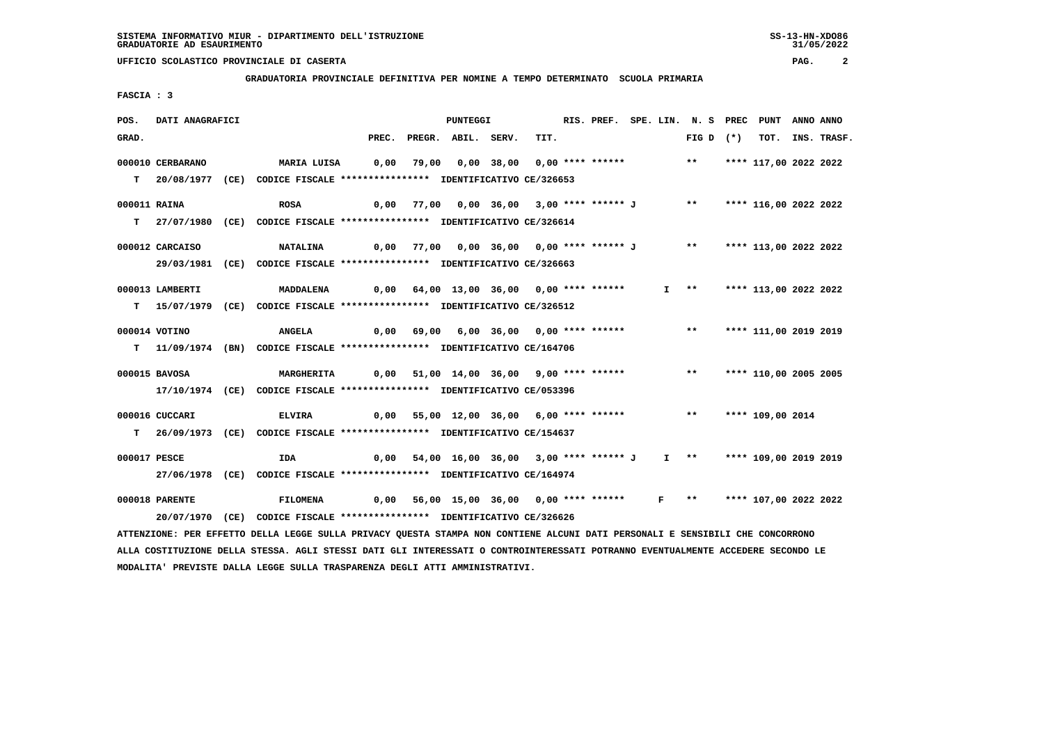**GRADUATORIA PROVINCIALE DEFINITIVA PER NOMINE A TEMPO DETERMINATO SCUOLA PRIMARIA**

 **FASCIA : 3**

| POS.  | DATI ANAGRAFICI  |                                                                                                                               |  | PUNTEGGI                                                                      |      | RIS. PREF. SPE. LIN. N. S PREC PUNT |  |                          |                       | ANNO ANNO        |
|-------|------------------|-------------------------------------------------------------------------------------------------------------------------------|--|-------------------------------------------------------------------------------|------|-------------------------------------|--|--------------------------|-----------------------|------------------|
| GRAD. |                  |                                                                                                                               |  | PREC. PREGR. ABIL. SERV.                                                      | TIT. |                                     |  | FIG D $(*)$              |                       | TOT. INS. TRASF. |
|       | 000010 CERBARANO | MARIA LUISA       0,00   79,00   0,00  38,00   0,00  ****  ******                                                             |  |                                                                               |      |                                     |  | ** **** 117,00 2022 2022 |                       |                  |
|       |                  |                                                                                                                               |  |                                                                               |      |                                     |  |                          |                       |                  |
|       |                  | T 20/08/1977 (CE) CODICE FISCALE **************** IDENTIFICATIVO CE/326653                                                    |  |                                                                               |      |                                     |  |                          |                       |                  |
|       | 000011 RAINA     | <b>ROSA</b>                                                                                                                   |  | 0,00 77,00 0,00 36,00 3,00 **** ****** J        **      **** 116,00 2022 2022 |      |                                     |  |                          |                       |                  |
|       |                  | T 27/07/1980 (CE) CODICE FISCALE *************** IDENTIFICATIVO CE/326614                                                     |  |                                                                               |      |                                     |  |                          |                       |                  |
|       |                  |                                                                                                                               |  |                                                                               |      |                                     |  |                          |                       |                  |
|       | 000012 CARCAISO  | <b>NATALINA</b>                                                                                                               |  | 0,00 77,00 0,00 36,00 0,00 **** ****** J ** **** 113,00 2022 2022             |      |                                     |  |                          |                       |                  |
|       |                  | 29/03/1981 (CE) CODICE FISCALE *************** IDENTIFICATIVO CE/326663                                                       |  |                                                                               |      |                                     |  |                          |                       |                  |
|       | 000013 LAMBERTI  | MADDALENA                                                                                                                     |  | 0,00 64,00 13,00 36,00 0,00 **** ******                                       |      |                                     |  | $I \longrightarrow$      | **** 113,00 2022 2022 |                  |
|       |                  | T 15/07/1979 (CE) CODICE FISCALE *************** IDENTIFICATIVO CE/326512                                                     |  |                                                                               |      |                                     |  |                          |                       |                  |
|       |                  |                                                                                                                               |  |                                                                               |      |                                     |  |                          |                       |                  |
|       | 000014 VOTINO    | <b>ANGELA</b>                                                                                                                 |  | 0,00 69,00 6,00 36,00 0,00 **** ****** **** *** **** 111,00 2019 2019         |      |                                     |  |                          |                       |                  |
|       |                  | T 11/09/1974 (BN) CODICE FISCALE *************** IDENTIFICATIVO CE/164706                                                     |  |                                                                               |      |                                     |  |                          |                       |                  |
|       | 000015 BAVOSA    |                                                                                                                               |  |                                                                               |      |                                     |  |                          | **** 110,00 2005 2005 |                  |
|       |                  | <b>MARGHERITA</b>                                                                                                             |  | 0,00 51,00 14,00 36,00 9,00 **** ******           **                          |      |                                     |  |                          |                       |                  |
|       |                  | 17/10/1974 (CE) CODICE FISCALE *************** IDENTIFICATIVO CE/053396                                                       |  |                                                                               |      |                                     |  |                          |                       |                  |
|       | 000016 CUCCARI   | <b>ELVIRA</b>                                                                                                                 |  | 0,00 55,00 12,00 36,00 6,00 **** ****** *** *** **** 109,00 2014              |      |                                     |  |                          |                       |                  |
|       |                  | T 26/09/1973 (CE) CODICE FISCALE *************** IDENTIFICATIVO CE/154637                                                     |  |                                                                               |      |                                     |  |                          |                       |                  |
|       |                  |                                                                                                                               |  |                                                                               |      |                                     |  |                          |                       |                  |
|       | 000017 PESCE     | IDA                                                                                                                           |  | 0,00 54,00 16,00 36,00 3,00 **** ****** J I ** **** 109,00 2019 2019          |      |                                     |  |                          |                       |                  |
|       |                  | 27/06/1978 (CE) CODICE FISCALE *************** IDENTIFICATIVO CE/164974                                                       |  |                                                                               |      |                                     |  |                          |                       |                  |
|       | 000018 PARENTE   | <b>FILOMENA</b>                                                                                                               |  | 0,00 56,00 15,00 36,00 0,00 **** ******   F  **   **** 107,00 2022 2022       |      |                                     |  |                          |                       |                  |
|       |                  | 20/07/1970 (CE) CODICE FISCALE *************** IDENTIFICATIVO CE/326626                                                       |  |                                                                               |      |                                     |  |                          |                       |                  |
|       |                  | ATTENZIONE: PER EFFETTO DELLA LEGGE SULLA PRIVACY QUESTA STAMPA NON CONTIENE ALCUNI DATI PERSONALI E SENSIBILI CHE CONCORRONO |  |                                                                               |      |                                     |  |                          |                       |                  |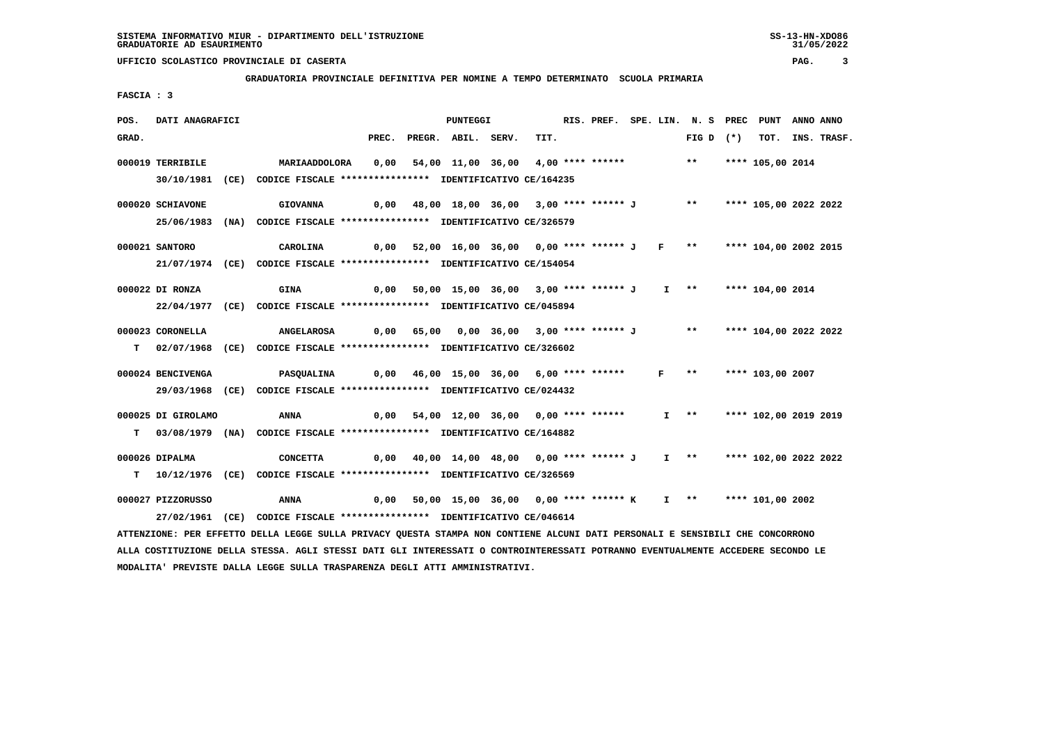**GRADUATORIA PROVINCIALE DEFINITIVA PER NOMINE A TEMPO DETERMINATO SCUOLA PRIMARIA**

 **FASCIA : 3**

| POS.  | DATI ANAGRAFICI    |                                                                                                                                 |       | PUNTEGGI                                                             |      | RIS. PREF. SPE. LIN. N. S PREC PUNT ANNO ANNO |  |                     |             |                       |                  |
|-------|--------------------|---------------------------------------------------------------------------------------------------------------------------------|-------|----------------------------------------------------------------------|------|-----------------------------------------------|--|---------------------|-------------|-----------------------|------------------|
| GRAD. |                    |                                                                                                                                 | PREC. | PREGR. ABIL. SERV.                                                   | TIT. |                                               |  |                     | $FIG D (*)$ |                       | TOT. INS. TRASF. |
|       | 000019 TERRIBILE   | MARIAADDOLORA                                                                                                                   | 0,00  | 54,00 11,00 36,00 4,00 **** ****** *** *** **** 105,00 2014          |      |                                               |  |                     |             |                       |                  |
|       |                    | 30/10/1981 (CE) CODICE FISCALE *************** IDENTIFICATIVO CE/164235                                                         |       |                                                                      |      |                                               |  |                     |             |                       |                  |
|       |                    |                                                                                                                                 |       |                                                                      |      |                                               |  |                     |             |                       |                  |
|       | 000020 SCHIAVONE   | <b>GIOVANNA</b>                                                                                                                 |       | 0,00 48,00 18,00 36,00 3,00 **** ****** J ** **** 105,00 2022 2022   |      |                                               |  |                     |             |                       |                  |
|       |                    | 25/06/1983 (NA) CODICE FISCALE *************** IDENTIFICATIVO CE/326579                                                         |       |                                                                      |      |                                               |  |                     |             |                       |                  |
|       |                    |                                                                                                                                 |       |                                                                      |      |                                               |  |                     |             |                       |                  |
|       | 000021 SANTORO     | CAROLINA                                                                                                                        |       | 0,00 52,00 16,00 36,00 0,00 **** ****** J F ** **** 104,00 2002 2015 |      |                                               |  |                     |             |                       |                  |
|       |                    | 21/07/1974 (CE) CODICE FISCALE *************** IDENTIFICATIVO CE/154054                                                         |       |                                                                      |      |                                               |  |                     |             |                       |                  |
|       | 000022 DI RONZA    |                                                                                                                                 |       | 50,00 15,00 36,00 3,00 **** ****** J I **     **** 104,00 2014       |      |                                               |  |                     |             |                       |                  |
|       |                    | <b>GINA</b>                                                                                                                     | 0,00  |                                                                      |      |                                               |  |                     |             |                       |                  |
|       |                    | 22/04/1977 (CE) CODICE FISCALE *************** IDENTIFICATIVO CE/045894                                                         |       |                                                                      |      |                                               |  |                     |             |                       |                  |
|       | 000023 CORONELLA   | ANGELAROSA                                                                                                                      |       | 0,00 65,00 0,00 36,00 3,00 **** ****** J ** **** 104,00 2022 2022    |      |                                               |  |                     |             |                       |                  |
|       |                    | T 02/07/1968 (CE) CODICE FISCALE *************** IDENTIFICATIVO CE/326602                                                       |       |                                                                      |      |                                               |  |                     |             |                       |                  |
|       |                    |                                                                                                                                 |       |                                                                      |      |                                               |  |                     |             |                       |                  |
|       | 000024 BENCIVENGA  | <b>PASQUALINA</b>                                                                                                               |       | 0,00 46,00 15,00 36,00 6,00 **** ****** F **                         |      |                                               |  |                     |             | **** 103,00 2007      |                  |
|       |                    | 29/03/1968 (CE) CODICE FISCALE *************** IDENTIFICATIVO CE/024432                                                         |       |                                                                      |      |                                               |  |                     |             |                       |                  |
|       |                    |                                                                                                                                 |       |                                                                      |      |                                               |  |                     |             |                       |                  |
|       | 000025 DI GIROLAMO | <b>ANNA</b>                                                                                                                     | 0,00  | 54,00 12,00 36,00 0,00 **** ******                                   |      |                                               |  | $I \longrightarrow$ |             | **** 102,00 2019 2019 |                  |
|       |                    | T 03/08/1979 (NA) CODICE FISCALE *************** IDENTIFICATIVO CE/164882                                                       |       |                                                                      |      |                                               |  |                     |             |                       |                  |
|       | 000026 DIPALMA     | <b>CONCETTA</b>                                                                                                                 |       | 0,00 40,00 14,00 48,00 0,00 **** ****** J 1 ** **** 102,00 2022 2022 |      |                                               |  |                     |             |                       |                  |
|       |                    |                                                                                                                                 |       |                                                                      |      |                                               |  |                     |             |                       |                  |
|       |                    | T  10/12/1976 (CE) CODICE FISCALE **************** IDENTIFICATIVO CE/326569                                                     |       |                                                                      |      |                                               |  |                     |             |                       |                  |
|       | 000027 PIZZORUSSO  | ANNA                                                                                                                            | 0,00  | 50,00 15,00 36,00 0,00 **** ****** K I ** **** 101,00 2002           |      |                                               |  |                     |             |                       |                  |
|       |                    | 27/02/1961 (CE) CODICE FISCALE *************** IDENTIFICATIVO CE/046614                                                         |       |                                                                      |      |                                               |  |                     |             |                       |                  |
|       |                    | ATTENZIONE: PER EFFETTO DELLA LEGGE SULLA PRIVACY QUESTA STAMPA NON CONTIENE ALCUNI DATI PERSONALI E SENSIBILI CHE CONCORRONO   |       |                                                                      |      |                                               |  |                     |             |                       |                  |
|       |                    | ALLA COSTITUZIONE DELLA STESSA. AGLI STESSI DATI GLI INTERESSATI O CONTROINTERESSATI POTRANNO EVENTUALMENTE ACCEDERE SECONDO LE |       |                                                                      |      |                                               |  |                     |             |                       |                  |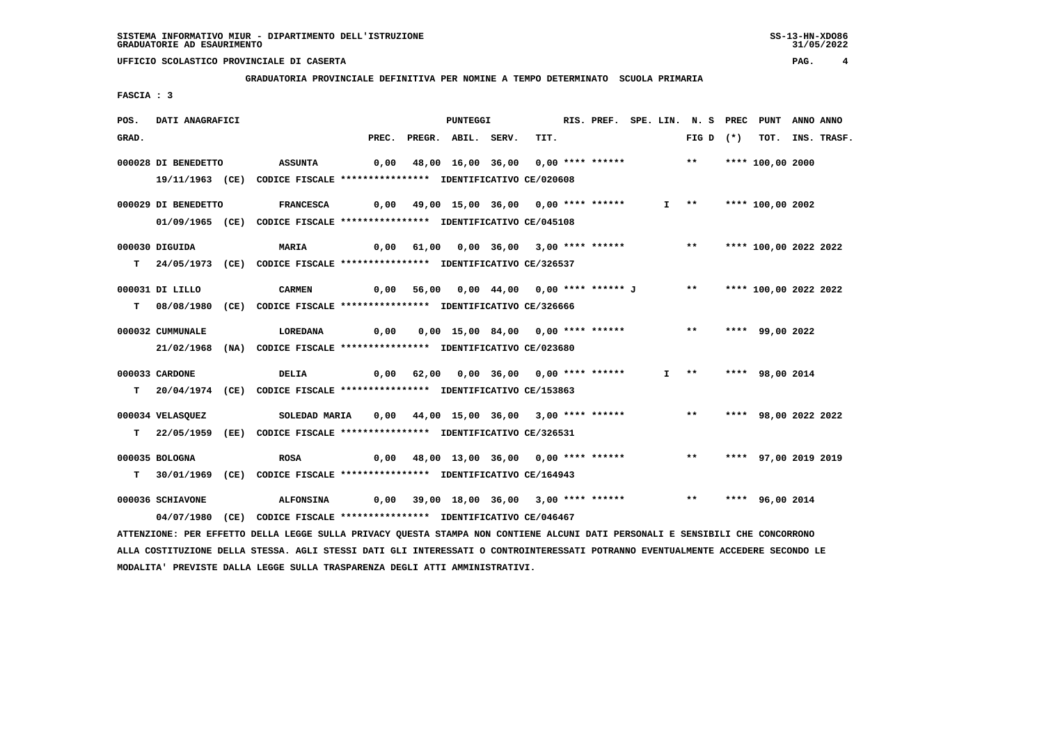**GRADUATORIA PROVINCIALE DEFINITIVA PER NOMINE A TEMPO DETERMINATO SCUOLA PRIMARIA**

 **FASCIA : 3**

| POS.  | DATI ANAGRAFICI     |      |                                                                                                                               |       | PUNTEGGI                                                          |      |  |  | RIS. PREF. SPE. LIN. N. S PREC PUNT |                      | ANNO ANNO |                  |
|-------|---------------------|------|-------------------------------------------------------------------------------------------------------------------------------|-------|-------------------------------------------------------------------|------|--|--|-------------------------------------|----------------------|-----------|------------------|
| GRAD. |                     |      |                                                                                                                               | PREC. | PREGR. ABIL. SERV.                                                | TIT. |  |  | FIG D $(*)$                         |                      |           | TOT. INS. TRASF. |
|       | 000028 DI BENEDETTO |      | <b>ASSUNTA</b>                                                                                                                | 0,00  | 48,00 16,00 36,00 0,00 **** ******                                |      |  |  | $***$                               | **** 100,00 2000     |           |                  |
|       |                     |      |                                                                                                                               |       |                                                                   |      |  |  |                                     |                      |           |                  |
|       |                     |      | 19/11/1963 (CE) CODICE FISCALE *************** IDENTIFICATIVO CE/020608                                                       |       |                                                                   |      |  |  |                                     |                      |           |                  |
|       | 000029 DI BENEDETTO |      | <b>FRANCESCA</b>                                                                                                              | 0,00  | 49,00 15,00 36,00 0,00 **** ******                                |      |  |  | $I \longrightarrow$                 | **** 100,00 2002     |           |                  |
|       |                     |      | 01/09/1965 (CE) CODICE FISCALE *************** IDENTIFICATIVO CE/045108                                                       |       |                                                                   |      |  |  |                                     |                      |           |                  |
|       | 000030 DIGUIDA      |      | <b>MARIA</b>                                                                                                                  | 0,00  |                                                                   |      |  |  |                                     |                      |           |                  |
|       |                     |      | T 24/05/1973 (CE) CODICE FISCALE *************** IDENTIFICATIVO CE/326537                                                     |       |                                                                   |      |  |  |                                     |                      |           |                  |
|       |                     |      |                                                                                                                               |       |                                                                   |      |  |  |                                     |                      |           |                  |
|       | 000031 DI LILLO     |      | <b>CARMEN</b>                                                                                                                 |       | 0,00 56,00 0,00 44,00 0,00 **** ****** J ** **** 100,00 2022 2022 |      |  |  |                                     |                      |           |                  |
|       |                     |      | T 08/08/1980 (CE) CODICE FISCALE *************** IDENTIFICATIVO CE/326666                                                     |       |                                                                   |      |  |  |                                     |                      |           |                  |
|       |                     |      |                                                                                                                               |       |                                                                   |      |  |  |                                     |                      |           |                  |
|       | 000032 CUMMUNALE    |      | <b>LOREDANA</b>                                                                                                               | 0,00  | 0,00 15,00 84,00 0,00 **** ******                                 |      |  |  | $***$                               | **** 99,00 2022      |           |                  |
|       |                     |      | 21/02/1968 (NA) CODICE FISCALE *************** IDENTIFICATIVO CE/023680                                                       |       |                                                                   |      |  |  |                                     |                      |           |                  |
|       | 000033 CARDONE      |      | <b>DELIA</b>                                                                                                                  |       | 0,00 62,00 0,00 36,00 0,00 **** ******                            |      |  |  | $I \rightarrow \star$               | **** 98,00 2014      |           |                  |
|       |                     |      | T 20/04/1974 (CE) CODICE FISCALE *************** IDENTIFICATIVO CE/153863                                                     |       |                                                                   |      |  |  |                                     |                      |           |                  |
|       |                     |      |                                                                                                                               |       |                                                                   |      |  |  |                                     |                      |           |                  |
|       | 000034 VELASQUEZ    |      | SOLEDAD MARIA                                                                                                                 | 0,00  | 44,00 15,00 36,00 3,00 **** ******                                |      |  |  | $\star \star$                       | **** 98,00 2022 2022 |           |                  |
|       |                     |      | T 22/05/1959 (EE) CODICE FISCALE *************** IDENTIFICATIVO CE/326531                                                     |       |                                                                   |      |  |  |                                     |                      |           |                  |
|       | 000035 BOLOGNA      |      | ROSA                                                                                                                          |       | $0,00$ 48,00 13,00 36,00 0,00 **** ******                         |      |  |  | $***$                               | **** 97,00 2019 2019 |           |                  |
|       |                     |      | T 30/01/1969 (CE) CODICE FISCALE **************** IDENTIFICATIVO CE/164943                                                    |       |                                                                   |      |  |  |                                     |                      |           |                  |
|       |                     |      |                                                                                                                               |       |                                                                   |      |  |  |                                     |                      |           |                  |
|       | 000036 SCHIAVONE    |      | <b>ALFONSINA</b>                                                                                                              |       | $0,00$ 39,00 18,00 36,00 3,00 **** ******                         |      |  |  | $***$                               | **** 96,00 2014      |           |                  |
|       | 04/07/1980          | (CE) | CODICE FISCALE **************** IDENTIFICATIVO CE/046467                                                                      |       |                                                                   |      |  |  |                                     |                      |           |                  |
|       |                     |      | ATTENZIONE: PER EFFETTO DELLA LEGGE SULLA PRIVACY QUESTA STAMPA NON CONTIENE ALCUNI DATI PERSONALI E SENSIBILI CHE CONCORRONO |       |                                                                   |      |  |  |                                     |                      |           |                  |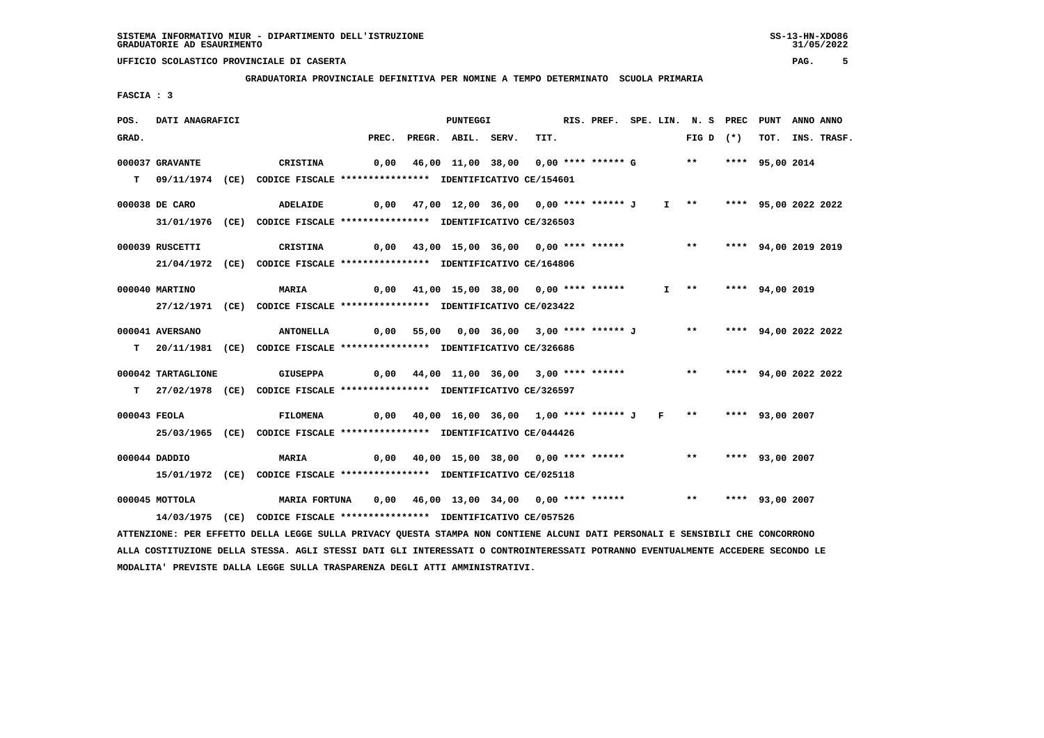#### **GRADUATORIA PROVINCIALE DEFINITIVA PER NOMINE A TEMPO DETERMINATO SCUOLA PRIMARIA**

 **FASCIA : 3**

| POS.  | DATI ANAGRAFICI    |                                                                                                                               |       | PUNTEGGI                                                                  |      | RIS. PREF. SPE. LIN. N. S PREC PUNT ANNO ANNO |  |                      |  |                  |
|-------|--------------------|-------------------------------------------------------------------------------------------------------------------------------|-------|---------------------------------------------------------------------------|------|-----------------------------------------------|--|----------------------|--|------------------|
| GRAD. |                    |                                                                                                                               | PREC. | PREGR. ABIL. SERV.                                                        | TIT. |                                               |  | FIG D $(*)$          |  | TOT. INS. TRASF. |
|       | 000037 GRAVANTE    | CRISTINA                                                                                                                      |       | 0,00 46,00 11,00 38,00 0,00 **** ****** G ** **** 95,00 2014              |      |                                               |  |                      |  |                  |
|       |                    |                                                                                                                               |       |                                                                           |      |                                               |  |                      |  |                  |
|       |                    | T 09/11/1974 (CE) CODICE FISCALE **************** IDENTIFICATIVO CE/154601                                                    |       |                                                                           |      |                                               |  |                      |  |                  |
|       | 000038 DE CARO     | ADELAIDE                                                                                                                      |       | 0,00 47,00 12,00 36,00  0,00 **** ****** J   I  **   **** 95,00 2022 2022 |      |                                               |  |                      |  |                  |
|       |                    | 31/01/1976 (CE) CODICE FISCALE *************** IDENTIFICATIVO CE/326503                                                       |       |                                                                           |      |                                               |  |                      |  |                  |
|       |                    |                                                                                                                               |       |                                                                           |      |                                               |  |                      |  |                  |
|       | 000039 RUSCETTI    | CRISTINA                                                                                                                      |       | 0,00 43,00 15,00 36,00 0,00 **** ****** *** *** **** 94,00 2019 2019      |      |                                               |  |                      |  |                  |
|       |                    | 21/04/1972 (CE) CODICE FISCALE *************** IDENTIFICATIVO CE/164806                                                       |       |                                                                           |      |                                               |  |                      |  |                  |
|       | 000040 MARTINO     | <b>MARIA</b>                                                                                                                  |       | 0,00 41,00 15,00 38,00 0,00 **** ******                                   |      |                                               |  | I ** **** 94,00 2019 |  |                  |
|       |                    | 27/12/1971 (CE) CODICE FISCALE *************** IDENTIFICATIVO CE/023422                                                       |       |                                                                           |      |                                               |  |                      |  |                  |
|       |                    |                                                                                                                               |       |                                                                           |      |                                               |  |                      |  |                  |
|       | 000041 AVERSANO    | <b>ANTONELLA</b>                                                                                                              |       | 0,00 55,00 0,00 36,00 3,00 **** ****** J ** **** 94,00 2022 2022          |      |                                               |  |                      |  |                  |
|       |                    | T 20/11/1981 (CE) CODICE FISCALE **************** IDENTIFICATIVO CE/326686                                                    |       |                                                                           |      |                                               |  |                      |  |                  |
|       |                    |                                                                                                                               |       |                                                                           |      |                                               |  |                      |  |                  |
|       | 000042 TARTAGLIONE | <b>GIUSEPPA</b>                                                                                                               |       | 0,00  44,00 11,00 36,00  3,00 **** ******     **   **** 94,00 2022 2022   |      |                                               |  |                      |  |                  |
|       |                    | T 27/02/1978 (CE) CODICE FISCALE *************** IDENTIFICATIVO CE/326597                                                     |       |                                                                           |      |                                               |  |                      |  |                  |
|       | 000043 FEOLA       | <b>FILOMENA</b>                                                                                                               |       | 0,00 40,00 16,00 36,00 1,00 **** ****** J F ** **** 93,00 2007            |      |                                               |  |                      |  |                  |
|       |                    | 25/03/1965 (CE) CODICE FISCALE *************** IDENTIFICATIVO CE/044426                                                       |       |                                                                           |      |                                               |  |                      |  |                  |
|       |                    |                                                                                                                               |       |                                                                           |      |                                               |  |                      |  |                  |
|       | 000044 DADDIO      | <b>MARIA</b>                                                                                                                  |       | 0,00 40,00 15,00 38,00 0,00 **** ****** *** *** **** 93,00 2007           |      |                                               |  |                      |  |                  |
|       |                    | 15/01/1972 (CE) CODICE FISCALE *************** IDENTIFICATIVO CE/025118                                                       |       |                                                                           |      |                                               |  |                      |  |                  |
|       |                    |                                                                                                                               |       |                                                                           |      |                                               |  |                      |  |                  |
|       | 000045 MOTTOLA     | <b>MARIA FORTUNA</b>                                                                                                          |       | 0,00 46,00 13,00 34,00 0,00 **** ****** *** *** **** 93,00 2007           |      |                                               |  |                      |  |                  |
|       |                    | 14/03/1975 (CE) CODICE FISCALE **************** IDENTIFICATIVO CE/057526                                                      |       |                                                                           |      |                                               |  |                      |  |                  |
|       |                    | ATTENZIONE: PER EFFETTO DELLA LEGGE SULLA PRIVACY QUESTA STAMPA NON CONTIENE ALCUNI DATI PERSONALI E SENSIBILI CHE CONCORRONO |       |                                                                           |      |                                               |  |                      |  |                  |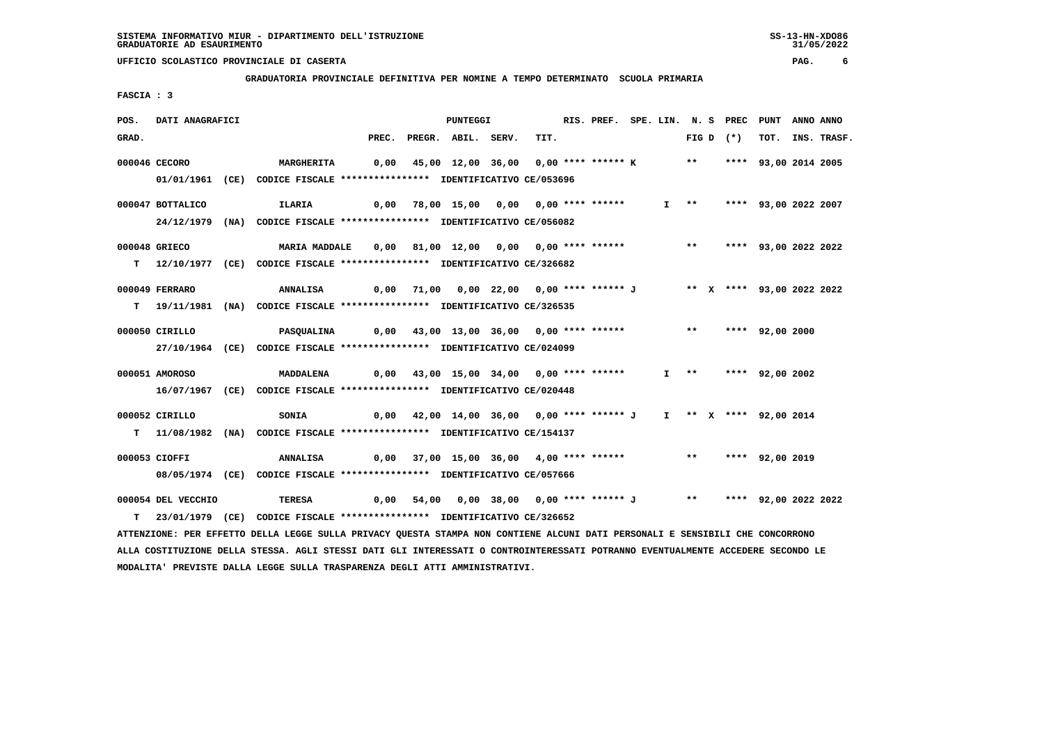**GRADUATORIA PROVINCIALE DEFINITIVA PER NOMINE A TEMPO DETERMINATO SCUOLA PRIMARIA**

 **FASCIA : 3**

| POS.  | DATI ANAGRAFICI    |                                                                            |       | PUNTEGGI                                                            |      | RIS. PREF. SPE. LIN. N. S PREC PUNT |  |  |             |                           | ANNO ANNO |                  |
|-------|--------------------|----------------------------------------------------------------------------|-------|---------------------------------------------------------------------|------|-------------------------------------|--|--|-------------|---------------------------|-----------|------------------|
| GRAD. |                    |                                                                            | PREC. | PREGR. ABIL. SERV.                                                  | TIT. |                                     |  |  | FIG D $(*)$ |                           |           | TOT. INS. TRASF. |
|       | 000046 CECORO      | <b>MARGHERITA</b>                                                          |       | 0,00 45,00 12,00 36,00 0,00 **** ****** K ** **** 93,00 2014 2005   |      |                                     |  |  |             |                           |           |                  |
|       |                    | 01/01/1961 (CE) CODICE FISCALE *************** IDENTIFICATIVO CE/053696    |       |                                                                     |      |                                     |  |  |             |                           |           |                  |
|       |                    |                                                                            |       |                                                                     |      |                                     |  |  |             |                           |           |                  |
|       | 000047 BOTTALICO   | ILARIA                                                                     | 0,00  | 78,00 15,00 0,00 0,00 **** ******                                   |      |                                     |  |  |             | I ** **** 93,00 2022 2007 |           |                  |
|       |                    | 24/12/1979 (NA) CODICE FISCALE *************** IDENTIFICATIVO CE/056082    |       |                                                                     |      |                                     |  |  |             |                           |           |                  |
|       | 000048 GRIECO      | MARIA MADDALE                                                              |       | 0,00 81,00 12,00 0,00 0,00 **** ****** *** *** **** 93,00 2022 2022 |      |                                     |  |  |             |                           |           |                  |
|       |                    | T 12/10/1977 (CE) CODICE FISCALE *************** IDENTIFICATIVO CE/326682  |       |                                                                     |      |                                     |  |  |             |                           |           |                  |
|       |                    |                                                                            |       |                                                                     |      |                                     |  |  |             |                           |           |                  |
|       | 000049 FERRARO     | ANNALISA                                                                   |       | 0,00 71,00 0,00 22,00 0,00 **** ****** J ** X **** 93,00 2022 2022  |      |                                     |  |  |             |                           |           |                  |
|       |                    | T 19/11/1981 (NA) CODICE FISCALE *************** IDENTIFICATIVO CE/326535  |       |                                                                     |      |                                     |  |  |             |                           |           |                  |
|       | 000050 CIRILLO     | <b>PASQUALINA</b>                                                          |       | 0,00 43,00 13,00 36,00 0,00 **** ****** *** **** **** 92,00 2000    |      |                                     |  |  |             |                           |           |                  |
|       |                    | 27/10/1964 (CE) CODICE FISCALE *************** IDENTIFICATIVO CE/024099    |       |                                                                     |      |                                     |  |  |             |                           |           |                  |
|       |                    |                                                                            |       |                                                                     |      |                                     |  |  |             |                           |           |                  |
|       | 000051 AMOROSO     | <b>MADDALENA</b>                                                           |       | 0,00 43,00 15,00 34,00 0,00 **** ******                             |      |                                     |  |  |             | I ** **** 92,00 2002      |           |                  |
|       |                    | 16/07/1967 (CE) CODICE FISCALE *************** IDENTIFICATIVO CE/020448    |       |                                                                     |      |                                     |  |  |             |                           |           |                  |
|       | 000052 CIRILLO     | SONIA                                                                      |       | 0,00 42,00 14,00 36,00 0,00 **** ****** J                           |      |                                     |  |  |             | I ** X **** 92,00 2014    |           |                  |
|       |                    | T 11/08/1982 (NA) CODICE FISCALE **************** IDENTIFICATIVO CE/154137 |       |                                                                     |      |                                     |  |  |             |                           |           |                  |
|       |                    |                                                                            |       |                                                                     |      |                                     |  |  |             |                           |           |                  |
|       | 000053 CIOFFI      | ANNALISA                                                                   |       | 0,00 37,00 15,00 36,00 4,00 **** ****** *** *** **** 92,00 2019     |      |                                     |  |  |             |                           |           |                  |
|       |                    | 08/05/1974 (CE) CODICE FISCALE *************** IDENTIFICATIVO CE/057666    |       |                                                                     |      |                                     |  |  |             |                           |           |                  |
|       | 000054 DEL VECCHIO | TERESA                                                                     |       | 0,00 54,00 0,00 38,00 0,00 **** ****** J ** **** 92,00 2022 2022    |      |                                     |  |  |             |                           |           |                  |
| т     |                    |                                                                            |       |                                                                     |      |                                     |  |  |             |                           |           |                  |
|       |                    | 23/01/1979 (CE) CODICE FISCALE *************** IDENTIFICATIVO CE/326652    |       |                                                                     |      |                                     |  |  |             |                           |           |                  |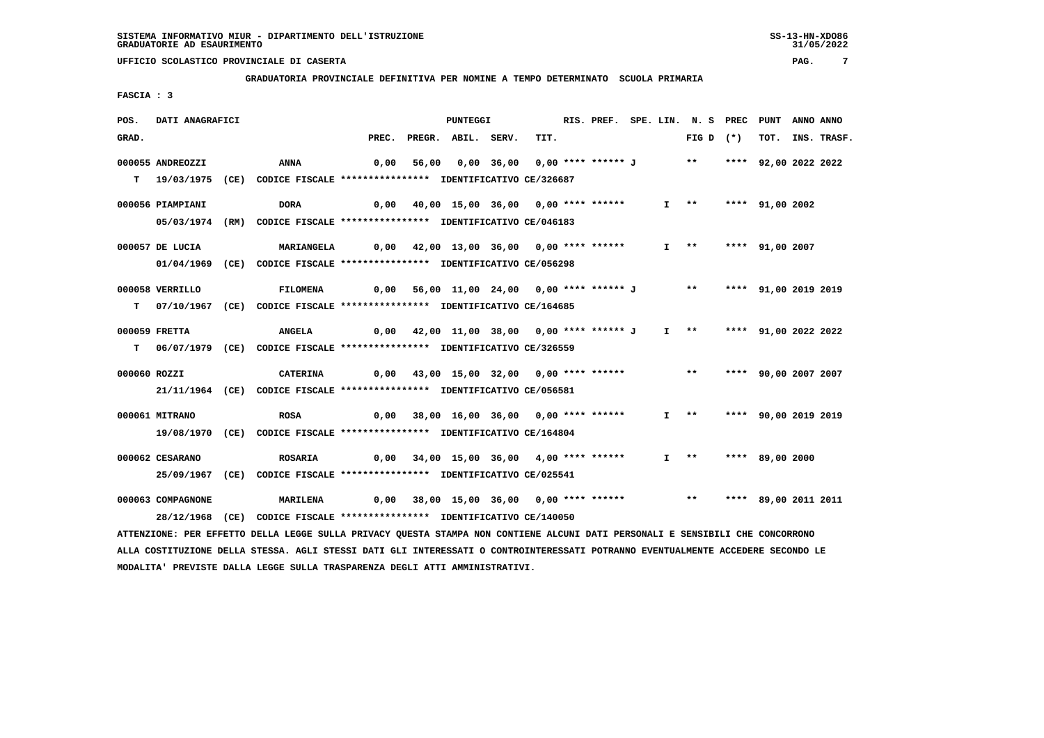**GRADUATORIA PROVINCIALE DEFINITIVA PER NOMINE A TEMPO DETERMINATO SCUOLA PRIMARIA**

 **FASCIA : 3**

| POS.         | DATI ANAGRAFICI   |                                                                                                                                 |       |       | <b>PUNTEGGI</b>                                                      |                                                       | RIS. PREF. SPE. LIN. N. S PREC PUNT |  |                   |             |                      | ANNO ANNO |                  |
|--------------|-------------------|---------------------------------------------------------------------------------------------------------------------------------|-------|-------|----------------------------------------------------------------------|-------------------------------------------------------|-------------------------------------|--|-------------------|-------------|----------------------|-----------|------------------|
| GRAD.        |                   |                                                                                                                                 | PREC. |       | PREGR. ABIL. SERV.                                                   | TIT.                                                  |                                     |  |                   | FIG D $(*)$ |                      |           | TOT. INS. TRASF. |
|              | 000055 ANDREOZZI  | ANNA                                                                                                                            | 0,00  | 56,00 |                                                                      | 0,00 36,00 0,00 **** ****** J ** **** 92,00 2022 2022 |                                     |  |                   |             |                      |           |                  |
|              |                   |                                                                                                                                 |       |       |                                                                      |                                                       |                                     |  |                   |             |                      |           |                  |
|              |                   | T 19/03/1975 (CE) CODICE FISCALE *************** IDENTIFICATIVO CE/326687                                                       |       |       |                                                                      |                                                       |                                     |  |                   |             |                      |           |                  |
|              | 000056 PIAMPIANI  | <b>DORA</b>                                                                                                                     | 0,00  |       | 40,00 15,00 36,00 0,00 **** ******                                   |                                                       |                                     |  | $I \quad * \quad$ |             | **** 91,00 2002      |           |                  |
|              |                   | 05/03/1974 (RM) CODICE FISCALE *************** IDENTIFICATIVO CE/046183                                                         |       |       |                                                                      |                                                       |                                     |  |                   |             |                      |           |                  |
|              |                   |                                                                                                                                 |       |       |                                                                      |                                                       |                                     |  |                   |             |                      |           |                  |
|              | 000057 DE LUCIA   | <b>MARIANGELA</b>                                                                                                               |       |       | $0,00$ $42,00$ $13,00$ $36,00$ $0,00$ **** ******                    |                                                       |                                     |  |                   |             | I ** **** 91,00 2007 |           |                  |
|              |                   | 01/04/1969 (CE) CODICE FISCALE *************** IDENTIFICATIVO CE/056298                                                         |       |       |                                                                      |                                                       |                                     |  |                   |             |                      |           |                  |
|              |                   |                                                                                                                                 |       |       |                                                                      |                                                       |                                     |  |                   |             |                      |           |                  |
|              | 000058 VERRILLO   | <b>FILOMENA</b>                                                                                                                 | 0,00  |       | 56,00 11,00 24,00 0,00 **** ****** J ** **                           |                                                       |                                     |  |                   |             | **** 91,00 2019 2019 |           |                  |
|              |                   | T 07/10/1967 (CE) CODICE FISCALE *************** IDENTIFICATIVO CE/164685                                                       |       |       |                                                                      |                                                       |                                     |  |                   |             |                      |           |                  |
|              | 000059 FRETTA     | <b>ANGELA</b>                                                                                                                   |       |       | 0,00 42,00 11,00 38,00 0,00 **** ****** J I ** **** 91,00 2022 2022  |                                                       |                                     |  |                   |             |                      |           |                  |
|              |                   | T 06/07/1979 (CE) CODICE FISCALE *************** IDENTIFICATIVO CE/326559                                                       |       |       |                                                                      |                                                       |                                     |  |                   |             |                      |           |                  |
|              |                   |                                                                                                                                 |       |       |                                                                      |                                                       |                                     |  |                   |             |                      |           |                  |
| 000060 ROZZI |                   | CATERINA                                                                                                                        |       |       | $0,00$ 43,00 15,00 32,00 0,00 **** ****** *** **                     |                                                       |                                     |  |                   |             | **** 90,00 2007 2007 |           |                  |
|              |                   | 21/11/1964 (CE) CODICE FISCALE *************** IDENTIFICATIVO CE/056581                                                         |       |       |                                                                      |                                                       |                                     |  |                   |             |                      |           |                  |
|              |                   |                                                                                                                                 |       |       |                                                                      |                                                       |                                     |  |                   |             |                      |           |                  |
|              | 000061 MITRANO    | <b>ROSA</b>                                                                                                                     | 0,00  |       | 38,00 16,00 36,00 0,00 **** ******                                   |                                                       |                                     |  | $I \quad * \quad$ |             | **** 90,00 2019 2019 |           |                  |
|              |                   | 19/08/1970 (CE) CODICE FISCALE *************** IDENTIFICATIVO CE/164804                                                         |       |       |                                                                      |                                                       |                                     |  |                   |             |                      |           |                  |
|              | 000062 CESARANO   | <b>ROSARIA</b>                                                                                                                  |       |       | $0,00$ $34,00$ $15,00$ $36,00$ $4,00$ $***$ **** ******              |                                                       |                                     |  |                   |             | I ** **** 89,00 2000 |           |                  |
|              |                   |                                                                                                                                 |       |       |                                                                      |                                                       |                                     |  |                   |             |                      |           |                  |
|              |                   | 25/09/1967 (CE) CODICE FISCALE *************** IDENTIFICATIVO CE/025541                                                         |       |       |                                                                      |                                                       |                                     |  |                   |             |                      |           |                  |
|              | 000063 COMPAGNONE | <b>MARILENA</b>                                                                                                                 |       |       | 0,00 38,00 15,00 36,00 0,00 **** ****** *** *** **** 89,00 2011 2011 |                                                       |                                     |  |                   |             |                      |           |                  |
|              |                   | 28/12/1968 (CE) CODICE FISCALE *************** IDENTIFICATIVO CE/140050                                                         |       |       |                                                                      |                                                       |                                     |  |                   |             |                      |           |                  |
|              |                   | ATTENZIONE: PER EFFETTO DELLA LEGGE SULLA PRIVACY QUESTA STAMPA NON CONTIENE ALCUNI DATI PERSONALI E SENSIBILI CHE CONCORRONO   |       |       |                                                                      |                                                       |                                     |  |                   |             |                      |           |                  |
|              |                   | ALLA COSTITUZIONE DELLA STESSA. AGLI STESSI DATI GLI INTERESSATI O CONTROINTERESSATI POTRANNO EVENTUALMENTE ACCEDERE SECONDO LE |       |       |                                                                      |                                                       |                                     |  |                   |             |                      |           |                  |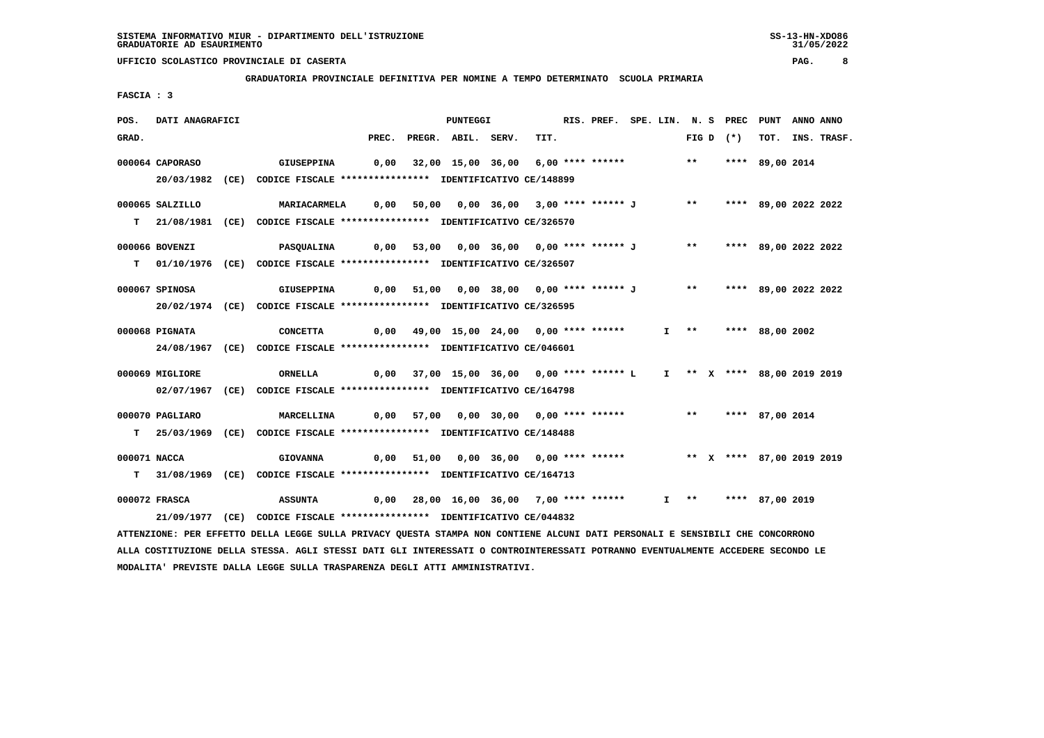**GRADUATORIA PROVINCIALE DEFINITIVA PER NOMINE A TEMPO DETERMINATO SCUOLA PRIMARIA**

 **FASCIA : 3**

| POS.  | DATI ANAGRAFICI |                                                                                                                                 |       | <b>PUNTEGGI</b>                                                       |      | RIS. PREF. SPE. LIN. N. S PREC PUNT |  |  |             |                      | ANNO ANNO |                  |
|-------|-----------------|---------------------------------------------------------------------------------------------------------------------------------|-------|-----------------------------------------------------------------------|------|-------------------------------------|--|--|-------------|----------------------|-----------|------------------|
| GRAD. |                 |                                                                                                                                 | PREC. | PREGR. ABIL. SERV.                                                    | TIT. |                                     |  |  | FIG D $(*)$ |                      |           | TOT. INS. TRASF. |
|       | 000064 CAPORASO | <b>GIUSEPPINA</b>                                                                                                               |       | 0,00 32,00 15,00 36,00 6,00 **** ****** *** **                        |      |                                     |  |  |             | **** 89,00 2014      |           |                  |
|       |                 | 20/03/1982 (CE) CODICE FISCALE *************** IDENTIFICATIVO CE/148899                                                         |       |                                                                       |      |                                     |  |  |             |                      |           |                  |
|       |                 |                                                                                                                                 |       |                                                                       |      |                                     |  |  |             |                      |           |                  |
|       | 000065 SALZILLO | <b>MARIACARMELA</b>                                                                                                             |       | 0,00 50,00 0,00 36,00 3,00 **** ****** J ** **** 89,00 2022 2022      |      |                                     |  |  |             |                      |           |                  |
|       |                 | T 21/08/1981 (CE) CODICE FISCALE **************** IDENTIFICATIVO CE/326570                                                      |       |                                                                       |      |                                     |  |  |             |                      |           |                  |
|       |                 |                                                                                                                                 |       |                                                                       |      |                                     |  |  |             |                      |           |                  |
|       | 000066 BOVENZI  | <b>PASQUALINA</b>                                                                                                               |       | 0,00 53,00 0,00 36,00 0,00 **** ****** J    **   **** 89,00 2022 2022 |      |                                     |  |  |             |                      |           |                  |
|       |                 | T 01/10/1976 (CE) CODICE FISCALE **************** IDENTIFICATIVO CE/326507                                                      |       |                                                                       |      |                                     |  |  |             |                      |           |                  |
|       | 000067 SPINOSA  | GIUSEPPINA                                                                                                                      |       | 0,00 51,00 0,00 38,00 0,00 **** ****** J ** **** 89,00 2022 2022      |      |                                     |  |  |             |                      |           |                  |
|       |                 | 20/02/1974 (CE) CODICE FISCALE *************** IDENTIFICATIVO CE/326595                                                         |       |                                                                       |      |                                     |  |  |             |                      |           |                  |
|       |                 |                                                                                                                                 |       |                                                                       |      |                                     |  |  |             |                      |           |                  |
|       | 000068 PIGNATA  | <b>CONCETTA</b>                                                                                                                 |       | 0,00 49,00 15,00 24,00 0,00 **** ******                               |      |                                     |  |  |             | I ** **** 88,00 2002 |           |                  |
|       |                 | 24/08/1967 (CE) CODICE FISCALE *************** IDENTIFICATIVO CE/046601                                                         |       |                                                                       |      |                                     |  |  |             |                      |           |                  |
|       | 000069 MIGLIORE | ORNELLA                                                                                                                         |       | 0,00 37,00 15,00 36,00 0,00 **** ****** L 1 ** X **** 88,00 2019 2019 |      |                                     |  |  |             |                      |           |                  |
|       |                 | 02/07/1967 (CE) CODICE FISCALE *************** IDENTIFICATIVO CE/164798                                                         |       |                                                                       |      |                                     |  |  |             |                      |           |                  |
|       |                 |                                                                                                                                 |       |                                                                       |      |                                     |  |  |             |                      |           |                  |
|       | 000070 PAGLIARO | MARCELLINA                                                                                                                      |       | 0,00 57,00 0,00 30,00 0,00 **** ****** *** *** **** 87,00 2014        |      |                                     |  |  |             |                      |           |                  |
|       |                 | T 25/03/1969 (CE) CODICE FISCALE **************** IDENTIFICATIVO CE/148488                                                      |       |                                                                       |      |                                     |  |  |             |                      |           |                  |
|       |                 |                                                                                                                                 |       |                                                                       |      |                                     |  |  |             |                      |           |                  |
|       | 000071 NACCA    | <b>GIOVANNA</b>                                                                                                                 |       | 0,00 51,00 0,00 36,00 0,00 **** ****** *** ** ** **** 87,00 2019 2019 |      |                                     |  |  |             |                      |           |                  |
|       |                 | T 31/08/1969 (CE) CODICE FISCALE **************** IDENTIFICATIVO CE/164713                                                      |       |                                                                       |      |                                     |  |  |             |                      |           |                  |
|       | 000072 FRASCA   | ASSUNTA                                                                                                                         |       | 0,00 28,00 16,00 36,00 7,00 **** ******                               |      |                                     |  |  |             | I ** **** 87,00 2019 |           |                  |
|       |                 | 21/09/1977 (CE) CODICE FISCALE *************** IDENTIFICATIVO CE/044832                                                         |       |                                                                       |      |                                     |  |  |             |                      |           |                  |
|       |                 | ATTENZIONE: PER EFFETTO DELLA LEGGE SULLA PRIVACY QUESTA STAMPA NON CONTIENE ALCUNI DATI PERSONALI E SENSIBILI CHE CONCORRONO   |       |                                                                       |      |                                     |  |  |             |                      |           |                  |
|       |                 | ALLA COSTITUZIONE DELLA STESSA. AGLI STESSI DATI GLI INTERESSATI O CONTROINTERESSATI POTRANNO EVENTUALMENTE ACCEDERE SECONDO LE |       |                                                                       |      |                                     |  |  |             |                      |           |                  |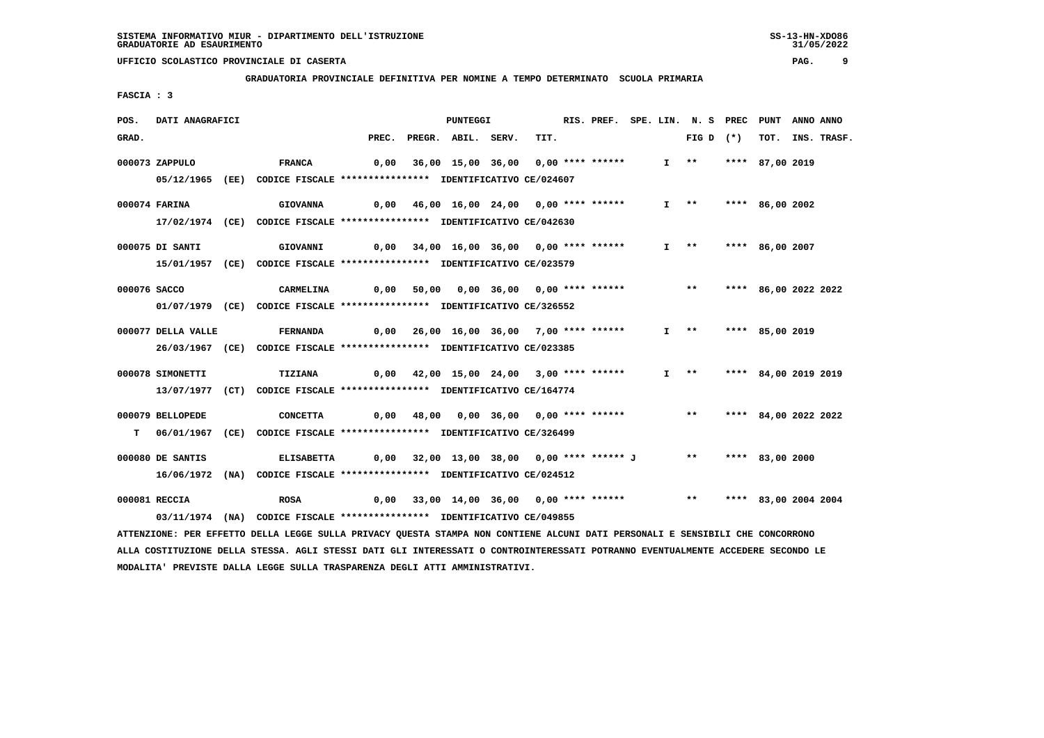**GRADUATORIA PROVINCIALE DEFINITIVA PER NOMINE A TEMPO DETERMINATO SCUOLA PRIMARIA**

 **FASCIA : 3**

| POS.         | DATI ANAGRAFICI    |                                                                                                                                 |      | <b>PUNTEGGI</b>                                                 |      | RIS. PREF. SPE. LIN. N. S PREC PUNT |  |                         |                      | ANNO ANNO |                  |
|--------------|--------------------|---------------------------------------------------------------------------------------------------------------------------------|------|-----------------------------------------------------------------|------|-------------------------------------|--|-------------------------|----------------------|-----------|------------------|
| GRAD.        |                    |                                                                                                                                 |      | PREC. PREGR. ABIL. SERV.                                        | TIT. |                                     |  | FIG D $(*)$             |                      |           | TOT. INS. TRASF. |
|              | 000073 ZAPPULO     | <b>FRANCA</b>                                                                                                                   |      | 0,00 36,00 15,00 36,00 0,00 **** ******                         |      |                                     |  | $I \rightarrow \star$   | **** 87,00 2019      |           |                  |
|              |                    |                                                                                                                                 |      |                                                                 |      |                                     |  |                         |                      |           |                  |
|              |                    | 05/12/1965 (EE) CODICE FISCALE *************** IDENTIFICATIVO CE/024607                                                         |      |                                                                 |      |                                     |  |                         |                      |           |                  |
|              | 000074 FARINA      | <b>GIOVANNA</b>                                                                                                                 |      | $0,00$ 46,00 16,00 24,00 0,00 **** ******                       |      |                                     |  | $I \rightarrow \star$   | **** 86,00 2002      |           |                  |
|              |                    | 17/02/1974 (CE) CODICE FISCALE *************** IDENTIFICATIVO CE/042630                                                         |      |                                                                 |      |                                     |  |                         |                      |           |                  |
|              |                    |                                                                                                                                 |      |                                                                 |      |                                     |  |                         |                      |           |                  |
|              | 000075 DI SANTI    | GIOVANNI                                                                                                                        |      | 0,00 34,00 16,00 36,00 0,00 **** ******                         |      |                                     |  | I ** **** 86,00 2007    |                      |           |                  |
|              |                    | 15/01/1957 (CE) CODICE FISCALE *************** IDENTIFICATIVO CE/023579                                                         |      |                                                                 |      |                                     |  |                         |                      |           |                  |
| 000076 SACCO |                    | CARMELINA                                                                                                                       |      | 0,00 50,00 0,00 36,00 0,00 **** ******                          |      |                                     |  | $***$                   | **** 86,00 2022 2022 |           |                  |
|              |                    | 01/07/1979 (CE) CODICE FISCALE *************** IDENTIFICATIVO CE/326552                                                         |      |                                                                 |      |                                     |  |                         |                      |           |                  |
|              |                    |                                                                                                                                 |      |                                                                 |      |                                     |  |                         |                      |           |                  |
|              | 000077 DELLA VALLE | <b>FERNANDA</b>                                                                                                                 |      | 0,00 26,00 16,00 36,00 7,00 **** ******                         |      |                                     |  | I ** **** 85,00 2019    |                      |           |                  |
|              |                    | 26/03/1967 (CE) CODICE FISCALE *************** IDENTIFICATIVO CE/023385                                                         |      |                                                                 |      |                                     |  |                         |                      |           |                  |
|              |                    |                                                                                                                                 |      |                                                                 |      |                                     |  |                         |                      |           |                  |
|              | 000078 SIMONETTI   | TIZIANA                                                                                                                         |      | $0,00$ $42,00$ $15,00$ $24,00$ $3,00$ **** ******               |      |                                     |  | $I \rightarrow \star$   | **** 84,00 2019 2019 |           |                  |
|              |                    | 13/07/1977 (CT) CODICE FISCALE *************** IDENTIFICATIVO CE/164774                                                         |      |                                                                 |      |                                     |  |                         |                      |           |                  |
|              | 000079 BELLOPEDE   | <b>CONCETTA</b>                                                                                                                 |      | $0,00$ 48,00 0,00 36,00 0,00 **** ******                        |      |                                     |  | ** **** 84,00 2022 2022 |                      |           |                  |
|              |                    | T 06/01/1967 (CE) CODICE FISCALE **************** IDENTIFICATIVO CE/326499                                                      |      |                                                                 |      |                                     |  |                         |                      |           |                  |
|              |                    |                                                                                                                                 |      |                                                                 |      |                                     |  |                         |                      |           |                  |
|              | 000080 DE SANTIS   | <b>ELISABETTA</b>                                                                                                               |      | 0,00 32,00 13,00 38,00 0,00 **** ****** J ** **** 83,00 2000    |      |                                     |  |                         |                      |           |                  |
|              |                    | 16/06/1972 (NA) CODICE FISCALE *************** IDENTIFICATIVO CE/024512                                                         |      |                                                                 |      |                                     |  |                         |                      |           |                  |
|              | 000081 RECCIA      | <b>ROSA</b>                                                                                                                     | 0,00 | 33,00 14,00 36,00 0,00 **** ****** *** *** **** 83,00 2004 2004 |      |                                     |  |                         |                      |           |                  |
|              |                    | 03/11/1974 (NA) CODICE FISCALE *************** IDENTIFICATIVO CE/049855                                                         |      |                                                                 |      |                                     |  |                         |                      |           |                  |
|              |                    |                                                                                                                                 |      |                                                                 |      |                                     |  |                         |                      |           |                  |
|              |                    | ATTENZIONE: PER EFFETTO DELLA LEGGE SULLA PRIVACY QUESTA STAMPA NON CONTIENE ALCUNI DATI PERSONALI E SENSIBILI CHE CONCORRONO   |      |                                                                 |      |                                     |  |                         |                      |           |                  |
|              |                    | ALLA COSTITUZIONE DELLA STESSA. AGLI STESSI DATI GLI INTERESSATI O CONTROINTERESSATI POTRANNO EVENTUALMENTE ACCEDERE SECONDO LE |      |                                                                 |      |                                     |  |                         |                      |           |                  |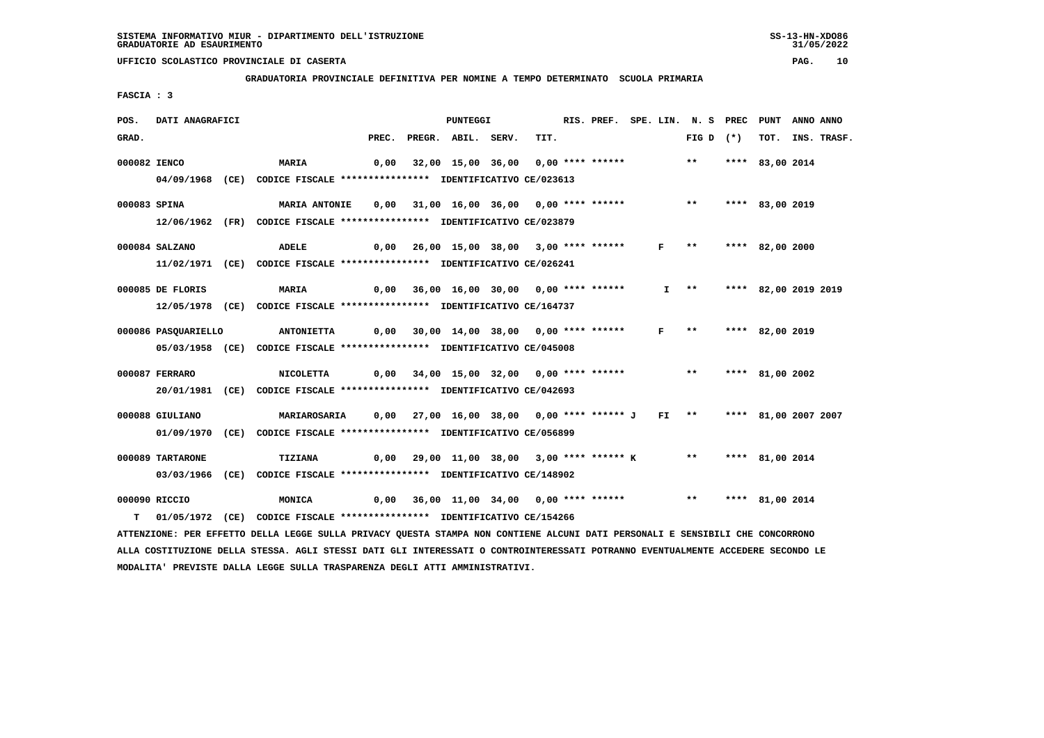**GRADUATORIA PROVINCIALE DEFINITIVA PER NOMINE A TEMPO DETERMINATO SCUOLA PRIMARIA**

 **FASCIA : 3**

| POS.  | DATI ANAGRAFICI     |                                                                                                                                 |  | PUNTEGGI                                                                         |      |  |  | RIS. PREF. SPE. LIN. N. S PREC PUNT ANNO ANNO |                 |                  |
|-------|---------------------|---------------------------------------------------------------------------------------------------------------------------------|--|----------------------------------------------------------------------------------|------|--|--|-----------------------------------------------|-----------------|------------------|
| GRAD. |                     |                                                                                                                                 |  | PREC. PREGR. ABIL. SERV.                                                         | TIT. |  |  | FIG D $(*)$                                   |                 | TOT. INS. TRASF. |
|       | 000082 IENCO        | <b>MARIA</b>                                                                                                                    |  | 0,00 32,00 15,00 36,00 0,00 **** ******                                          |      |  |  | $***$                                         | **** 83,00 2014 |                  |
|       |                     | 04/09/1968 (CE) CODICE FISCALE *************** IDENTIFICATIVO CE/023613                                                         |  |                                                                                  |      |  |  |                                               |                 |                  |
|       | 000083 SPINA        | <b>MARIA ANTONIE</b>                                                                                                            |  | $0,00$ 31,00 16,00 36,00 0,00 **** ******                                        |      |  |  | $***$                                         | **** 83,00 2019 |                  |
|       |                     | 12/06/1962 (FR) CODICE FISCALE *************** IDENTIFICATIVO CE/023879                                                         |  |                                                                                  |      |  |  |                                               |                 |                  |
|       | 000084 SALZANO      | <b>ADELE</b>                                                                                                                    |  | 0,00 26,00 15,00 38,00 3,00 **** ******                                          |      |  |  | F ** **** 82,00 2000                          |                 |                  |
|       |                     | 11/02/1971 (CE) CODICE FISCALE **************** IDENTIFICATIVO CE/026241                                                        |  |                                                                                  |      |  |  |                                               |                 |                  |
|       |                     |                                                                                                                                 |  |                                                                                  |      |  |  |                                               |                 |                  |
|       | 000085 DE FLORIS    | <b>MARIA</b>                                                                                                                    |  | $0,00$ 36,00 16,00 30,00 0,00 **** ******                                        |      |  |  | I ** **** 82,00 2019 2019                     |                 |                  |
|       |                     | 12/05/1978 (CE) CODICE FISCALE *************** IDENTIFICATIVO CE/164737                                                         |  |                                                                                  |      |  |  |                                               |                 |                  |
|       | 000086 PASOUARIELLO | <b>ANTONIETTA</b>                                                                                                               |  | 0,00 30,00 14,00 38,00 0,00 **** ****** F **                                     |      |  |  |                                               | **** 82,00 2019 |                  |
|       |                     | 05/03/1958 (CE) CODICE FISCALE *************** IDENTIFICATIVO CE/045008                                                         |  |                                                                                  |      |  |  |                                               |                 |                  |
|       | 000087 FERRARO      | NICOLETTA 0,00 34,00 15,00 32,00 0,00 **** ****** *** **** 81,00 2002                                                           |  |                                                                                  |      |  |  |                                               |                 |                  |
|       |                     | 20/01/1981 (CE) CODICE FISCALE *************** IDENTIFICATIVO CE/042693                                                         |  |                                                                                  |      |  |  |                                               |                 |                  |
|       |                     |                                                                                                                                 |  |                                                                                  |      |  |  |                                               |                 |                  |
|       | 000088 GIULIANO     | <b>MARIAROSARIA</b>                                                                                                             |  | 0,00  27,00  16,00  38,00  0,00  ****  ****** J  FI  **  ****  81,00  2007  2007 |      |  |  |                                               |                 |                  |
|       |                     | 01/09/1970 (CE) CODICE FISCALE *************** IDENTIFICATIVO CE/056899                                                         |  |                                                                                  |      |  |  |                                               |                 |                  |
|       | 000089 TARTARONE    | TIZIANA                                                                                                                         |  | 0,00 29,00 11,00 38,00 3,00 **** ****** K ** **** 81,00 2014                     |      |  |  |                                               |                 |                  |
|       |                     | 03/03/1966 (CE) CODICE FISCALE *************** IDENTIFICATIVO CE/148902                                                         |  |                                                                                  |      |  |  |                                               |                 |                  |
|       | 000090 RICCIO       | MONICA                                                                                                                          |  | 0,00 36,00 11,00 34,00 0,00 **** ****** *** *** **** 81,00 2014                  |      |  |  |                                               |                 |                  |
|       |                     | T 01/05/1972 (CE) CODICE FISCALE *************** IDENTIFICATIVO CE/154266                                                       |  |                                                                                  |      |  |  |                                               |                 |                  |
|       |                     | ATTENZIONE: PER EFFETTO DELLA LEGGE SULLA PRIVACY QUESTA STAMPA NON CONTIENE ALCUNI DATI PERSONALI E SENSIBILI CHE CONCORRONO   |  |                                                                                  |      |  |  |                                               |                 |                  |
|       |                     | ALLA COSTITUZIONE DELLA STESSA. AGLI STESSI DATI GLI INTERESSATI O CONTROINTERESSATI POTRANNO EVENTUALMENTE ACCEDERE SECONDO LE |  |                                                                                  |      |  |  |                                               |                 |                  |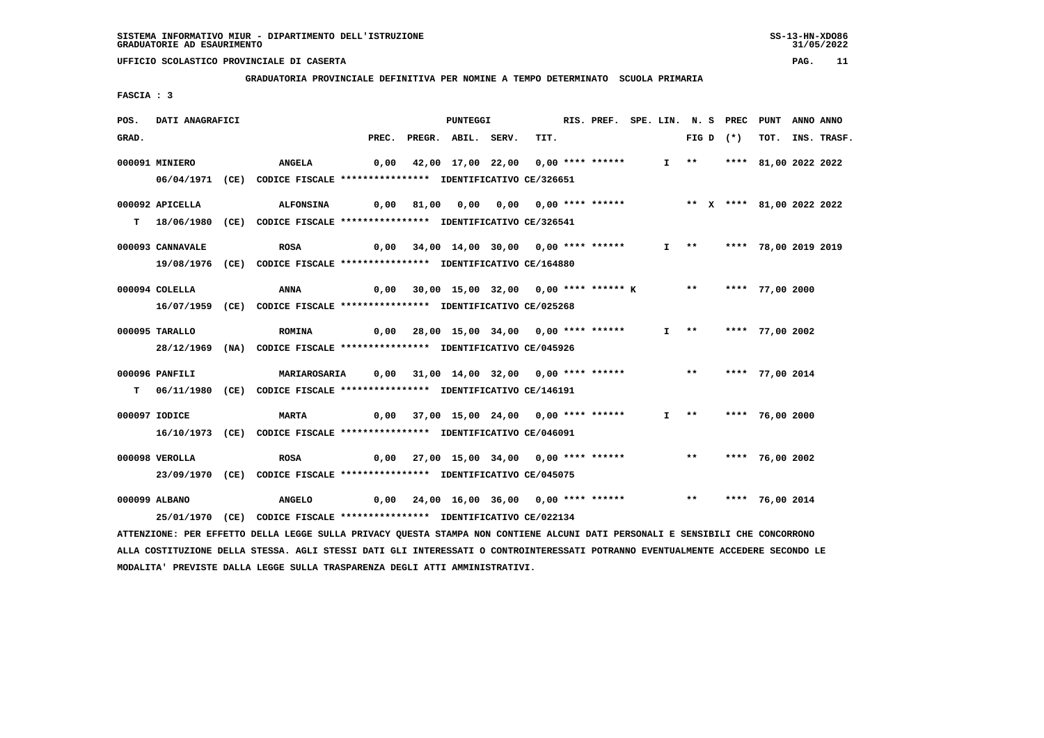**GRADUATORIA PROVINCIALE DEFINITIVA PER NOMINE A TEMPO DETERMINATO SCUOLA PRIMARIA**

 **FASCIA : 3**

| POS.  | DATI ANAGRAFICI  |                                                                                                                                 |       | <b>PUNTEGGI</b>                                                      |      | RIS. PREF. SPE. LIN. N. S PREC |  |                       |             | <b>PUNT</b>               | ANNO ANNO |                  |
|-------|------------------|---------------------------------------------------------------------------------------------------------------------------------|-------|----------------------------------------------------------------------|------|--------------------------------|--|-----------------------|-------------|---------------------------|-----------|------------------|
| GRAD. |                  |                                                                                                                                 | PREC. | PREGR. ABIL. SERV.                                                   | TIT. |                                |  |                       | FIG D $(*)$ |                           |           | TOT. INS. TRASF. |
|       | 000091 MINIERO   | <b>ANGELA</b>                                                                                                                   | 0,00  | 42,00 17,00 22,00 0,00 **** ******                                   |      |                                |  |                       |             | I ** **** 81,00 2022 2022 |           |                  |
|       |                  | 06/04/1971 (CE) CODICE FISCALE *************** IDENTIFICATIVO CE/326651                                                         |       |                                                                      |      |                                |  |                       |             |                           |           |                  |
|       |                  |                                                                                                                                 |       |                                                                      |      |                                |  |                       |             |                           |           |                  |
|       | 000092 APICELLA  | <b>ALFONSINA</b>                                                                                                                |       | 0,00 81,00 0,00 0,00 0,00 **** ****** *** ** ** **** 81,00 2022 2022 |      |                                |  |                       |             |                           |           |                  |
|       |                  | T 18/06/1980 (CE) CODICE FISCALE **************** IDENTIFICATIVO CE/326541                                                      |       |                                                                      |      |                                |  |                       |             |                           |           |                  |
|       |                  |                                                                                                                                 |       |                                                                      |      |                                |  |                       |             |                           |           |                  |
|       | 000093 CANNAVALE | <b>ROSA</b>                                                                                                                     |       | 0,00 34,00 14,00 30,00 0,00 **** ******                              |      |                                |  |                       |             | I ** **** 78,00 2019 2019 |           |                  |
|       |                  | 19/08/1976 (CE) CODICE FISCALE **************** IDENTIFICATIVO CE/164880                                                        |       |                                                                      |      |                                |  |                       |             |                           |           |                  |
|       | $000094$ COLELLA | ANNA                                                                                                                            | 0,00  | 30,00 15,00 32,00 0,00 **** ****** K ** **** 77,00 2000              |      |                                |  |                       |             |                           |           |                  |
|       |                  | 16/07/1959 (CE) CODICE FISCALE *************** IDENTIFICATIVO CE/025268                                                         |       |                                                                      |      |                                |  |                       |             |                           |           |                  |
|       |                  |                                                                                                                                 |       |                                                                      |      |                                |  |                       |             |                           |           |                  |
|       | 000095 TARALLO   | <b>ROMINA</b>                                                                                                                   |       | 0,00 28,00 15,00 34,00 0,00 **** ******                              |      |                                |  | $I \rightarrow \star$ |             | **** 77,00 2002           |           |                  |
|       |                  | 28/12/1969 (NA) CODICE FISCALE *************** IDENTIFICATIVO CE/045926                                                         |       |                                                                      |      |                                |  |                       |             |                           |           |                  |
|       |                  |                                                                                                                                 |       |                                                                      |      |                                |  |                       |             |                           |           |                  |
|       | 000096 PANFILI   | MARIAROSARIA        0,00     31,00   14,00   32,00     0,00  ****  ******                                                       |       |                                                                      |      |                                |  |                       |             | ** **** 77,00 2014        |           |                  |
|       |                  | T 06/11/1980 (CE) CODICE FISCALE *************** IDENTIFICATIVO CE/146191                                                       |       |                                                                      |      |                                |  |                       |             |                           |           |                  |
|       | 000097 IODICE    | <b>MARTA</b>                                                                                                                    |       | 0,00 37,00 15,00 24,00 0,00 **** ******                              |      |                                |  | $I \rightarrow *$     |             | **** 76,00 2000           |           |                  |
|       |                  | 16/10/1973 (CE) CODICE FISCALE *************** IDENTIFICATIVO CE/046091                                                         |       |                                                                      |      |                                |  |                       |             |                           |           |                  |
|       |                  |                                                                                                                                 |       |                                                                      |      |                                |  |                       |             |                           |           |                  |
|       | 000098 VEROLLA   | <b>ROSA</b>                                                                                                                     |       | 0,00 27,00 15,00 34,00 0,00 **** ******                              |      |                                |  |                       |             | ** **** 76,00 2002        |           |                  |
|       |                  | 23/09/1970 (CE) CODICE FISCALE *************** IDENTIFICATIVO CE/045075                                                         |       |                                                                      |      |                                |  |                       |             |                           |           |                  |
|       |                  |                                                                                                                                 |       |                                                                      |      |                                |  |                       |             |                           |           |                  |
|       | 000099 ALBANO    | <b>ANGELO</b>                                                                                                                   |       | 0,00 24,00 16,00 36,00 0,00 **** ****** *** **** 76,00 2014          |      |                                |  |                       |             |                           |           |                  |
|       |                  | 25/01/1970 (CE) CODICE FISCALE *************** IDENTIFICATIVO CE/022134                                                         |       |                                                                      |      |                                |  |                       |             |                           |           |                  |
|       |                  | ATTENZIONE: PER EFFETTO DELLA LEGGE SULLA PRIVACY QUESTA STAMPA NON CONTIENE ALCUNI DATI PERSONALI E SENSIBILI CHE CONCORRONO   |       |                                                                      |      |                                |  |                       |             |                           |           |                  |
|       |                  | ALLA COSTITUZIONE DELLA STESSA. AGLI STESSI DATI GLI INTERESSATI O CONTROINTERESSATI POTRANNO EVENTUALMENTE ACCEDERE SECONDO LE |       |                                                                      |      |                                |  |                       |             |                           |           |                  |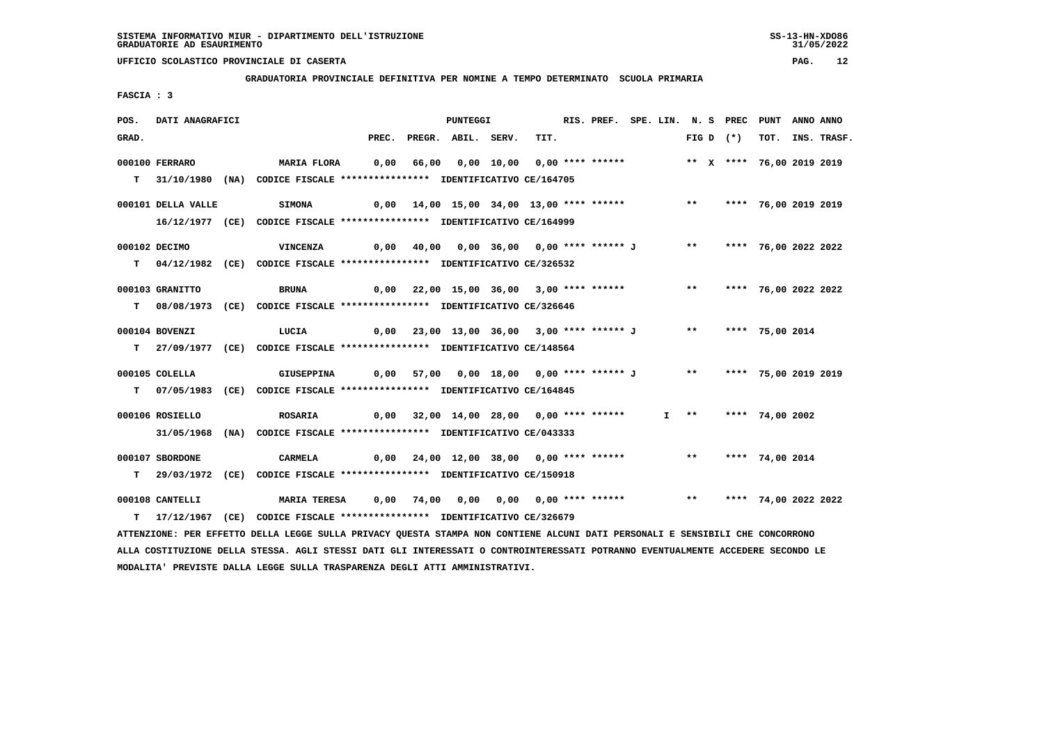**GRADUATORIA PROVINCIALE DEFINITIVA PER NOMINE A TEMPO DETERMINATO SCUOLA PRIMARIA**

 **FASCIA : 3**

| POS.  | DATI ANAGRAFICI    |                                                                                                                                 |       | <b>PUNTEGGI</b>                                                       |      | RIS. PREF. SPE. LIN. N. S PREC PUNT |  |                       |             |                         | ANNO ANNO |             |
|-------|--------------------|---------------------------------------------------------------------------------------------------------------------------------|-------|-----------------------------------------------------------------------|------|-------------------------------------|--|-----------------------|-------------|-------------------------|-----------|-------------|
| GRAD. |                    |                                                                                                                                 | PREC. | PREGR. ABIL. SERV.                                                    | TIT. |                                     |  |                       | FIG D $(*)$ | тот.                    |           | INS. TRASF. |
|       | 000100 FERRARO     | <b>MARIA FLORA</b>                                                                                                              | 0,00  | 66,00  0,00 10,00  0,00 **** ******       **  x  **** 76,00 2019 2019 |      |                                     |  |                       |             |                         |           |             |
|       |                    |                                                                                                                                 |       |                                                                       |      |                                     |  |                       |             |                         |           |             |
| T.    |                    | 31/10/1980 (NA) CODICE FISCALE **************** IDENTIFICATIVO CE/164705                                                        |       |                                                                       |      |                                     |  |                       |             |                         |           |             |
|       | 000101 DELLA VALLE | <b>SIMONA</b>                                                                                                                   |       | $0,00$ 14,00 15,00 34,00 13,00 **** ******                            |      |                                     |  | $***$                 |             | **** 76,00 2019 2019    |           |             |
|       |                    | 16/12/1977 (CE) CODICE FISCALE *************** IDENTIFICATIVO CE/164999                                                         |       |                                                                       |      |                                     |  |                       |             |                         |           |             |
|       |                    |                                                                                                                                 |       |                                                                       |      |                                     |  |                       |             |                         |           |             |
|       | 000102 DECIMO      | <b>VINCENZA</b>                                                                                                                 |       | 0,00 40,00 0,00 36,00 0,00 **** ****** J                              |      |                                     |  |                       |             | ** **** 76,00 2022 2022 |           |             |
|       |                    | T 04/12/1982 (CE) CODICE FISCALE **************** IDENTIFICATIVO CE/326532                                                      |       |                                                                       |      |                                     |  |                       |             |                         |           |             |
|       | 000103 GRANITTO    | <b>BRUNA</b>                                                                                                                    |       | 0,00 22,00 15,00 36,00 3,00 **** ******                               |      |                                     |  | $***$                 |             | **** 76,00 2022 2022    |           |             |
|       |                    | T 08/08/1973 (CE) CODICE FISCALE **************** IDENTIFICATIVO CE/326646                                                      |       |                                                                       |      |                                     |  |                       |             |                         |           |             |
|       |                    |                                                                                                                                 |       |                                                                       |      |                                     |  |                       |             |                         |           |             |
|       | 000104 BOVENZI     | LUCIA                                                                                                                           |       | 0,00 23,00 13,00 36,00 3,00 **** ****** J ** **** 75,00 2014          |      |                                     |  |                       |             |                         |           |             |
|       |                    | T 27/09/1977 (CE) CODICE FISCALE *************** IDENTIFICATIVO CE/148564                                                       |       |                                                                       |      |                                     |  |                       |             |                         |           |             |
|       | 000105 COLELLA     | <b>GIUSEPPINA</b>                                                                                                               |       | 0,00 57,00 0,00 18,00 0,00 **** ****** J ** **** 75,00 2019 2019      |      |                                     |  |                       |             |                         |           |             |
|       |                    |                                                                                                                                 |       |                                                                       |      |                                     |  |                       |             |                         |           |             |
|       |                    | T 07/05/1983 (CE) CODICE FISCALE *************** IDENTIFICATIVO CE/164845                                                       |       |                                                                       |      |                                     |  |                       |             |                         |           |             |
|       | 000106 ROSIELLO    | <b>ROSARIA</b>                                                                                                                  |       | 0,00 32,00 14,00 28,00 0,00 **** ******                               |      |                                     |  | $I \rightarrow \star$ |             | **** 74,00 2002         |           |             |
|       |                    | 31/05/1968 (NA) CODICE FISCALE *************** IDENTIFICATIVO CE/043333                                                         |       |                                                                       |      |                                     |  |                       |             |                         |           |             |
|       |                    |                                                                                                                                 |       |                                                                       |      |                                     |  |                       |             |                         |           |             |
|       | 000107 SBORDONE    | CARMELA                                                                                                                         |       | 0,00 24,00 12,00 38,00 0,00 **** ******                               |      |                                     |  |                       |             | ** **** 74,00 2014      |           |             |
| T.    |                    | 29/03/1972 (CE) CODICE FISCALE *************** IDENTIFICATIVO CE/150918                                                         |       |                                                                       |      |                                     |  |                       |             |                         |           |             |
|       | 000108 CANTELLI    | <b>MARIA TERESA</b>                                                                                                             |       | 0,00 74,00 0,00 0,00 0,00 **** ******           **                    |      |                                     |  |                       |             | **** 74,00 2022 2022    |           |             |
|       |                    | T 17/12/1967 (CE) CODICE FISCALE **************** IDENTIFICATIVO CE/326679                                                      |       |                                                                       |      |                                     |  |                       |             |                         |           |             |
|       |                    | ATTENZIONE: PER EFFETTO DELLA LEGGE SULLA PRIVACY QUESTA STAMPA NON CONTIENE ALCUNI DATI PERSONALI E SENSIBILI CHE CONCORRONO   |       |                                                                       |      |                                     |  |                       |             |                         |           |             |
|       |                    | ALLA COSTITUZIONE DELLA STESSA. AGLI STESSI DATI GLI INTERESSATI O CONTROINTERESSATI POTRANNO EVENTUALMENTE ACCEDERE SECONDO LE |       |                                                                       |      |                                     |  |                       |             |                         |           |             |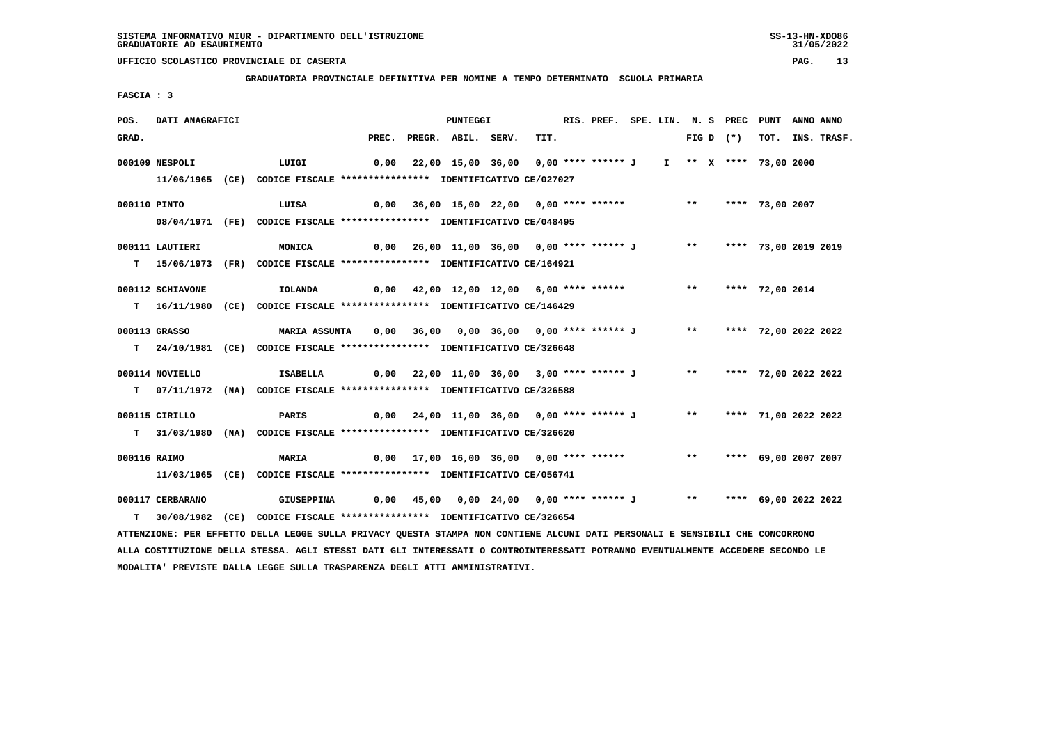**GRADUATORIA PROVINCIALE DEFINITIVA PER NOMINE A TEMPO DETERMINATO SCUOLA PRIMARIA**

 **FASCIA : 3**

| POS.         | DATI ANAGRAFICI  |                                                                                                                               |                                                                   | PUNTEGGI |      | RIS. PREF. SPE. LIN. N. S PREC PUNT |  |  |             |                         | ANNO ANNO |                  |
|--------------|------------------|-------------------------------------------------------------------------------------------------------------------------------|-------------------------------------------------------------------|----------|------|-------------------------------------|--|--|-------------|-------------------------|-----------|------------------|
| GRAD.        |                  |                                                                                                                               | PREC. PREGR. ABIL. SERV.                                          |          | TIT. |                                     |  |  | FIG D $(*)$ |                         |           | TOT. INS. TRASF. |
|              |                  |                                                                                                                               |                                                                   |          |      |                                     |  |  |             |                         |           |                  |
|              | 000109 NESPOLI   | LUIGI                                                                                                                         | 0,00 22,00 15,00 36,00 0,00 **** ****** J I ** X **** 73,00 2000  |          |      |                                     |  |  |             |                         |           |                  |
|              |                  | 11/06/1965 (CE) CODICE FISCALE *************** IDENTIFICATIVO CE/027027                                                       |                                                                   |          |      |                                     |  |  |             |                         |           |                  |
| 000110 PINTO |                  | 0,00 36,00 15,00 22,00 0,00 **** ******     **   **** 73,00 2007<br>LUISA                                                     |                                                                   |          |      |                                     |  |  |             |                         |           |                  |
|              |                  | 08/04/1971 (FE) CODICE FISCALE *************** IDENTIFICATIVO CE/048495                                                       |                                                                   |          |      |                                     |  |  |             |                         |           |                  |
|              |                  |                                                                                                                               |                                                                   |          |      |                                     |  |  |             |                         |           |                  |
|              | 000111 LAUTIERI  | MONICA                                                                                                                        | 0,00 26,00 11,00 36,00 0,00 **** ****** J ** **** 73,00 2019 2019 |          |      |                                     |  |  |             |                         |           |                  |
|              |                  | T 15/06/1973 (FR) CODICE FISCALE **************** IDENTIFICATIVO CE/164921                                                    |                                                                   |          |      |                                     |  |  |             |                         |           |                  |
|              |                  |                                                                                                                               |                                                                   |          |      |                                     |  |  |             |                         |           |                  |
|              | 000112 SCHIAVONE | <b>IOLANDA</b>                                                                                                                | 0,00 42,00 12,00 12,00 6,00 **** ****** *** *** **** 72,00 2014   |          |      |                                     |  |  |             |                         |           |                  |
|              | $T = 16/11/1980$ | (CE) CODICE FISCALE **************** IDENTIFICATIVO CE/146429                                                                 |                                                                   |          |      |                                     |  |  |             |                         |           |                  |
|              | 000113 GRASSO    | MARIA ASSUNTA 0,00 36,00 0,00 36,00 0,00 **** ****** J ** ***** 72,00 2022 2022                                               |                                                                   |          |      |                                     |  |  |             |                         |           |                  |
|              |                  | T 24/10/1981 (CE) CODICE FISCALE *************** IDENTIFICATIVO CE/326648                                                     |                                                                   |          |      |                                     |  |  |             |                         |           |                  |
|              |                  |                                                                                                                               |                                                                   |          |      |                                     |  |  |             |                         |           |                  |
|              | 000114 NOVIELLO  | ISABELLA                                                                                                                      | 0,00 22,00 11,00 36,00 3,00 **** ****** J ** **** 72,00 2022 2022 |          |      |                                     |  |  |             |                         |           |                  |
|              |                  | T 07/11/1972 (NA) CODICE FISCALE *************** IDENTIFICATIVO CE/326588                                                     |                                                                   |          |      |                                     |  |  |             |                         |           |                  |
|              |                  |                                                                                                                               |                                                                   |          |      |                                     |  |  |             |                         |           |                  |
|              | 000115 CIRILLO   | PARIS                                                                                                                         | 0,00 24,00 11,00 36,00 0,00 **** ****** J ** **** 71,00 2022 2022 |          |      |                                     |  |  |             |                         |           |                  |
|              |                  | T 31/03/1980 (NA) CODICE FISCALE **************** IDENTIFICATIVO CE/326620                                                    |                                                                   |          |      |                                     |  |  |             |                         |           |                  |
| 000116 RAIMO |                  | <b>MARIA</b>                                                                                                                  | 0,00 17,00 16,00 36,00 0,00 **** ******                           |          |      |                                     |  |  |             | ** **** 69,00 2007 2007 |           |                  |
|              |                  |                                                                                                                               |                                                                   |          |      |                                     |  |  |             |                         |           |                  |
|              |                  | 11/03/1965 (CE) CODICE FISCALE *************** IDENTIFICATIVO CE/056741                                                       |                                                                   |          |      |                                     |  |  |             |                         |           |                  |
|              | 000117 CERBARANO | <b>GIUSEPPINA</b>                                                                                                             | 0,00 45,00 0,00 24,00 0,00 **** ****** J ** **** 69,00 2022 2022  |          |      |                                     |  |  |             |                         |           |                  |
|              |                  | T 30/08/1982 (CE) CODICE FISCALE *************** IDENTIFICATIVO CE/326654                                                     |                                                                   |          |      |                                     |  |  |             |                         |           |                  |
|              |                  | ATTENZIONE: PER EFFETTO DELLA LEGGE SULLA PRIVACY QUESTA STAMPA NON CONTIENE ALCUNI DATI PERSONALI E SENSIBILI CHE CONCORRONO |                                                                   |          |      |                                     |  |  |             |                         |           |                  |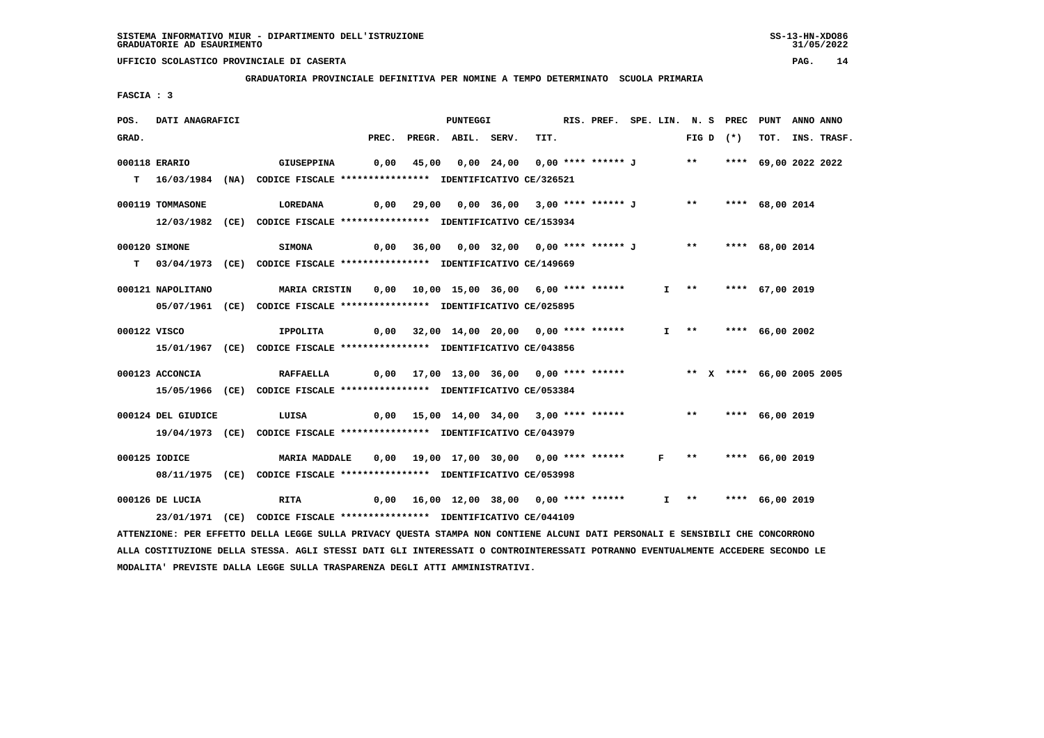**GRADUATORIA PROVINCIALE DEFINITIVA PER NOMINE A TEMPO DETERMINATO SCUOLA PRIMARIA**

 **FASCIA : 3**

| POS.         | DATI ANAGRAFICI    |                                                                                                                               |  | PUNTEGGI                                                                |      | RIS. PREF. SPE. LIN. N. S PREC PUNT |  |  |             |                      | ANNO ANNO |                  |
|--------------|--------------------|-------------------------------------------------------------------------------------------------------------------------------|--|-------------------------------------------------------------------------|------|-------------------------------------|--|--|-------------|----------------------|-----------|------------------|
| GRAD.        |                    |                                                                                                                               |  | PREC. PREGR. ABIL. SERV.                                                | TIT. |                                     |  |  | FIG D $(*)$ |                      |           | TOT. INS. TRASF. |
|              | 000118 ERARIO      | <b>GIUSEPPINA</b>                                                                                                             |  | 0,00 45,00 0,00 24,00 0,00 **** ****** J ** **** 69,00 2022 2022        |      |                                     |  |  |             |                      |           |                  |
|              |                    |                                                                                                                               |  |                                                                         |      |                                     |  |  |             |                      |           |                  |
|              |                    | T 16/03/1984 (NA) CODICE FISCALE *************** IDENTIFICATIVO CE/326521                                                     |  |                                                                         |      |                                     |  |  |             |                      |           |                  |
|              | 000119 TOMMASONE   | LOREDANA                                                                                                                      |  | 0,00 29,00 0,00 36,00 3,00 **** ****** J ** **** 68,00 2014             |      |                                     |  |  |             |                      |           |                  |
|              |                    | 12/03/1982 (CE) CODICE FISCALE *************** IDENTIFICATIVO CE/153934                                                       |  |                                                                         |      |                                     |  |  |             |                      |           |                  |
|              |                    |                                                                                                                               |  |                                                                         |      |                                     |  |  |             |                      |           |                  |
|              | 000120 SIMONE      | <b>SIMONA</b>                                                                                                                 |  | 0,00 36,00 0,00 32,00 0,00 **** ****** J ** **** 68,00 2014             |      |                                     |  |  |             |                      |           |                  |
|              |                    | T 03/04/1973 (CE) CODICE FISCALE *************** IDENTIFICATIVO CE/149669                                                     |  |                                                                         |      |                                     |  |  |             |                      |           |                  |
|              | 000121 NAPOLITANO  | MARIA CRISTIN 0,00 10,00 15,00 36,00 6,00 **** ******                                                                         |  |                                                                         |      |                                     |  |  |             | I ** **** 67,00 2019 |           |                  |
|              |                    |                                                                                                                               |  |                                                                         |      |                                     |  |  |             |                      |           |                  |
|              |                    | 05/07/1961 (CE) CODICE FISCALE *************** IDENTIFICATIVO CE/025895                                                       |  |                                                                         |      |                                     |  |  |             |                      |           |                  |
| 000122 VISCO |                    | IPPOLITA                                                                                                                      |  | 0,00 32,00 14,00 20,00 0,00 **** ******                                 |      |                                     |  |  |             | I ** **** 66,00 2002 |           |                  |
|              |                    | 15/01/1967 (CE) CODICE FISCALE *************** IDENTIFICATIVO CE/043856                                                       |  |                                                                         |      |                                     |  |  |             |                      |           |                  |
|              |                    |                                                                                                                               |  |                                                                         |      |                                     |  |  |             |                      |           |                  |
|              | 000123 ACCONCIA    | <b>RAFFAELLA</b>                                                                                                              |  | 0,00 17,00 13,00 36,00  0,00 **** ******      ** x **** 66,00 2005 2005 |      |                                     |  |  |             |                      |           |                  |
|              |                    | 15/05/1966 (CE) CODICE FISCALE *************** IDENTIFICATIVO CE/053384                                                       |  |                                                                         |      |                                     |  |  |             |                      |           |                  |
|              | 000124 DEL GIUDICE | LUISA                                                                                                                         |  | 0,00 15,00 14,00 34,00 3,00 **** ****** *** *** **** 66,00 2019         |      |                                     |  |  |             |                      |           |                  |
|              |                    |                                                                                                                               |  |                                                                         |      |                                     |  |  |             |                      |           |                  |
|              |                    | 19/04/1973 (CE) CODICE FISCALE *************** IDENTIFICATIVO CE/043979                                                       |  |                                                                         |      |                                     |  |  |             |                      |           |                  |
|              | 000125 IODICE      | <b>MARIA MADDALE</b>                                                                                                          |  | 0,00 19,00 17,00 30,00 0,00 **** ****** F **                            |      |                                     |  |  |             | **** 66,00 2019      |           |                  |
|              |                    | 08/11/1975 (CE) CODICE FISCALE *************** IDENTIFICATIVO CE/053998                                                       |  |                                                                         |      |                                     |  |  |             |                      |           |                  |
|              |                    |                                                                                                                               |  |                                                                         |      |                                     |  |  |             |                      |           |                  |
|              | 000126 DE LUCIA    | <b>RITA</b>                                                                                                                   |  | $0,00$ 16,00 12,00 38,00 0,00 **** ******                               |      |                                     |  |  |             | I ** **** 66,00 2019 |           |                  |
|              |                    | 23/01/1971 (CE) CODICE FISCALE *************** IDENTIFICATIVO CE/044109                                                       |  |                                                                         |      |                                     |  |  |             |                      |           |                  |
|              |                    | ATTENZIONE: PER EFFETTO DELLA LEGGE SULLA PRIVACY QUESTA STAMPA NON CONTIENE ALCUNI DATI PERSONALI E SENSIBILI CHE CONCORRONO |  |                                                                         |      |                                     |  |  |             |                      |           |                  |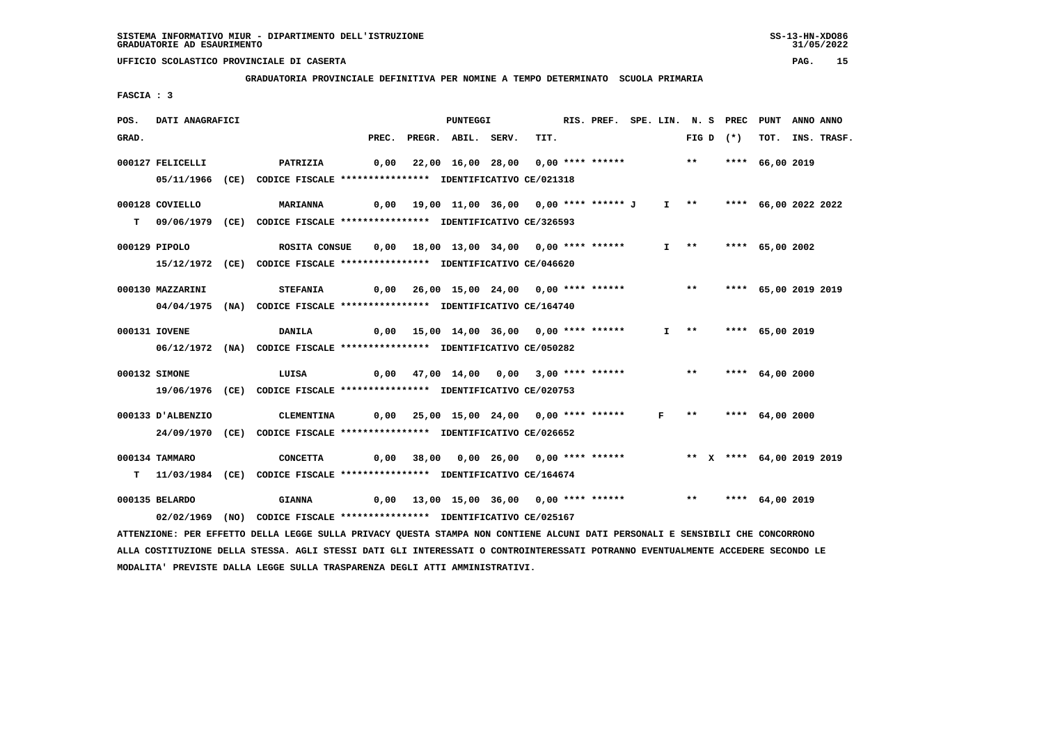**GRADUATORIA PROVINCIALE DEFINITIVA PER NOMINE A TEMPO DETERMINATO SCUOLA PRIMARIA**

 **FASCIA : 3**

| POS.  | DATI ANAGRAFICI   |                                                                                                                                 |  | PUNTEGGI                                                                |      | RIS. PREF. SPE. LIN. N. S PREC PUNT |              |               |             |                           | ANNO ANNO |                  |
|-------|-------------------|---------------------------------------------------------------------------------------------------------------------------------|--|-------------------------------------------------------------------------|------|-------------------------------------|--------------|---------------|-------------|---------------------------|-----------|------------------|
| GRAD. |                   |                                                                                                                                 |  | PREC. PREGR. ABIL. SERV.                                                | TIT. |                                     |              |               | FIG D $(*)$ |                           |           | TOT. INS. TRASF. |
|       | 000127 FELICELLI  | <b>PATRIZIA</b>                                                                                                                 |  | 0,00 22,00 16,00 28,00 0,00 **** ****** *** **                          |      |                                     |              |               |             | **** 66,00 2019           |           |                  |
|       |                   | 05/11/1966 (CE) CODICE FISCALE *************** IDENTIFICATIVO CE/021318                                                         |  |                                                                         |      |                                     |              |               |             |                           |           |                  |
|       |                   |                                                                                                                                 |  |                                                                         |      |                                     |              |               |             |                           |           |                  |
|       | 000128 COVIELLO   | <b>MARIANNA</b>                                                                                                                 |  | 0,00 19,00 11,00 36,00 0,00 **** ****** J                               |      |                                     |              |               |             | I ** **** 66,00 2022 2022 |           |                  |
|       |                   | T 09/06/1979 (CE) CODICE FISCALE *************** IDENTIFICATIVO CE/326593                                                       |  |                                                                         |      |                                     |              |               |             |                           |           |                  |
|       |                   |                                                                                                                                 |  |                                                                         |      |                                     |              |               |             |                           |           |                  |
|       | 000129 PIPOLO     | ROSITA CONSUE                                                                                                                   |  | 0,00 18,00 13,00 34,00 0,00 **** ******                                 |      |                                     |              |               |             | I ** **** 65,00 2002      |           |                  |
|       |                   | 15/12/1972 (CE) CODICE FISCALE *************** IDENTIFICATIVO CE/046620                                                         |  |                                                                         |      |                                     |              |               |             |                           |           |                  |
|       | 000130 MAZZARINI  | <b>STEFANIA</b>                                                                                                                 |  | 0,00 26,00 15,00 24,00 0,00 **** ******                                 |      |                                     |              | $***$         |             | **** 65,00 2019 2019      |           |                  |
|       |                   | 04/04/1975 (NA) CODICE FISCALE *************** IDENTIFICATIVO CE/164740                                                         |  |                                                                         |      |                                     |              |               |             |                           |           |                  |
|       |                   |                                                                                                                                 |  |                                                                         |      |                                     |              |               |             |                           |           |                  |
|       | 000131 IOVENE     | <b>DANILA</b>                                                                                                                   |  | 0,00 15,00 14,00 36,00 0,00 **** ******                                 |      |                                     |              |               |             | I ** **** 65,00 2019      |           |                  |
|       |                   | 06/12/1972 (NA) CODICE FISCALE *************** IDENTIFICATIVO CE/050282                                                         |  |                                                                         |      |                                     |              |               |             |                           |           |                  |
|       | 000132 SIMONE     | LUISA                                                                                                                           |  | 0,00 47,00 14,00 0,00 3,00 **** ******                                  |      |                                     |              | $***$         |             | **** 64,00 2000           |           |                  |
|       |                   |                                                                                                                                 |  |                                                                         |      |                                     |              |               |             |                           |           |                  |
|       |                   | 19/06/1976 (CE) CODICE FISCALE *************** IDENTIFICATIVO CE/020753                                                         |  |                                                                         |      |                                     |              |               |             |                           |           |                  |
|       | 000133 D'ALBENZIO | <b>CLEMENTINA</b>                                                                                                               |  | 0,00  25,00  15,00  24,00  0,00  ****  ******                           |      |                                     | $\mathbf{F}$ | $\star \star$ |             | **** $64,00$ 2000         |           |                  |
|       |                   | 24/09/1970 (CE) CODICE FISCALE *************** IDENTIFICATIVO CE/026652                                                         |  |                                                                         |      |                                     |              |               |             |                           |           |                  |
|       |                   |                                                                                                                                 |  |                                                                         |      |                                     |              |               |             |                           |           |                  |
|       | 000134 TAMMARO    | CONCETTA                                                                                                                        |  | 0,00 38,00 0,00 26,00 0,00 **** ****** *** ** ** ** *** 64,00 2019 2019 |      |                                     |              |               |             |                           |           |                  |
|       |                   | T 11/03/1984 (CE) CODICE FISCALE *************** IDENTIFICATIVO CE/164674                                                       |  |                                                                         |      |                                     |              |               |             |                           |           |                  |
|       | 000135 BELARDO    | <b>GIANNA</b>                                                                                                                   |  | $0,00$ 13,00 15,00 36,00 0,00 **** ******                               |      |                                     |              |               |             | ** **** 64,00 2019        |           |                  |
|       |                   | 02/02/1969 (NO) CODICE FISCALE *************** IDENTIFICATIVO CE/025167                                                         |  |                                                                         |      |                                     |              |               |             |                           |           |                  |
|       |                   | ATTENZIONE: PER EFFETTO DELLA LEGGE SULLA PRIVACY QUESTA STAMPA NON CONTIENE ALCUNI DATI PERSONALI E SENSIBILI CHE CONCORRONO   |  |                                                                         |      |                                     |              |               |             |                           |           |                  |
|       |                   | ALLA COSTITUZIONE DELLA STESSA. AGLI STESSI DATI GLI INTERESSATI O CONTROINTERESSATI POTRANNO EVENTUALMENTE ACCEDERE SECONDO LE |  |                                                                         |      |                                     |              |               |             |                           |           |                  |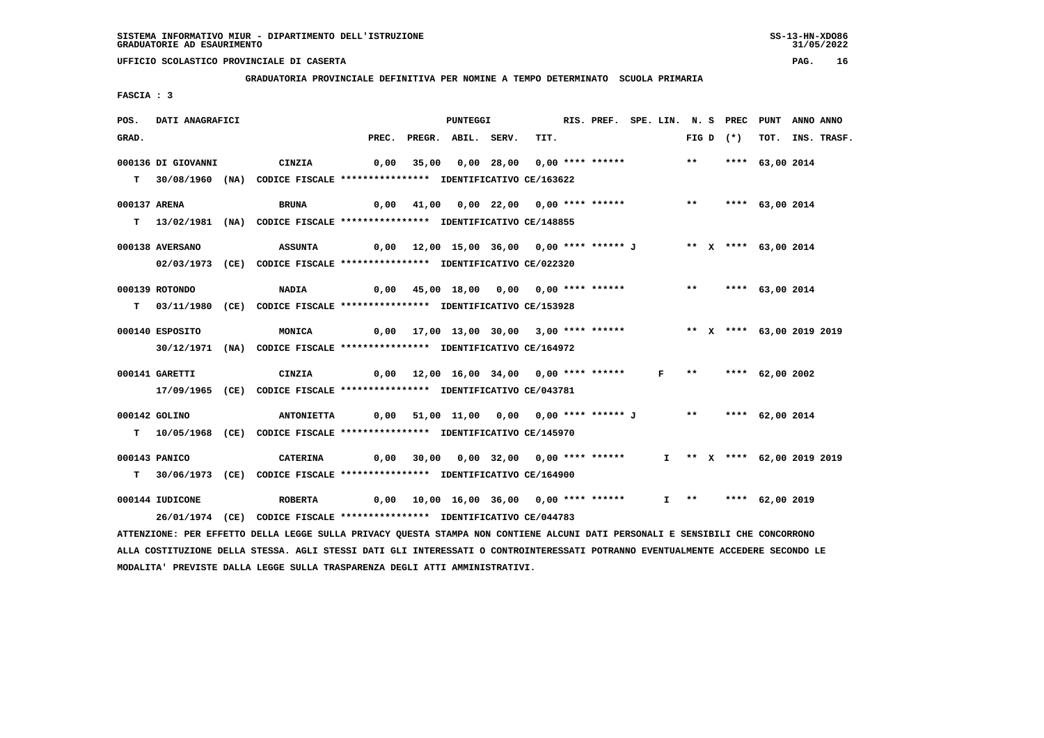**GRADUATORIA PROVINCIALE DEFINITIVA PER NOMINE A TEMPO DETERMINATO SCUOLA PRIMARIA**

 **FASCIA : 3**

| POS.         | DATI ANAGRAFICI    |                                                                                                                                 |       | <b>PUNTEGGI</b>                                                        |      | RIS. PREF. SPE. LIN. N. S PREC PUNT ANNO ANNO |  |       |             |                             |                  |
|--------------|--------------------|---------------------------------------------------------------------------------------------------------------------------------|-------|------------------------------------------------------------------------|------|-----------------------------------------------|--|-------|-------------|-----------------------------|------------------|
| GRAD.        |                    |                                                                                                                                 | PREC. | PREGR. ABIL. SERV.                                                     | TIT. |                                               |  |       | FIG D $(*)$ |                             | TOT. INS. TRASF. |
|              | 000136 DI GIOVANNI | CINZIA                                                                                                                          |       | 0,00 35,00 0,00 28,00 0,00 **** ******                                 |      |                                               |  | $***$ |             | **** 63,00 2014             |                  |
|              |                    |                                                                                                                                 |       |                                                                        |      |                                               |  |       |             |                             |                  |
|              |                    | T 30/08/1960 (NA) CODICE FISCALE *************** IDENTIFICATIVO CE/163622                                                       |       |                                                                        |      |                                               |  |       |             |                             |                  |
| 000137 ARENA |                    | BRUNA                                                                                                                           | 0,00  | 41,00  0,00  22,00  0,00  ****  ******                                 |      |                                               |  | $***$ |             | **** 63,00 2014             |                  |
|              |                    | T 13/02/1981 (NA) CODICE FISCALE *************** IDENTIFICATIVO CE/148855                                                       |       |                                                                        |      |                                               |  |       |             |                             |                  |
|              |                    |                                                                                                                                 |       |                                                                        |      |                                               |  |       |             |                             |                  |
|              | 000138 AVERSANO    | ASSUNTA                                                                                                                         |       | 0,00 12,00 15,00 36,00 0,00 **** ****** J ** X **** 63,00 2014         |      |                                               |  |       |             |                             |                  |
|              |                    | 02/03/1973 (CE) CODICE FISCALE *************** IDENTIFICATIVO CE/022320                                                         |       |                                                                        |      |                                               |  |       |             |                             |                  |
|              | 000139 ROTONDO     | <b>NADIA</b>                                                                                                                    |       | 0,00 45,00 18,00 0,00 0,00 **** ****** *** **** 63,00 2014             |      |                                               |  |       |             |                             |                  |
|              |                    |                                                                                                                                 |       |                                                                        |      |                                               |  |       |             |                             |                  |
|              |                    | T 03/11/1980 (CE) CODICE FISCALE **************** IDENTIFICATIVO CE/153928                                                      |       |                                                                        |      |                                               |  |       |             |                             |                  |
|              | 000140 ESPOSITO    | MONICA                                                                                                                          |       | 0,00 17,00 13,00 30,00 3,00 **** ****** *** ** ** **** 63,00 2019 2019 |      |                                               |  |       |             |                             |                  |
|              |                    | 30/12/1971 (NA) CODICE FISCALE *************** IDENTIFICATIVO CE/164972                                                         |       |                                                                        |      |                                               |  |       |             |                             |                  |
|              |                    |                                                                                                                                 |       |                                                                        |      |                                               |  |       |             |                             |                  |
|              | 000141 GARETTI     | CINZIA                                                                                                                          |       | 0,00 12,00 16,00 34,00 0,00 **** ******                                |      |                                               |  |       |             | F ** **** 62,00 2002        |                  |
|              |                    | 17/09/1965 (CE) CODICE FISCALE *************** IDENTIFICATIVO CE/043781                                                         |       |                                                                        |      |                                               |  |       |             |                             |                  |
|              | 000142 GOLINO      | <b>ANTONIETTA</b>                                                                                                               |       | 0,00 51,00 11,00 0,00 0,00 **** ****** J ** **** 62,00 2014            |      |                                               |  |       |             |                             |                  |
|              |                    |                                                                                                                                 |       |                                                                        |      |                                               |  |       |             |                             |                  |
|              |                    | T  10/05/1968 (CE) CODICE FISCALE **************** IDENTIFICATIVO CE/145970                                                     |       |                                                                        |      |                                               |  |       |             |                             |                  |
|              | 000143 PANICO      | CATERINA                                                                                                                        |       | $0,00$ 30,00 0,00 32,00 0,00 **** ******                               |      |                                               |  |       |             | I ** X **** 62,00 2019 2019 |                  |
|              |                    | T 30/06/1973 (CE) CODICE FISCALE **************** IDENTIFICATIVO CE/164900                                                      |       |                                                                        |      |                                               |  |       |             |                             |                  |
|              |                    |                                                                                                                                 |       |                                                                        |      |                                               |  |       |             |                             |                  |
|              | 000144 IUDICONE    | <b>ROBERTA</b>                                                                                                                  |       | 0,00 10,00 16,00 36,00 0,00 **** ******                                |      |                                               |  |       |             | I ** **** 62,00 2019        |                  |
|              |                    | 26/01/1974 (CE) CODICE FISCALE *************** IDENTIFICATIVO CE/044783                                                         |       |                                                                        |      |                                               |  |       |             |                             |                  |
|              |                    | ATTENZIONE: PER EFFETTO DELLA LEGGE SULLA PRIVACY QUESTA STAMPA NON CONTIENE ALCUNI DATI PERSONALI E SENSIBILI CHE CONCORRONO   |       |                                                                        |      |                                               |  |       |             |                             |                  |
|              |                    | ALLA COSTITUZIONE DELLA STESSA. AGLI STESSI DATI GLI INTERESSATI O CONTROINTERESSATI POTRANNO EVENTUALMENTE ACCEDERE SECONDO LE |       |                                                                        |      |                                               |  |       |             |                             |                  |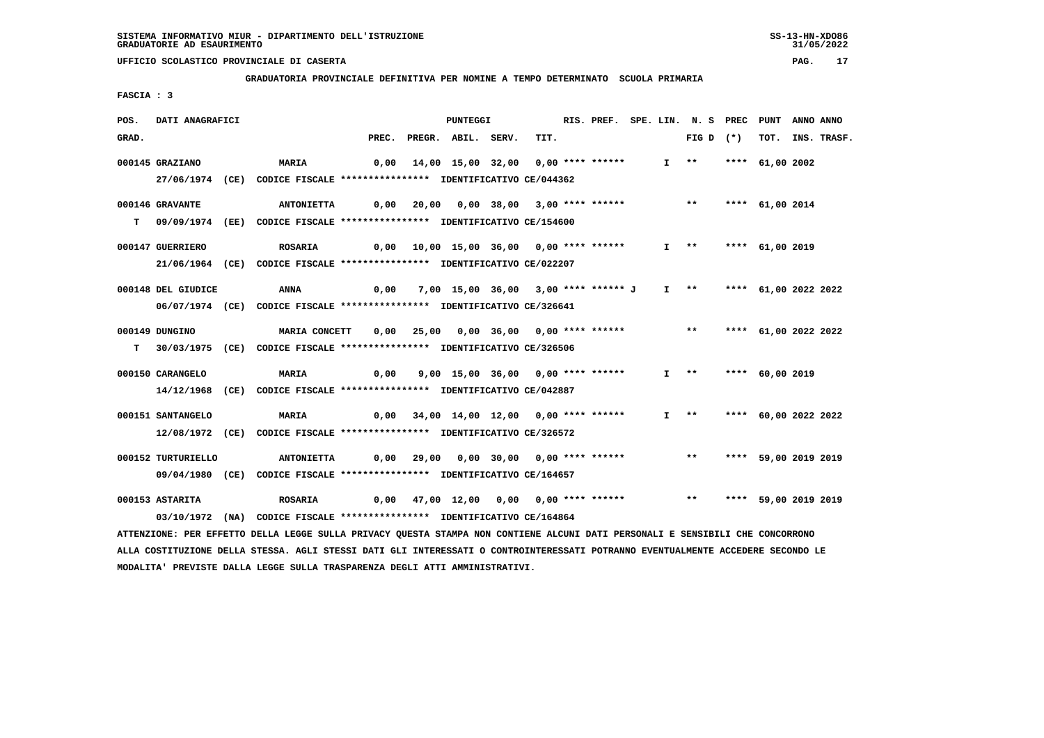**GRADUATORIA PROVINCIALE DEFINITIVA PER NOMINE A TEMPO DETERMINATO SCUOLA PRIMARIA**

 **FASCIA : 3**

| POS.  | DATI ANAGRAFICI    |                                                                                                                                 |       | <b>PUNTEGGI</b>                                         |      | RIS. PREF. SPE. LIN. N. S PREC |  |                             | PUNT                 | ANNO ANNO |                  |
|-------|--------------------|---------------------------------------------------------------------------------------------------------------------------------|-------|---------------------------------------------------------|------|--------------------------------|--|-----------------------------|----------------------|-----------|------------------|
| GRAD. |                    |                                                                                                                                 | PREC. | PREGR. ABIL. SERV.                                      | TIT. |                                |  | FIG D $(*)$                 |                      |           | TOT. INS. TRASF. |
|       | 000145 GRAZIANO    | <b>MARIA</b>                                                                                                                    |       | 0,00 14,00 15,00 32,00 0,00 **** ******                 |      |                                |  | $I \longrightarrow$         | **** $61,00$ 2002    |           |                  |
|       |                    |                                                                                                                                 |       |                                                         |      |                                |  |                             |                      |           |                  |
|       |                    | 27/06/1974 (CE) CODICE FISCALE *************** IDENTIFICATIVO CE/044362                                                         |       |                                                         |      |                                |  |                             |                      |           |                  |
|       | 000146 GRAVANTE    | <b>ANTONIETTA</b>                                                                                                               |       | $0,00$ $20,00$ $0,00$ $38,00$ $3,00$ **** ****** *** ** |      |                                |  |                             | **** 61,00 2014      |           |                  |
|       |                    | T 09/09/1974 (EE) CODICE FISCALE *************** IDENTIFICATIVO CE/154600                                                       |       |                                                         |      |                                |  |                             |                      |           |                  |
|       |                    |                                                                                                                                 |       |                                                         |      |                                |  |                             |                      |           |                  |
|       | 000147 GUERRIERO   | <b>ROSARIA</b>                                                                                                                  |       |                                                         |      |                                |  | I ** **** 61,00 2019        |                      |           |                  |
|       |                    | 21/06/1964 (CE) CODICE FISCALE *************** IDENTIFICATIVO CE/022207                                                         |       |                                                         |      |                                |  |                             |                      |           |                  |
|       | 000148 DEL GIUDICE | ANNA                                                                                                                            | 0,00  | 7,00 15,00 36,00 3,00 **** ****** J                     |      |                                |  | $I$ ** **** 61,00 2022 2022 |                      |           |                  |
|       |                    | 06/07/1974 (CE) CODICE FISCALE *************** IDENTIFICATIVO CE/326641                                                         |       |                                                         |      |                                |  |                             |                      |           |                  |
|       |                    |                                                                                                                                 |       |                                                         |      |                                |  |                             |                      |           |                  |
|       | 000149 DUNGINO     | <b>MARIA CONCETT</b>                                                                                                            |       | 0,00 25,00 0,00 36,00 0,00 **** ******                  |      |                                |  | ** **** 61,00 2022 2022     |                      |           |                  |
|       |                    | T 30/03/1975 (CE) CODICE FISCALE **************** IDENTIFICATIVO CE/326506                                                      |       |                                                         |      |                                |  |                             |                      |           |                  |
|       | 000150 CARANGELO   | <b>MARIA</b>                                                                                                                    |       | 9,00 15,00 36,00 0,00 **** ******                       |      |                                |  | $I$ **                      | **** 60,00 2019      |           |                  |
|       |                    |                                                                                                                                 | 0,00  |                                                         |      |                                |  |                             |                      |           |                  |
|       |                    | 14/12/1968 (CE) CODICE FISCALE *************** IDENTIFICATIVO CE/042887                                                         |       |                                                         |      |                                |  |                             |                      |           |                  |
|       | 000151 SANTANGELO  | <b>MARIA</b>                                                                                                                    |       | $0,00$ $34,00$ $14,00$ $12,00$ $0,00$ $***$ **** ****** |      |                                |  | $I \rightarrow \star$       | **** 60,00 2022 2022 |           |                  |
|       |                    | 12/08/1972 (CE) CODICE FISCALE *************** IDENTIFICATIVO CE/326572                                                         |       |                                                         |      |                                |  |                             |                      |           |                  |
|       |                    |                                                                                                                                 |       |                                                         |      |                                |  |                             |                      |           |                  |
|       | 000152 TURTURIELLO | <b>ANTONIETTA</b>                                                                                                               |       | $0,00$ 29,00 0,00 30,00 0,00 **** ******                |      |                                |  | $\star \star$               | **** 59,00 2019 2019 |           |                  |
|       |                    | 09/04/1980 (CE) CODICE FISCALE *************** IDENTIFICATIVO CE/164657                                                         |       |                                                         |      |                                |  |                             |                      |           |                  |
|       | 000153 ASTARITA    | <b>ROSARIA</b>                                                                                                                  |       | $0,00$ $47,00$ $12,00$ $0,00$ $0,00$ **** ******        |      |                                |  | $***$                       | **** 59,00 2019 2019 |           |                  |
|       |                    | 03/10/1972 (NA) CODICE FISCALE **************** IDENTIFICATIVO CE/164864                                                        |       |                                                         |      |                                |  |                             |                      |           |                  |
|       |                    | ATTENZIONE: PER EFFETTO DELLA LEGGE SULLA PRIVACY QUESTA STAMPA NON CONTIENE ALCUNI DATI PERSONALI E SENSIBILI CHE CONCORRONO   |       |                                                         |      |                                |  |                             |                      |           |                  |
|       |                    | ALLA COSTITUZIONE DELLA STESSA. AGLI STESSI DATI GLI INTERESSATI O CONTROINTERESSATI POTRANNO EVENTUALMENTE ACCEDERE SECONDO LE |       |                                                         |      |                                |  |                             |                      |           |                  |
|       |                    |                                                                                                                                 |       |                                                         |      |                                |  |                             |                      |           |                  |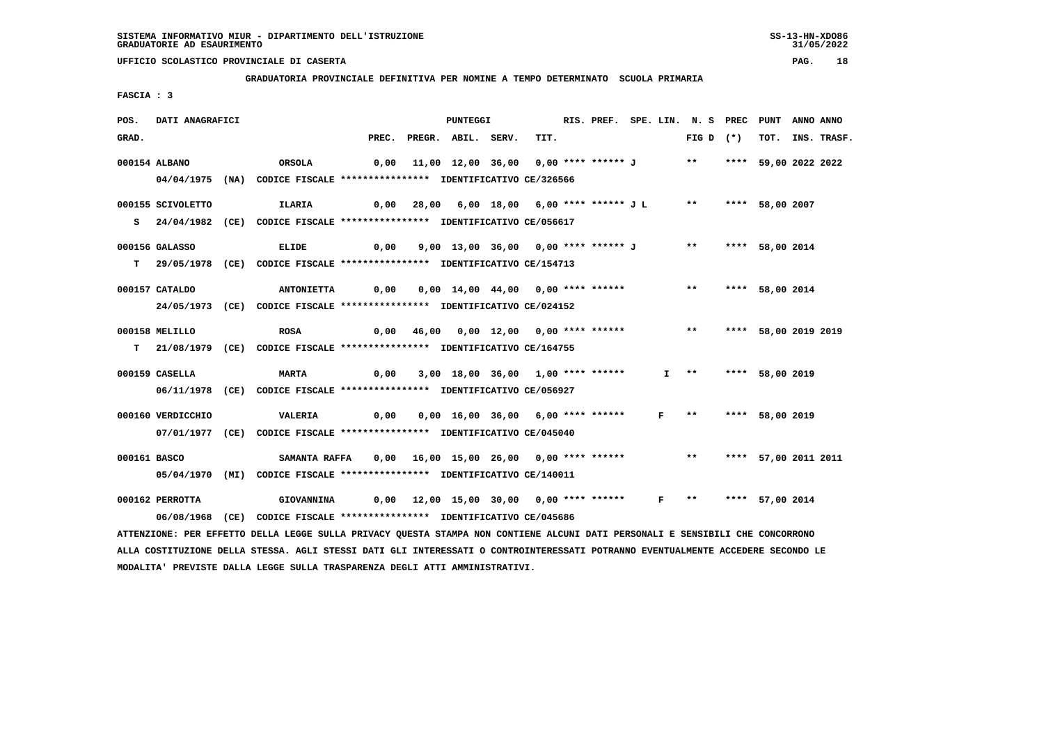**GRADUATORIA PROVINCIALE DEFINITIVA PER NOMINE A TEMPO DETERMINATO SCUOLA PRIMARIA**

 **FASCIA : 3**

| POS.  | DATI ANAGRAFICI   |                                                                                                                                 |       | PUNTEGGI                                                     |      | RIS. PREF. SPE. LIN. N. S PREC PUNT |  |                       |                         |                 | ANNO ANNO |             |
|-------|-------------------|---------------------------------------------------------------------------------------------------------------------------------|-------|--------------------------------------------------------------|------|-------------------------------------|--|-----------------------|-------------------------|-----------------|-----------|-------------|
| GRAD. |                   |                                                                                                                                 | PREC. | PREGR. ABIL. SERV.                                           | TIT. |                                     |  |                       | FIG D $(*)$             | TOT.            |           | INS. TRASF. |
|       | 000154 ALBANO     | ORSOLA                                                                                                                          | 0,00  | 11,00 12,00 36,00 0,00 **** ****** J ** **** 59,00 2022 2022 |      |                                     |  |                       |                         |                 |           |             |
|       |                   | 04/04/1975 (NA) CODICE FISCALE *************** IDENTIFICATIVO CE/326566                                                         |       |                                                              |      |                                     |  |                       |                         |                 |           |             |
|       |                   |                                                                                                                                 |       |                                                              |      |                                     |  |                       |                         |                 |           |             |
|       | 000155 SCIVOLETTO | <b>ILARIA</b>                                                                                                                   |       | 0,00 28,00 6,00 18,00 6,00 **** ****** J L                   |      |                                     |  | $***$                 |                         | **** 58,00 2007 |           |             |
|       |                   | S 24/04/1982 (CE) CODICE FISCALE *************** IDENTIFICATIVO CE/056617                                                       |       |                                                              |      |                                     |  |                       |                         |                 |           |             |
|       |                   |                                                                                                                                 |       |                                                              |      |                                     |  |                       |                         |                 |           |             |
|       | 000156 GALASSO    | <b>ELIDE</b>                                                                                                                    |       | 0,00 9,00 13,00 36,00 0,00 **** ****** J                     |      |                                     |  |                       | ** **** 58,00 2014      |                 |           |             |
|       |                   | T 29/05/1978 (CE) CODICE FISCALE *************** IDENTIFICATIVO CE/154713                                                       |       |                                                              |      |                                     |  |                       |                         |                 |           |             |
|       |                   |                                                                                                                                 |       |                                                              |      |                                     |  | $***$                 |                         |                 |           |             |
|       | 000157 CATALDO    | <b>ANTONIETTA</b>                                                                                                               | 0,00  | 0,00 14,00 44,00 0,00 **** ******                            |      |                                     |  |                       |                         | **** 58,00 2014 |           |             |
|       |                   | 24/05/1973 (CE) CODICE FISCALE *************** IDENTIFICATIVO CE/024152                                                         |       |                                                              |      |                                     |  |                       |                         |                 |           |             |
|       | 000158 MELILLO    | <b>ROSA</b>                                                                                                                     |       | $0,00$ 46,00 0,00 12,00 0,00 **** ******                     |      |                                     |  |                       | ** **** 58,00 2019 2019 |                 |           |             |
|       |                   | T 21/08/1979 (CE) CODICE FISCALE **************** IDENTIFICATIVO CE/164755                                                      |       |                                                              |      |                                     |  |                       |                         |                 |           |             |
|       |                   |                                                                                                                                 |       |                                                              |      |                                     |  |                       |                         |                 |           |             |
|       | 000159 CASELLA    | <b>MARTA</b>                                                                                                                    | 0,00  | 3,00 18,00 36,00 1,00 **** ******                            |      |                                     |  | $I \quad * \quad$     |                         | **** 58,00 2019 |           |             |
|       |                   | 06/11/1978 (CE) CODICE FISCALE *************** IDENTIFICATIVO CE/056927                                                         |       |                                                              |      |                                     |  |                       |                         |                 |           |             |
|       |                   |                                                                                                                                 |       |                                                              |      |                                     |  |                       |                         |                 |           |             |
|       | 000160 VERDICCHIO | <b>VALERIA</b>                                                                                                                  | 0,00  | 0,00 16,00 36,00 6,00 **** ******                            |      |                                     |  | $F \rightarrow \star$ |                         | **** 58,00 2019 |           |             |
|       |                   | 07/01/1977 (CE) CODICE FISCALE *************** IDENTIFICATIVO CE/045040                                                         |       |                                                              |      |                                     |  |                       |                         |                 |           |             |
|       |                   |                                                                                                                                 |       |                                                              |      |                                     |  |                       |                         |                 |           |             |
|       | 000161 BASCO      | <b>SAMANTA RAFFA</b>                                                                                                            |       |                                                              |      |                                     |  |                       | ** **** 57,00 2011 2011 |                 |           |             |
|       |                   | 05/04/1970 (MI) CODICE FISCALE *************** IDENTIFICATIVO CE/140011                                                         |       |                                                              |      |                                     |  |                       |                         |                 |           |             |
|       | 000162 PERROTTA   | GIOVANNINA                                                                                                                      |       | 0,00 12,00 15,00 30,00 0,00 **** ****** F ** **** 57,00 2014 |      |                                     |  |                       |                         |                 |           |             |
|       |                   | 06/08/1968 (CE) CODICE FISCALE *************** IDENTIFICATIVO CE/045686                                                         |       |                                                              |      |                                     |  |                       |                         |                 |           |             |
|       |                   | ATTENZIONE: PER EFFETTO DELLA LEGGE SULLA PRIVACY QUESTA STAMPA NON CONTIENE ALCUNI DATI PERSONALI E SENSIBILI CHE CONCORRONO   |       |                                                              |      |                                     |  |                       |                         |                 |           |             |
|       |                   | ALLA COSTITUZIONE DELLA STESSA. AGLI STESSI DATI GLI INTERESSATI O CONTROINTERESSATI POTRANNO EVENTUALMENTE ACCEDERE SECONDO LE |       |                                                              |      |                                     |  |                       |                         |                 |           |             |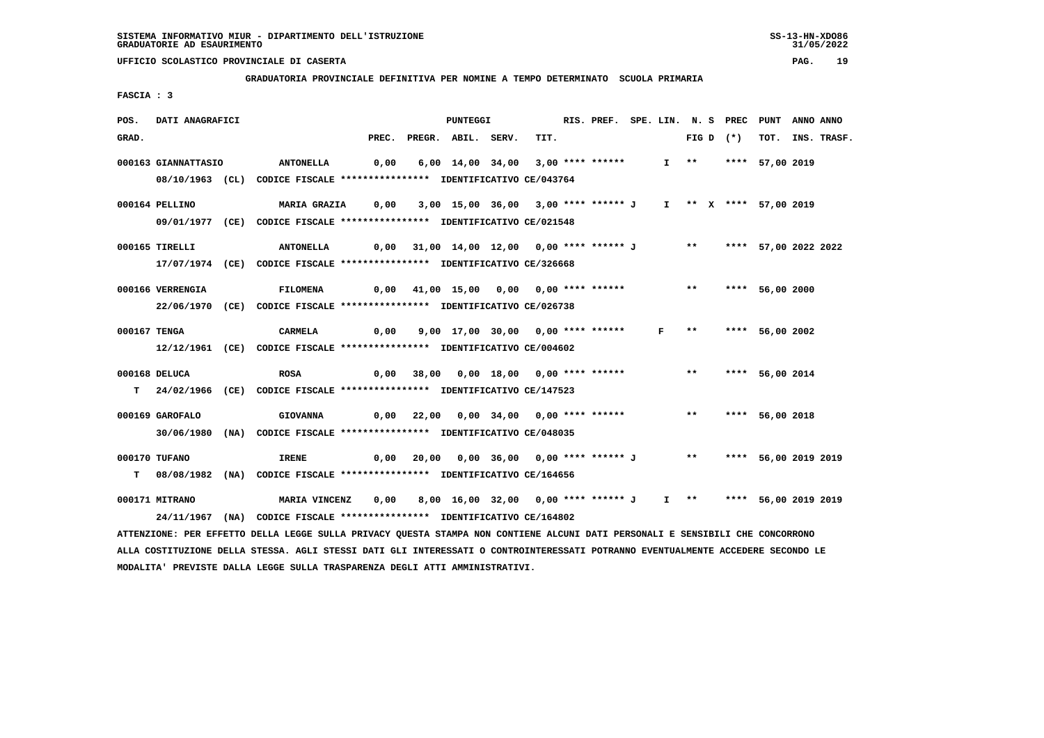**GRADUATORIA PROVINCIALE DEFINITIVA PER NOMINE A TEMPO DETERMINATO SCUOLA PRIMARIA**

 **FASCIA : 3**

| POS.  | DATI ANAGRAFICI     |                                                                                                                               |      | PUNTEGGI                                                           |      | RIS. PREF. SPE. LIN. N. S PREC PUNT |  |  |             |                      | ANNO ANNO |                  |
|-------|---------------------|-------------------------------------------------------------------------------------------------------------------------------|------|--------------------------------------------------------------------|------|-------------------------------------|--|--|-------------|----------------------|-----------|------------------|
| GRAD. |                     |                                                                                                                               |      | PREC. PREGR. ABIL. SERV.                                           | TIT. |                                     |  |  | FIG D $(*)$ |                      |           | TOT. INS. TRASF. |
|       | 000163 GIANNATTASIO | <b>ANTONELLA</b>                                                                                                              |      | 0,00 6,00 14,00 34,00 3,00 **** ******                             |      |                                     |  |  |             | I ** **** 57,00 2019 |           |                  |
|       |                     |                                                                                                                               |      |                                                                    |      |                                     |  |  |             |                      |           |                  |
|       |                     | 08/10/1963 (CL) CODICE FISCALE *************** IDENTIFICATIVO CE/043764                                                       |      |                                                                    |      |                                     |  |  |             |                      |           |                  |
|       | 000164 PELLINO      | <b>MARIA GRAZIA 0,00</b>                                                                                                      |      | 3,00 15,00 36,00 3,00 **** ****** J I ** X **** 57,00 2019         |      |                                     |  |  |             |                      |           |                  |
|       |                     | 09/01/1977 (CE) CODICE FISCALE *************** IDENTIFICATIVO CE/021548                                                       |      |                                                                    |      |                                     |  |  |             |                      |           |                  |
|       |                     |                                                                                                                               |      |                                                                    |      |                                     |  |  |             |                      |           |                  |
|       | 000165 TIRELLI      | ANTONELLA 0,00 31,00 14,00 12,00 0,00 **** ****** J ** ***** 57,00 2022 2022                                                  |      |                                                                    |      |                                     |  |  |             |                      |           |                  |
|       |                     | 17/07/1974 (CE) CODICE FISCALE *************** IDENTIFICATIVO CE/326668                                                       |      |                                                                    |      |                                     |  |  |             |                      |           |                  |
|       |                     |                                                                                                                               |      |                                                                    |      |                                     |  |  |             |                      |           |                  |
|       | 000166 VERRENGIA    | <b>FILOMENA</b>                                                                                                               |      | 0,00 41,00 15,00 0,00 0,00 **** ****** *** *** **** 56,00 2000     |      |                                     |  |  |             |                      |           |                  |
|       |                     | 22/06/1970 (CE) CODICE FISCALE *************** IDENTIFICATIVO CE/026738                                                       |      |                                                                    |      |                                     |  |  |             |                      |           |                  |
|       |                     |                                                                                                                               |      |                                                                    |      |                                     |  |  |             |                      |           |                  |
|       | 000167 TENGA        | CARMELA                                                                                                                       | 0,00 | 9,00 17,00 30,00 0,00 **** ****** F ** **** 56,00 2002             |      |                                     |  |  |             |                      |           |                  |
|       |                     | 12/12/1961 (CE) CODICE FISCALE *************** IDENTIFICATIVO CE/004602                                                       |      |                                                                    |      |                                     |  |  |             |                      |           |                  |
|       | 000168 DELUCA       | <b>ROSA</b>                                                                                                                   |      | 0,00 38,00 0,00 18,00 0,00 **** ****** *** **** 56,00 2014         |      |                                     |  |  |             |                      |           |                  |
|       |                     | T 24/02/1966 (CE) CODICE FISCALE *************** IDENTIFICATIVO CE/147523                                                     |      |                                                                    |      |                                     |  |  |             |                      |           |                  |
|       |                     |                                                                                                                               |      |                                                                    |      |                                     |  |  |             |                      |           |                  |
|       | 000169 GAROFALO     | <b>GIOVANNA</b>                                                                                                               |      | 0,00 22,00 0,00 34,00 0,00 **** ****** *** **** 56,00 2018         |      |                                     |  |  |             |                      |           |                  |
|       |                     | 30/06/1980 (NA) CODICE FISCALE *************** IDENTIFICATIVO CE/048035                                                       |      |                                                                    |      |                                     |  |  |             |                      |           |                  |
|       |                     |                                                                                                                               |      |                                                                    |      |                                     |  |  |             |                      |           |                  |
|       | 000170 TUFANO       | 0,00 20,00 0,00 36,00 0,00 **** ****** J     **    **** 56,00 2019 2019<br><b>IRENE</b>                                       |      |                                                                    |      |                                     |  |  |             |                      |           |                  |
|       |                     | T 08/08/1982 (NA) CODICE FISCALE *************** IDENTIFICATIVO CE/164656                                                     |      |                                                                    |      |                                     |  |  |             |                      |           |                  |
|       | 000171 MITRANO      | MARIA VINCENZ                                                                                                                 |      | 0,00 8,00 16,00 32,00 0,00 **** ****** J I ** **** 56,00 2019 2019 |      |                                     |  |  |             |                      |           |                  |
|       |                     | 24/11/1967 (NA) CODICE FISCALE *************** IDENTIFICATIVO CE/164802                                                       |      |                                                                    |      |                                     |  |  |             |                      |           |                  |
|       |                     |                                                                                                                               |      |                                                                    |      |                                     |  |  |             |                      |           |                  |
|       |                     | ATTENZIONE: PER EFFETTO DELLA LEGGE SULLA PRIVACY QUESTA STAMPA NON CONTIENE ALCUNI DATI PERSONALI E SENSIBILI CHE CONCORRONO |      |                                                                    |      |                                     |  |  |             |                      |           |                  |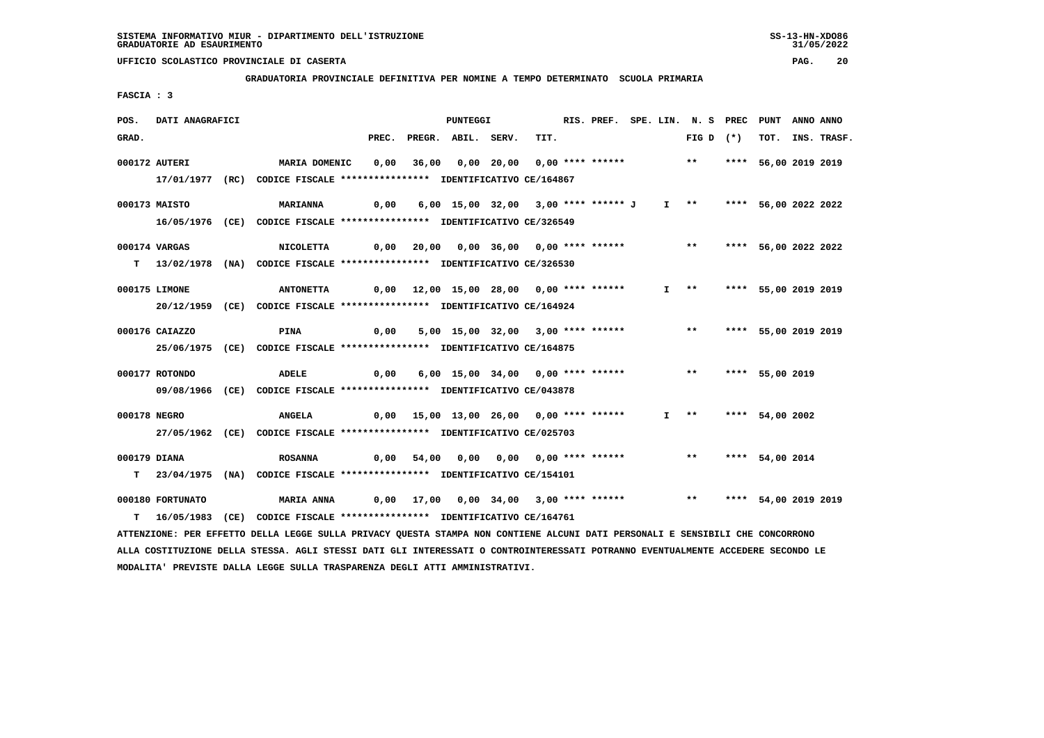**GRADUATORIA PROVINCIALE DEFINITIVA PER NOMINE A TEMPO DETERMINATO SCUOLA PRIMARIA**

 **FASCIA : 3**

| POS.         | DATI ANAGRAFICI  |                                                                                                                                 |      | <b>PUNTEGGI</b>                                                     |      | RIS. PREF. SPE. LIN. N. S PREC PUNT |  |                       |  |                         | ANNO ANNO |                  |
|--------------|------------------|---------------------------------------------------------------------------------------------------------------------------------|------|---------------------------------------------------------------------|------|-------------------------------------|--|-----------------------|--|-------------------------|-----------|------------------|
| GRAD.        |                  |                                                                                                                                 |      | PREC. PREGR. ABIL. SERV.                                            | TIT. |                                     |  | FIG D $(*)$           |  |                         |           | TOT. INS. TRASF. |
|              | 000172 AUTERI    | MARIA DOMENIC                                                                                                                   | 0,00 | 36,00 0,00 20,00 0,00 **** ****** *** *** **** 56,00 2019 2019      |      |                                     |  |                       |  |                         |           |                  |
|              |                  | 17/01/1977 (RC) CODICE FISCALE *************** IDENTIFICATIVO CE/164867                                                         |      |                                                                     |      |                                     |  |                       |  |                         |           |                  |
|              |                  |                                                                                                                                 |      |                                                                     |      |                                     |  |                       |  |                         |           |                  |
|              | 000173 MAISTO    | <b>MARIANNA</b>                                                                                                                 | 0,00 | 6,00 15,00 32,00 3,00 **** ****** J I **                            |      |                                     |  |                       |  | **** 56,00 2022 2022    |           |                  |
|              |                  | 16/05/1976 (CE) CODICE FISCALE *************** IDENTIFICATIVO CE/326549                                                         |      |                                                                     |      |                                     |  |                       |  |                         |           |                  |
|              |                  |                                                                                                                                 |      |                                                                     |      |                                     |  |                       |  |                         |           |                  |
|              | 000174 VARGAS    | <b>NICOLETTA</b>                                                                                                                |      | 0,00 20,00 0,00 36,00 0,00 **** ****** *** *** **** 56,00 2022 2022 |      |                                     |  |                       |  |                         |           |                  |
|              |                  | T 13/02/1978 (NA) CODICE FISCALE *************** IDENTIFICATIVO CE/326530                                                       |      |                                                                     |      |                                     |  |                       |  |                         |           |                  |
|              | 000175 LIMONE    | <b>ANTONETTA</b>                                                                                                                |      | $0,00$ 12,00 15,00 28,00 0,00 **** ******                           |      |                                     |  | $I \longrightarrow$   |  | **** 55,00 2019 2019    |           |                  |
|              |                  | 20/12/1959 (CE) CODICE FISCALE *************** IDENTIFICATIVO CE/164924                                                         |      |                                                                     |      |                                     |  |                       |  |                         |           |                  |
|              |                  |                                                                                                                                 |      |                                                                     |      |                                     |  |                       |  |                         |           |                  |
|              | 000176 CAIAZZO   | <b>PINA</b>                                                                                                                     | 0,00 | 5,00 15,00 32,00 3,00 **** ******                                   |      |                                     |  |                       |  | ** **** 55,00 2019 2019 |           |                  |
|              |                  | 25/06/1975 (CE) CODICE FISCALE *************** IDENTIFICATIVO CE/164875                                                         |      |                                                                     |      |                                     |  |                       |  |                         |           |                  |
|              |                  |                                                                                                                                 |      |                                                                     |      |                                     |  |                       |  |                         |           |                  |
|              | 000177 ROTONDO   | <b>ADELE</b>                                                                                                                    | 0,00 | 6,00 15,00 34,00 0,00 **** ******                                   |      |                                     |  | $***$                 |  | **** 55,00 2019         |           |                  |
|              |                  | 09/08/1966 (CE) CODICE FISCALE *************** IDENTIFICATIVO CE/043878                                                         |      |                                                                     |      |                                     |  |                       |  |                         |           |                  |
| 000178 NEGRO |                  | <b>ANGELA</b>                                                                                                                   |      | $0,00$ 15,00 13,00 26,00 0,00 **** ******                           |      |                                     |  | $I \rightarrow \star$ |  | **** 54,00 2002         |           |                  |
|              |                  | 27/05/1962 (CE) CODICE FISCALE *************** IDENTIFICATIVO CE/025703                                                         |      |                                                                     |      |                                     |  |                       |  |                         |           |                  |
|              |                  |                                                                                                                                 |      |                                                                     |      |                                     |  |                       |  |                         |           |                  |
| 000179 DIANA |                  | <b>ROSANNA</b>                                                                                                                  | 0,00 | 54,00  0,00  0,00  0,00  ****  ******                               |      |                                     |  |                       |  | ** **** 54,00 2014      |           |                  |
|              |                  | T 23/04/1975 (NA) CODICE FISCALE **************** IDENTIFICATIVO CE/154101                                                      |      |                                                                     |      |                                     |  |                       |  |                         |           |                  |
|              | 000180 FORTUNATO |                                                                                                                                 |      | $0,00$ 17,00 $0,00$ 34,00 3,00 **** ****** *** **                   |      |                                     |  |                       |  | **** 54,00 2019 2019    |           |                  |
|              |                  | <b>MARIA ANNA</b>                                                                                                               |      |                                                                     |      |                                     |  |                       |  |                         |           |                  |
|              |                  | T 16/05/1983 (CE) CODICE FISCALE *************** IDENTIFICATIVO CE/164761                                                       |      |                                                                     |      |                                     |  |                       |  |                         |           |                  |
|              |                  | ATTENZIONE: PER EFFETTO DELLA LEGGE SULLA PRIVACY OUESTA STAMPA NON CONTIENE ALCUNI DATI PERSONALI E SENSIBILI CHE CONCORRONO   |      |                                                                     |      |                                     |  |                       |  |                         |           |                  |
|              |                  | ALLA COSTITUZIONE DELLA STESSA. AGLI STESSI DATI GLI INTERESSATI O CONTROINTERESSATI POTRANNO EVENTUALMENTE ACCEDERE SECONDO LE |      |                                                                     |      |                                     |  |                       |  |                         |           |                  |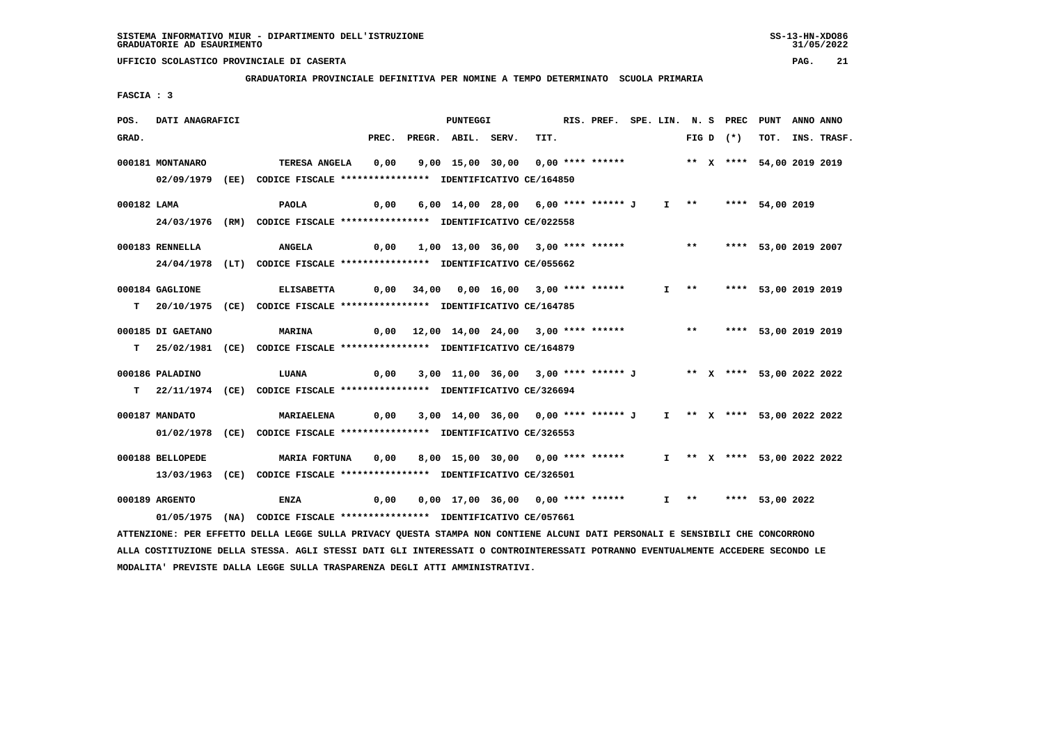**GRADUATORIA PROVINCIALE DEFINITIVA PER NOMINE A TEMPO DETERMINATO SCUOLA PRIMARIA**

 **FASCIA : 3**

| POS.        | DATI ANAGRAFICI   |                                                                                                                               |       | PUNTEGGI                                                                |      | RIS. PREF. SPE. LIN. N. S PREC PUNT |  |  |             |                           | ANNO ANNO |                  |
|-------------|-------------------|-------------------------------------------------------------------------------------------------------------------------------|-------|-------------------------------------------------------------------------|------|-------------------------------------|--|--|-------------|---------------------------|-----------|------------------|
| GRAD.       |                   |                                                                                                                               | PREC. | PREGR. ABIL. SERV.                                                      | TIT. |                                     |  |  | FIG D $(*)$ |                           |           | TOT. INS. TRASF. |
|             | 000181 MONTANARO  | <b>TERESA ANGELA</b>                                                                                                          | 0,00  | 9,00 15,00 30,00 0,00 **** ******             ** x **** 54,00 2019 2019 |      |                                     |  |  |             |                           |           |                  |
|             |                   | 02/09/1979 (EE) CODICE FISCALE *************** IDENTIFICATIVO CE/164850                                                       |       |                                                                         |      |                                     |  |  |             |                           |           |                  |
| 000182 LAMA |                   | <b>PAOLA</b>                                                                                                                  | 0,00  | 6,00 14,00 28,00 6,00 **** ****** J                                     |      |                                     |  |  |             | I ** **** 54,00 2019      |           |                  |
|             |                   | 24/03/1976 (RM) CODICE FISCALE *************** IDENTIFICATIVO CE/022558                                                       |       |                                                                         |      |                                     |  |  |             |                           |           |                  |
|             |                   |                                                                                                                               |       |                                                                         |      |                                     |  |  |             |                           |           |                  |
|             | 000183 RENNELLA   | <b>ANGELA</b>                                                                                                                 | 0,00  | 1,00 13,00 36,00 3,00 **** ****** *** **                                |      |                                     |  |  |             | **** 53,00 2019 2007      |           |                  |
|             |                   | 24/04/1978 (LT) CODICE FISCALE *************** IDENTIFICATIVO CE/055662                                                       |       |                                                                         |      |                                     |  |  |             |                           |           |                  |
|             | 000184 GAGLIONE   | <b>ELISABETTA</b>                                                                                                             |       | 0,00 34,00 0,00 16,00 3,00 **** ******                                  |      |                                     |  |  |             | I ** **** 53,00 2019 2019 |           |                  |
|             |                   | T 20/10/1975 (CE) CODICE FISCALE *************** IDENTIFICATIVO CE/164785                                                     |       |                                                                         |      |                                     |  |  |             |                           |           |                  |
|             | 000185 DI GAETANO | <b>MARINA</b>                                                                                                                 |       | 0,00 12,00 14,00 24,00 3,00 **** ****** *** **** 53,00 2019 2019        |      |                                     |  |  |             |                           |           |                  |
|             |                   | T 25/02/1981 (CE) CODICE FISCALE *************** IDENTIFICATIVO CE/164879                                                     |       |                                                                         |      |                                     |  |  |             |                           |           |                  |
|             |                   |                                                                                                                               |       |                                                                         |      |                                     |  |  |             |                           |           |                  |
|             | 000186 PALADINO   | LUANA                                                                                                                         | 0,00  | 3,00 11,00 36,00 3,00 **** ****** J ** X **** 53,00 2022 2022           |      |                                     |  |  |             |                           |           |                  |
|             |                   | T 22/11/1974 (CE) CODICE FISCALE *************** IDENTIFICATIVO CE/326694                                                     |       |                                                                         |      |                                     |  |  |             |                           |           |                  |
|             | 000187 MANDATO    | MARIAELENA                                                                                                                    | 0,00  | 3,00 14,00 36,00 0,00 **** ****** J I ** X **** 53,00 2022 2022         |      |                                     |  |  |             |                           |           |                  |
|             |                   | 01/02/1978 (CE) CODICE FISCALE *************** IDENTIFICATIVO CE/326553                                                       |       |                                                                         |      |                                     |  |  |             |                           |           |                  |
|             |                   |                                                                                                                               |       |                                                                         |      |                                     |  |  |             |                           |           |                  |
|             | 000188 BELLOPEDE  | <b>MARIA FORTUNA</b>                                                                                                          | 0,00  | 8,00 15,00 30,00 0,00 **** ****** I ** X **** 53,00 2022 2022           |      |                                     |  |  |             |                           |           |                  |
|             |                   | 13/03/1963 (CE) CODICE FISCALE *************** IDENTIFICATIVO CE/326501                                                       |       |                                                                         |      |                                     |  |  |             |                           |           |                  |
|             | 000189 ARGENTO    | <b>ENZA</b>                                                                                                                   | 0,00  | 0,00 17,00 36,00 0,00 **** ****** 1 ** **** 53,00 2022                  |      |                                     |  |  |             |                           |           |                  |
|             |                   | 01/05/1975 (NA) CODICE FISCALE *************** IDENTIFICATIVO CE/057661                                                       |       |                                                                         |      |                                     |  |  |             |                           |           |                  |
|             |                   | ATTENZIONE: PER EFFETTO DELLA LEGGE SULLA PRIVACY QUESTA STAMPA NON CONTIENE ALCUNI DATI PERSONALI E SENSIBILI CHE CONCORRONO |       |                                                                         |      |                                     |  |  |             |                           |           |                  |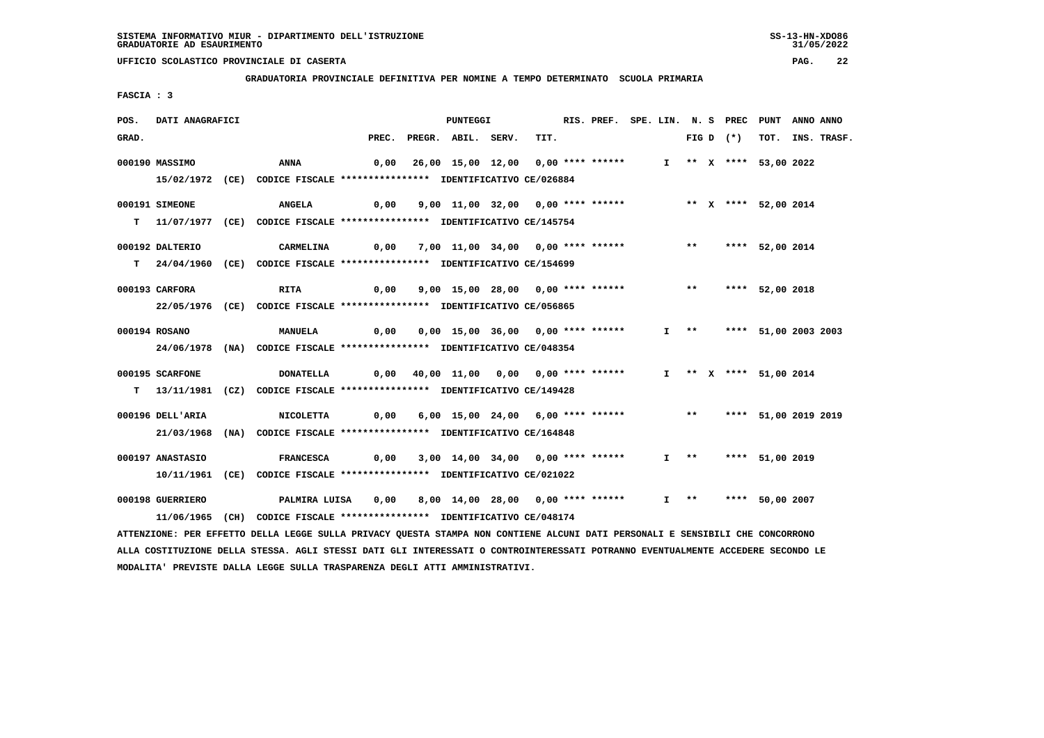**GRADUATORIA PROVINCIALE DEFINITIVA PER NOMINE A TEMPO DETERMINATO SCUOLA PRIMARIA**

 **FASCIA : 3**

| POS.  | DATI ANAGRAFICI  |                                                                                                                                 |       | <b>PUNTEGGI</b>                                            |      | RIS. PREF. SPE. LIN. N. S PREC PUNT |  |                     |             |                           | ANNO ANNO |                  |
|-------|------------------|---------------------------------------------------------------------------------------------------------------------------------|-------|------------------------------------------------------------|------|-------------------------------------|--|---------------------|-------------|---------------------------|-----------|------------------|
| GRAD. |                  |                                                                                                                                 | PREC. | PREGR. ABIL. SERV.                                         | TIT. |                                     |  |                     | FIG D $(*)$ |                           |           | TOT. INS. TRASF. |
|       | 000190 MASSIMO   | ANNA                                                                                                                            | 0,00  | 26,00 15,00 12,00 0,00 **** ******                         |      |                                     |  |                     |             | I ** X **** 53,00 2022    |           |                  |
|       |                  |                                                                                                                                 |       |                                                            |      |                                     |  |                     |             |                           |           |                  |
|       |                  | 15/02/1972 (CE) CODICE FISCALE *************** IDENTIFICATIVO CE/026884                                                         |       |                                                            |      |                                     |  |                     |             |                           |           |                  |
|       | 000191 SIMEONE   | <b>ANGELA</b>                                                                                                                   | 0,00  | 9,00 11,00 32,00 0,00 **** ****** *** ** ** *** 52,00 2014 |      |                                     |  |                     |             |                           |           |                  |
|       |                  | T 11/07/1977 (CE) CODICE FISCALE **************** IDENTIFICATIVO CE/145754                                                      |       |                                                            |      |                                     |  |                     |             |                           |           |                  |
|       |                  |                                                                                                                                 |       |                                                            |      |                                     |  |                     |             |                           |           |                  |
|       | 000192 DALTERIO  | CARMELINA                                                                                                                       | 0,00  | 7,00 11,00 34,00 0,00 **** ******                          |      |                                     |  |                     |             | ** **** 52,00 2014        |           |                  |
|       |                  | T 24/04/1960 (CE) CODICE FISCALE *************** IDENTIFICATIVO CE/154699                                                       |       |                                                            |      |                                     |  |                     |             |                           |           |                  |
|       |                  |                                                                                                                                 |       |                                                            |      |                                     |  |                     |             |                           |           |                  |
|       | 000193 CARFORA   | <b>RITA</b>                                                                                                                     | 0,00  | 9,00 15,00 28,00 0,00 **** ******                          |      |                                     |  | $***$               |             | **** 52,00 2018           |           |                  |
|       |                  | 22/05/1976 (CE) CODICE FISCALE *************** IDENTIFICATIVO CE/056865                                                         |       |                                                            |      |                                     |  |                     |             |                           |           |                  |
|       | 000194 ROSANO    | <b>MANUELA</b>                                                                                                                  | 0,00  | 0,00 15,00 36,00 0,00 **** ******                          |      |                                     |  |                     |             | I ** **** 51,00 2003 2003 |           |                  |
|       |                  | 24/06/1978 (NA) CODICE FISCALE *************** IDENTIFICATIVO CE/048354                                                         |       |                                                            |      |                                     |  |                     |             |                           |           |                  |
|       |                  |                                                                                                                                 |       |                                                            |      |                                     |  |                     |             |                           |           |                  |
|       | 000195 SCARFONE  | <b>DONATELLA</b>                                                                                                                |       | 0,00 40,00 11,00 0,00 0,00 **** ******                     |      |                                     |  |                     |             | I ** X **** 51,00 2014    |           |                  |
|       |                  | T 13/11/1981 (CZ) CODICE FISCALE **************** IDENTIFICATIVO CE/149428                                                      |       |                                                            |      |                                     |  |                     |             |                           |           |                  |
|       |                  |                                                                                                                                 |       |                                                            |      |                                     |  |                     |             |                           |           |                  |
|       | 000196 DELL'ARIA | <b>NICOLETTA</b>                                                                                                                | 0,00  | 6,00 15,00 24,00 6,00 **** ****** *** **** 51,00 2019 2019 |      |                                     |  |                     |             |                           |           |                  |
|       | 21/03/1968       | (NA) CODICE FISCALE **************** IDENTIFICATIVO CE/164848                                                                   |       |                                                            |      |                                     |  |                     |             |                           |           |                  |
|       |                  |                                                                                                                                 |       |                                                            |      |                                     |  |                     |             |                           |           |                  |
|       | 000197 ANASTASIO | <b>FRANCESCA</b>                                                                                                                | 0,00  | 3,00 14,00 34,00 0,00 **** ******                          |      |                                     |  | $I \longrightarrow$ |             | **** 51,00 2019           |           |                  |
|       |                  | 10/11/1961 (CE) CODICE FISCALE *************** IDENTIFICATIVO CE/021022                                                         |       |                                                            |      |                                     |  |                     |             |                           |           |                  |
|       | 000198 GUERRIERO | PALMIRA LUISA                                                                                                                   | 0,00  | 8,00 14,00 28,00 0,00 **** ******                          |      |                                     |  | $I \quad * \quad$   |             | **** 50,00 2007           |           |                  |
|       |                  | 11/06/1965 (CH) CODICE FISCALE *************** IDENTIFICATIVO CE/048174                                                         |       |                                                            |      |                                     |  |                     |             |                           |           |                  |
|       |                  | ATTENZIONE: PER EFFETTO DELLA LEGGE SULLA PRIVACY QUESTA STAMPA NON CONTIENE ALCUNI DATI PERSONALI E SENSIBILI CHE CONCORRONO   |       |                                                            |      |                                     |  |                     |             |                           |           |                  |
|       |                  | ALLA COSTITUZIONE DELLA STESSA. AGLI STESSI DATI GLI INTERESSATI O CONTROINTERESSATI POTRANNO EVENTUALMENTE ACCEDERE SECONDO LE |       |                                                            |      |                                     |  |                     |             |                           |           |                  |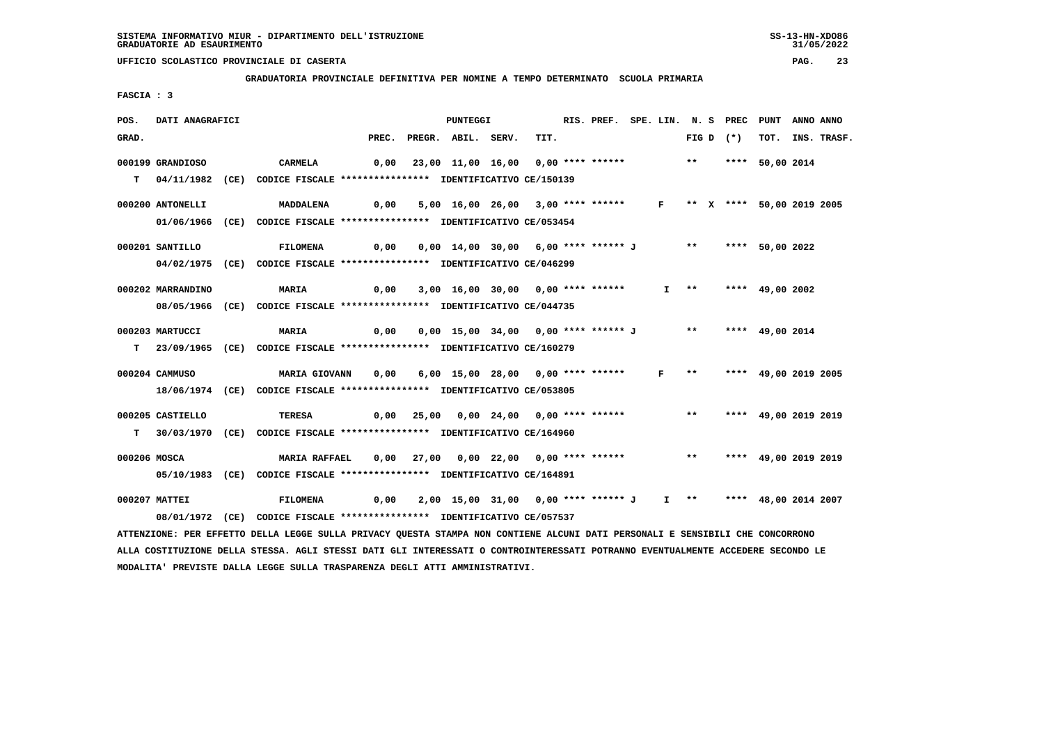**GRADUATORIA PROVINCIALE DEFINITIVA PER NOMINE A TEMPO DETERMINATO SCUOLA PRIMARIA**

 **FASCIA : 3**

| POS.  | DATI ANAGRAFICI   |                                                                                                                               |       | PUNTEGGI                                                                         |      | RIS. PREF. SPE. LIN. N. S PREC |  |                     |                           | PUNT            | ANNO ANNO |                  |
|-------|-------------------|-------------------------------------------------------------------------------------------------------------------------------|-------|----------------------------------------------------------------------------------|------|--------------------------------|--|---------------------|---------------------------|-----------------|-----------|------------------|
| GRAD. |                   |                                                                                                                               | PREC. | PREGR. ABIL. SERV.                                                               | TIT. |                                |  |                     | FIG D $(*)$               |                 |           | TOT. INS. TRASF. |
|       | 000199 GRANDIOSO  | CARMELA                                                                                                                       | 0,00  | 23,00 11,00 16,00 0,00 **** ****** *** *** **** 50,00 2014                       |      |                                |  |                     |                           |                 |           |                  |
|       |                   |                                                                                                                               |       |                                                                                  |      |                                |  |                     |                           |                 |           |                  |
|       |                   | T 04/11/1982 (CE) CODICE FISCALE *************** IDENTIFICATIVO CE/150139                                                     |       |                                                                                  |      |                                |  |                     |                           |                 |           |                  |
|       | 000200 ANTONELLI  | <b>MADDALENA</b>                                                                                                              | 0,00  | 5,00 16,00 26,00 3,00 **** ****** F ** X **** 50,00 2019 2005                    |      |                                |  |                     |                           |                 |           |                  |
|       |                   | 01/06/1966 (CE) CODICE FISCALE *************** IDENTIFICATIVO CE/053454                                                       |       |                                                                                  |      |                                |  |                     |                           |                 |           |                  |
|       |                   |                                                                                                                               |       |                                                                                  |      |                                |  |                     |                           |                 |           |                  |
|       | 000201 SANTILLO   | <b>FILOMENA</b>                                                                                                               | 0,00  | 0,00 14,00 30,00 6,00 **** ****** J ** **** 50,00 2022                           |      |                                |  |                     |                           |                 |           |                  |
|       |                   | 04/02/1975 (CE) CODICE FISCALE *************** IDENTIFICATIVO CE/046299                                                       |       |                                                                                  |      |                                |  |                     |                           |                 |           |                  |
|       |                   |                                                                                                                               |       |                                                                                  |      |                                |  |                     |                           |                 |           |                  |
|       | 000202 MARRANDINO | <b>MARIA</b>                                                                                                                  | 0,00  | 3,00 16,00 30,00 0,00 **** ******                                                |      |                                |  | $I \longrightarrow$ |                           | **** 49,00 2002 |           |                  |
|       |                   | 08/05/1966 (CE) CODICE FISCALE *************** IDENTIFICATIVO CE/044735                                                       |       |                                                                                  |      |                                |  |                     |                           |                 |           |                  |
|       | 000203 MARTUCCI   |                                                                                                                               |       | 0,00 15,00 34,00 0,00 **** ****** J ** **** 49,00 2014                           |      |                                |  |                     |                           |                 |           |                  |
|       |                   | <b>MARIA</b>                                                                                                                  | 0,00  |                                                                                  |      |                                |  |                     |                           |                 |           |                  |
|       |                   | T 23/09/1965 (CE) CODICE FISCALE *************** IDENTIFICATIVO CE/160279                                                     |       |                                                                                  |      |                                |  |                     |                           |                 |           |                  |
|       | 000204 CAMMUSO    | MARIA GIOVANN                                                                                                                 | 0,00  | 6,00 15,00 28,00 0,00 **** ******                                                |      |                                |  |                     | F ** **** 49,00 2019 2005 |                 |           |                  |
|       |                   | 18/06/1974 (CE) CODICE FISCALE *************** IDENTIFICATIVO CE/053805                                                       |       |                                                                                  |      |                                |  |                     |                           |                 |           |                  |
|       |                   |                                                                                                                               |       |                                                                                  |      |                                |  |                     |                           |                 |           |                  |
|       | 000205 CASTIELLO  | <b>TERESA</b>                                                                                                                 |       | 0,00 25,00 0,00 24,00 0,00 **** ****** *** *** **** 49,00 2019 2019              |      |                                |  |                     |                           |                 |           |                  |
|       |                   | T 30/03/1970 (CE) CODICE FISCALE *************** IDENTIFICATIVO CE/164960                                                     |       |                                                                                  |      |                                |  |                     |                           |                 |           |                  |
|       |                   |                                                                                                                               |       |                                                                                  |      |                                |  |                     |                           |                 |           |                  |
|       | 000206 MOSCA      | <b>MARIA RAFFAEL</b>                                                                                                          | 0,00  | 27,00  0,00  22,00  0,00  ****  ******    **    ****    ***    49,00  2019  2019 |      |                                |  |                     |                           |                 |           |                  |
|       |                   | 05/10/1983 (CE) CODICE FISCALE *************** IDENTIFICATIVO CE/164891                                                       |       |                                                                                  |      |                                |  |                     |                           |                 |           |                  |
|       | 000207 MATTEI     | <b>FILOMENA</b>                                                                                                               | 0,00  | 2,00 15,00 31,00 0,00 **** ****** J I ** **** 48,00 2014 2007                    |      |                                |  |                     |                           |                 |           |                  |
|       |                   | 08/01/1972 (CE) CODICE FISCALE *************** IDENTIFICATIVO CE/057537                                                       |       |                                                                                  |      |                                |  |                     |                           |                 |           |                  |
|       |                   | ATTENZIONE: PER EFFETTO DELLA LEGGE SULLA PRIVACY QUESTA STAMPA NON CONTIENE ALCUNI DATI PERSONALI E SENSIBILI CHE CONCORRONO |       |                                                                                  |      |                                |  |                     |                           |                 |           |                  |
|       |                   |                                                                                                                               |       |                                                                                  |      |                                |  |                     |                           |                 |           |                  |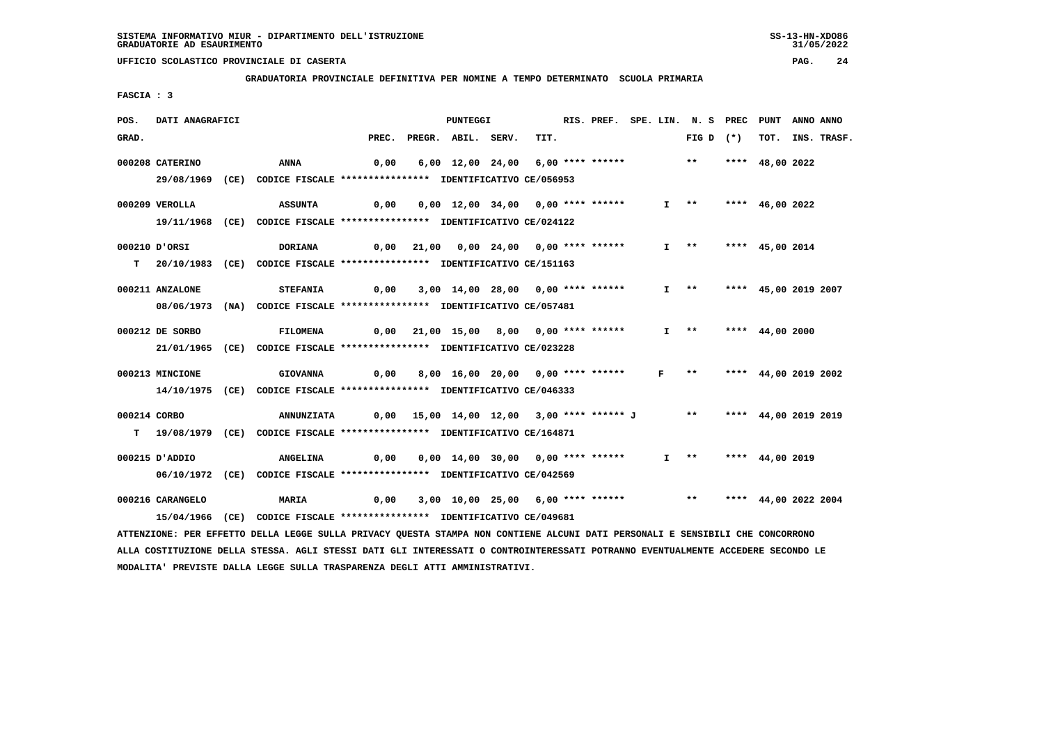**GRADUATORIA PROVINCIALE DEFINITIVA PER NOMINE A TEMPO DETERMINATO SCUOLA PRIMARIA**

 **FASCIA : 3**

| POS.  | DATI ANAGRAFICI  |                                                                                                                                 |       | <b>PUNTEGGI</b>                                |      | RIS. PREF. SPE. LIN. N. S PREC |   |                       |                      | PUNT                 | ANNO ANNO |             |
|-------|------------------|---------------------------------------------------------------------------------------------------------------------------------|-------|------------------------------------------------|------|--------------------------------|---|-----------------------|----------------------|----------------------|-----------|-------------|
| GRAD. |                  |                                                                                                                                 | PREC. | PREGR. ABIL. SERV.                             | TIT. |                                |   | FIG D $(*)$           |                      | тот.                 |           | INS. TRASF. |
|       | 000208 CATERINO  | <b>ANNA</b>                                                                                                                     | 0,00  | 6,00 12,00 24,00 6,00 **** ******              |      |                                |   | $***$                 |                      | **** $48.002022$     |           |             |
|       |                  | 29/08/1969 (CE) CODICE FISCALE *************** IDENTIFICATIVO CE/056953                                                         |       |                                                |      |                                |   |                       |                      |                      |           |             |
|       |                  |                                                                                                                                 |       |                                                |      |                                |   |                       |                      |                      |           |             |
|       | 000209 VEROLLA   | <b>ASSUNTA</b>                                                                                                                  | 0,00  | 0,00 12,00 34,00 0,00 **** ******              |      |                                |   | $I \rightarrow \star$ |                      | **** $46,00$ 2022    |           |             |
|       |                  | 19/11/1968 (CE) CODICE FISCALE *************** IDENTIFICATIVO CE/024122                                                         |       |                                                |      |                                |   |                       |                      |                      |           |             |
|       |                  |                                                                                                                                 |       |                                                |      |                                |   |                       |                      |                      |           |             |
|       | 000210 D'ORSI    | <b>DORIANA</b>                                                                                                                  | 0,00  | 21,00  0,00  24,00  0,00  ****  *******        |      |                                |   | $I$ **                |                      | **** 45,00 2014      |           |             |
|       |                  | T 20/10/1983 (CE) CODICE FISCALE **************** IDENTIFICATIVO CE/151163                                                      |       |                                                |      |                                |   |                       |                      |                      |           |             |
|       | 000211 ANZALONE  | <b>STEFANIA</b>                                                                                                                 | 0,00  | 3,00 14,00 28,00 0,00 **** ******              |      |                                |   | $I \rightarrow \star$ |                      | **** 45,00 2019 2007 |           |             |
|       |                  | 08/06/1973 (NA) CODICE FISCALE *************** IDENTIFICATIVO CE/057481                                                         |       |                                                |      |                                |   |                       |                      |                      |           |             |
|       |                  |                                                                                                                                 |       |                                                |      |                                |   |                       |                      |                      |           |             |
|       | 000212 DE SORBO  | <b>FILOMENA</b>                                                                                                                 | 0,00  | 21,00 15,00 8,00 0,00 **** ******              |      |                                |   | $I \quad * \quad$     |                      | **** $44,00$ 2000    |           |             |
|       |                  | 21/01/1965 (CE) CODICE FISCALE *************** IDENTIFICATIVO CE/023228                                                         |       |                                                |      |                                |   |                       |                      |                      |           |             |
|       | 000213 MINCIONE  | <b>GIOVANNA</b>                                                                                                                 |       |                                                |      |                                | F | $\star \star$         |                      |                      |           |             |
|       |                  |                                                                                                                                 | 0,00  | 8,00 16,00 20,00 0,00 **** ******              |      |                                |   |                       |                      | **** 44,00 2019 2002 |           |             |
|       |                  | 14/10/1975 (CE) CODICE FISCALE *************** IDENTIFICATIVO CE/046333                                                         |       |                                                |      |                                |   |                       |                      |                      |           |             |
|       | 000214 CORBO     | <b>ANNUNZIATA</b>                                                                                                               |       | $0,00$ 15,00 14,00 12,00 3,00 **** ****** J ** |      |                                |   |                       |                      | **** 44,00 2019 2019 |           |             |
|       |                  | T 19/08/1979 (CE) CODICE FISCALE *************** IDENTIFICATIVO CE/164871                                                       |       |                                                |      |                                |   |                       |                      |                      |           |             |
|       |                  |                                                                                                                                 |       |                                                |      |                                |   |                       |                      |                      |           |             |
|       | 000215 D'ADDIO   | <b>ANGELINA</b>                                                                                                                 | 0,00  | 0,00 14,00 30,00 0,00 **** ******              |      |                                |   |                       | I ** **** 44,00 2019 |                      |           |             |
|       |                  | 06/10/1972 (CE) CODICE FISCALE *************** IDENTIFICATIVO CE/042569                                                         |       |                                                |      |                                |   |                       |                      |                      |           |             |
|       |                  |                                                                                                                                 |       |                                                |      |                                |   |                       |                      |                      |           |             |
|       | 000216 CARANGELO | MARIA                                                                                                                           | 0,00  | 3,00 10,00 25,00 6,00 **** ****** *** **       |      |                                |   |                       |                      | **** 44,00 2022 2004 |           |             |
|       |                  | 15/04/1966 (CE) CODICE FISCALE *************** IDENTIFICATIVO CE/049681                                                         |       |                                                |      |                                |   |                       |                      |                      |           |             |
|       |                  | ATTENZIONE: PER EFFETTO DELLA LEGGE SULLA PRIVACY OUESTA STAMPA NON CONTIENE ALCUNI DATI PERSONALI E SENSIBILI CHE CONCORRONO   |       |                                                |      |                                |   |                       |                      |                      |           |             |
|       |                  | ALLA COSTITUZIONE DELLA STESSA. AGLI STESSI DATI GLI INTERESSATI O CONTROINTERESSATI POTRANNO EVENTUALMENTE ACCEDERE SECONDO LE |       |                                                |      |                                |   |                       |                      |                      |           |             |
|       |                  | MODALITA' PREVISTE DALLA LEGGE SULLA TRASPARENZA DEGLI ATTI AMMINISTRATIVI.                                                     |       |                                                |      |                                |   |                       |                      |                      |           |             |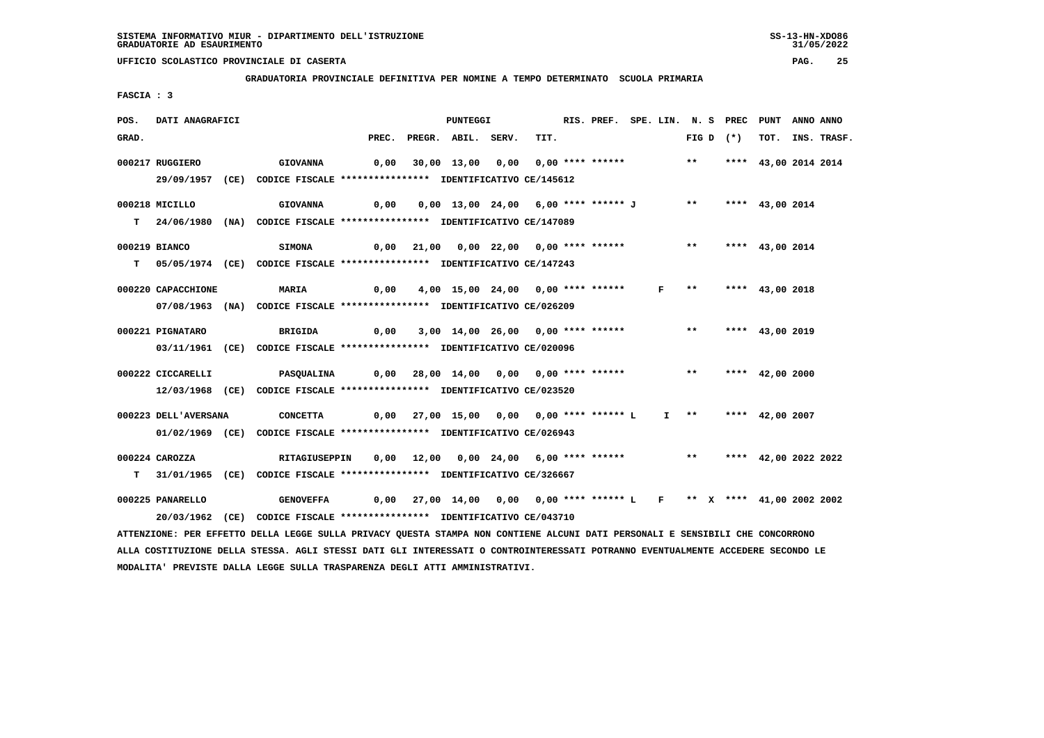**MODALITA' PREVISTE DALLA LEGGE SULLA TRASPARENZA DEGLI ATTI AMMINISTRATIVI.**

### **UFFICIO SCOLASTICO PROVINCIALE DI CASERTA PAG. 25**

 **GRADUATORIA PROVINCIALE DEFINITIVA PER NOMINE A TEMPO DETERMINATO SCUOLA PRIMARIA**

 **FASCIA : 3**

| POS.  | DATI ANAGRAFICI      |                                                                                                                                 |                                        | PUNTEGGI                                                             |       |      | RIS. PREF. SPE. LIN. N. S PREC |              |                           | PUNT                 | ANNO ANNO |             |
|-------|----------------------|---------------------------------------------------------------------------------------------------------------------------------|----------------------------------------|----------------------------------------------------------------------|-------|------|--------------------------------|--------------|---------------------------|----------------------|-----------|-------------|
| GRAD. |                      |                                                                                                                                 | PREC.                                  | PREGR. ABIL.                                                         | SERV. | TIT. |                                |              | FIG D $(*)$               | тот.                 |           | INS. TRASF. |
|       | 000217 RUGGIERO      | <b>GIOVANNA</b>                                                                                                                 |                                        | 0,00 30,00 13,00 0,00 0,00 **** ******                               |       |      |                                |              | $***$                     | **** 43,00 2014 2014 |           |             |
|       |                      | 29/09/1957 (CE) CODICE FISCALE *************** IDENTIFICATIVO CE/145612                                                         |                                        |                                                                      |       |      |                                |              |                           |                      |           |             |
|       | 000218 MICILLO       | <b>GIOVANNA</b>                                                                                                                 | 0,00                                   | 0,00 13,00 24,00 6,00 **** ****** J                                  |       |      |                                |              | $\star\star$              | **** $43,00$ 2014    |           |             |
|       |                      | T 24/06/1980 (NA) CODICE FISCALE *************** IDENTIFICATIVO CE/147089                                                       |                                        |                                                                      |       |      |                                |              |                           |                      |           |             |
|       |                      |                                                                                                                                 |                                        |                                                                      |       |      |                                |              |                           |                      |           |             |
|       | 000219 BIANCO        | <b>SIMONA</b>                                                                                                                   |                                        | 0,00 21,00 0,00 22,00 0,00 **** ******                               |       |      |                                |              | ** **** 43,00 2014        |                      |           |             |
|       |                      | T 05/05/1974 (CE) CODICE FISCALE **************** IDENTIFICATIVO CE/147243                                                      |                                        |                                                                      |       |      |                                |              |                           |                      |           |             |
|       | 000220 CAPACCHIONE   | <b>MARIA</b>                                                                                                                    | 0,00                                   | 4,00 15,00 24,00 0,00 **** ******                                    |       |      |                                | $\mathbf{F}$ | $***$                     | **** $43,00$ 2018    |           |             |
|       |                      | 07/08/1963 (NA) CODICE FISCALE *************** IDENTIFICATIVO CE/026209                                                         |                                        |                                                                      |       |      |                                |              |                           |                      |           |             |
|       |                      |                                                                                                                                 |                                        |                                                                      |       |      |                                |              |                           |                      |           |             |
|       | 000221 PIGNATARO     | <b>BRIGIDA</b>                                                                                                                  | 0,00                                   | 3,00 14,00 26,00 0,00 **** ******                                    |       |      |                                |              | $\boldsymbol{\star\star}$ | **** 43,00 2019      |           |             |
|       |                      | 03/11/1961 (CE) CODICE FISCALE *************** IDENTIFICATIVO CE/020096                                                         |                                        |                                                                      |       |      |                                |              |                           |                      |           |             |
|       | 000222 CICCARELLI    | <b>PASQUALINA</b>                                                                                                               | 0,00 28,00 14,00 0,00 0,00 **** ****** |                                                                      |       |      |                                |              | $***$                     | **** $42,00$ 2000    |           |             |
|       |                      | 12/03/1968 (CE) CODICE FISCALE *************** IDENTIFICATIVO CE/023520                                                         |                                        |                                                                      |       |      |                                |              |                           |                      |           |             |
|       |                      |                                                                                                                                 |                                        |                                                                      |       |      |                                |              |                           |                      |           |             |
|       | 000223 DELL'AVERSANA | <b>CONCETTA</b>                                                                                                                 |                                        | 0,00 27,00 15,00 0,00 0,00 **** ****** L                             |       |      |                                |              | I ** **** 42,00 2007      |                      |           |             |
|       |                      | 01/02/1969 (CE) CODICE FISCALE *************** IDENTIFICATIVO CE/026943                                                         |                                        |                                                                      |       |      |                                |              |                           |                      |           |             |
|       | $000224$ CAROZZA     | RITAGIUSEPPIN                                                                                                                   |                                        | 0,00 12,00 0,00 24,00 6,00 **** ******                               |       |      |                                |              | ** **** 42,00 2022 2022   |                      |           |             |
| T.    |                      | 31/01/1965 (CE) CODICE FISCALE *************** IDENTIFICATIVO CE/326667                                                         |                                        |                                                                      |       |      |                                |              |                           |                      |           |             |
|       | 000225 PANARELLO     | <b>GENOVEFFA</b>                                                                                                                |                                        | 0,00 27,00 14,00 0,00 0,00 **** ****** L F ** X **** 41,00 2002 2002 |       |      |                                |              |                           |                      |           |             |
|       |                      | 20/03/1962 (CE) CODICE FISCALE *************** IDENTIFICATIVO CE/043710                                                         |                                        |                                                                      |       |      |                                |              |                           |                      |           |             |
|       |                      | ATTENZIONE: PER EFFETTO DELLA LEGGE SULLA PRIVACY QUESTA STAMPA NON CONTIENE ALCUNI DATI PERSONALI E SENSIBILI CHE CONCORRONO   |                                        |                                                                      |       |      |                                |              |                           |                      |           |             |
|       |                      | ALLA COSTITUZIONE DELLA STESSA. AGLI STESSI DATI GLI INTERESSATI O CONTROINTERESSATI POTRANNO EVENTUALMENTE ACCEDERE SECONDO LE |                                        |                                                                      |       |      |                                |              |                           |                      |           |             |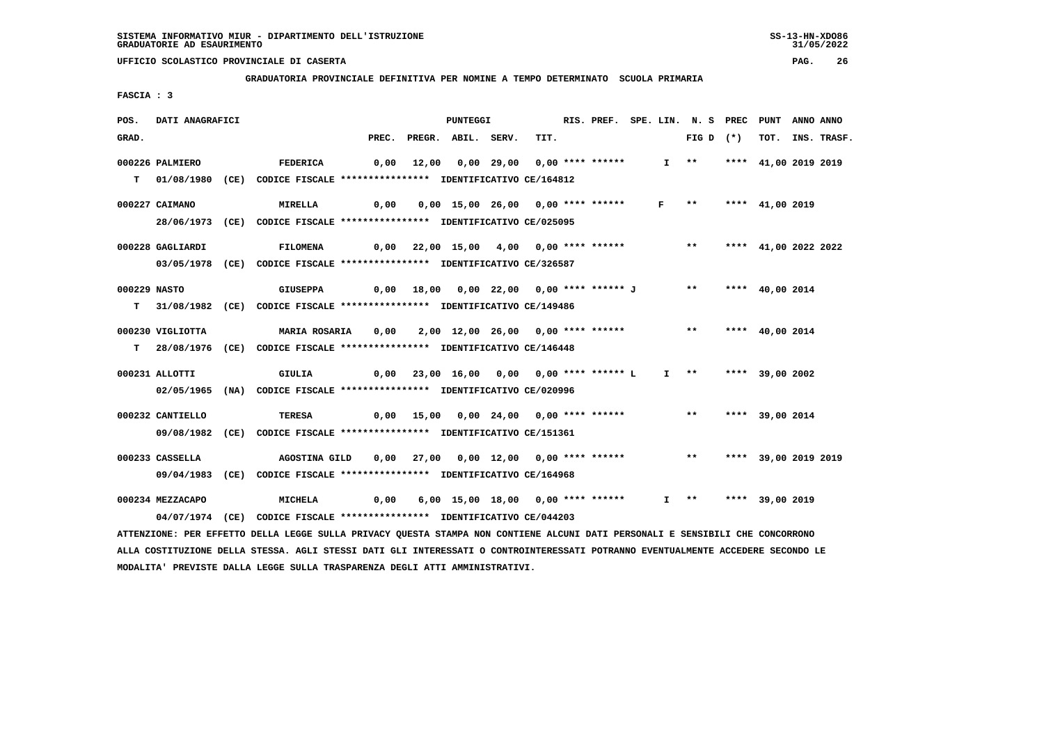**GRADUATORIA PROVINCIALE DEFINITIVA PER NOMINE A TEMPO DETERMINATO SCUOLA PRIMARIA**

 **FASCIA : 3**

| POS.  | DATI ANAGRAFICI  |                                                                                                                                 |       | PUNTEGGI                                          |      |  |              | RIS. PREF. SPE. LIN. N. S PREC | PUNT                 | ANNO ANNO |             |
|-------|------------------|---------------------------------------------------------------------------------------------------------------------------------|-------|---------------------------------------------------|------|--|--------------|--------------------------------|----------------------|-----------|-------------|
| GRAD. |                  |                                                                                                                                 | PREC. | PREGR. ABIL. SERV.                                | TIT. |  |              | FIG D $(*)$                    | тот.                 |           | INS. TRASF. |
|       | 000226 PALMIERO  | <b>FEDERICA</b>                                                                                                                 |       | 0,00 12,00 0,00 29,00 0,00 **** ******            |      |  |              | $I \longrightarrow$            | **** 41,00 2019 2019 |           |             |
|       |                  | T 01/08/1980 (CE) CODICE FISCALE **************** IDENTIFICATIVO CE/164812                                                      |       |                                                   |      |  |              |                                |                      |           |             |
|       |                  |                                                                                                                                 |       |                                                   |      |  |              |                                |                      |           |             |
|       | 000227 CAIMANO   | MIRELLA                                                                                                                         | 0,00  | 0,00 15,00 26,00 0,00 **** ******                 |      |  | $\mathbf{F}$ | $***$                          | **** 41,00 2019      |           |             |
|       |                  | 28/06/1973 (CE) CODICE FISCALE *************** IDENTIFICATIVO CE/025095                                                         |       |                                                   |      |  |              |                                |                      |           |             |
|       | 000228 GAGLIARDI | <b>FILOMENA</b>                                                                                                                 |       | 0,00 22,00 15,00 4,00 0,00 **** ******            |      |  |              | ** **** 41,00 2022 2022        |                      |           |             |
|       |                  | 03/05/1978 (CE) CODICE FISCALE *************** IDENTIFICATIVO CE/326587                                                         |       |                                                   |      |  |              |                                |                      |           |             |
|       |                  |                                                                                                                                 |       |                                                   |      |  |              |                                |                      |           |             |
|       | 000229 NASTO     | <b>GIUSEPPA</b>                                                                                                                 | 0,00  | 18,00  0,00  22,00  0,00  ****  ******  J  **  ** |      |  |              |                                | **** 40,00 2014      |           |             |
|       |                  | T 31/08/1982 (CE) CODICE FISCALE *************** IDENTIFICATIVO CE/149486                                                       |       |                                                   |      |  |              |                                |                      |           |             |
|       | 000230 VIGLIOTTA | MARIA ROSARIA                                                                                                                   | 0,00  | 2,00 12,00 26,00 0,00 **** ****** *** **          |      |  |              |                                | **** $40,00$ 2014    |           |             |
|       |                  | T 28/08/1976 (CE) CODICE FISCALE **************** IDENTIFICATIVO CE/146448                                                      |       |                                                   |      |  |              |                                |                      |           |             |
|       |                  |                                                                                                                                 |       |                                                   |      |  |              |                                |                      |           |             |
|       | 000231 ALLOTTI   | GIULIA                                                                                                                          |       | 0,00 23,00 16,00 0,00 0,00 **** ****** L          |      |  |              | I ** **** 39,00 2002           |                      |           |             |
|       |                  | 02/05/1965 (NA) CODICE FISCALE *************** IDENTIFICATIVO CE/020996                                                         |       |                                                   |      |  |              |                                |                      |           |             |
|       | 000232 CANTIELLO | TERESA                                                                                                                          |       | 0,00 15,00 0,00 24,00 0,00 **** ******            |      |  |              | $***$                          | **** 39,00 2014      |           |             |
|       |                  | 09/08/1982 (CE) CODICE FISCALE *************** IDENTIFICATIVO CE/151361                                                         |       |                                                   |      |  |              |                                |                      |           |             |
|       |                  |                                                                                                                                 |       |                                                   |      |  |              |                                |                      |           |             |
|       | 000233 CASSELLA  | AGOSTINA GILD                                                                                                                   |       | 0,00 27,00 0,00 12,00 0,00 **** ******            |      |  |              | ** **** 39,00 2019 2019        |                      |           |             |
|       |                  | 09/04/1983 (CE) CODICE FISCALE *************** IDENTIFICATIVO CE/164968                                                         |       |                                                   |      |  |              |                                |                      |           |             |
|       | 000234 MEZZACAPO | <b>MICHELA</b>                                                                                                                  | 0,00  | 6,00 15,00 18,00 0,00 **** ******                 |      |  |              | $I \rightarrow \star$          | **** 39,00 2019      |           |             |
|       |                  | 04/07/1974 (CE) CODICE FISCALE *************** IDENTIFICATIVO CE/044203                                                         |       |                                                   |      |  |              |                                |                      |           |             |
|       |                  | ATTENZIONE: PER EFFETTO DELLA LEGGE SULLA PRIVACY QUESTA STAMPA NON CONTIENE ALCUNI DATI PERSONALI E SENSIBILI CHE CONCORRONO   |       |                                                   |      |  |              |                                |                      |           |             |
|       |                  | ALLA COSTITUZIONE DELLA STESSA. AGLI STESSI DATI GLI INTERESSATI O CONTROINTERESSATI POTRANNO EVENTUALMENTE ACCEDERE SECONDO LE |       |                                                   |      |  |              |                                |                      |           |             |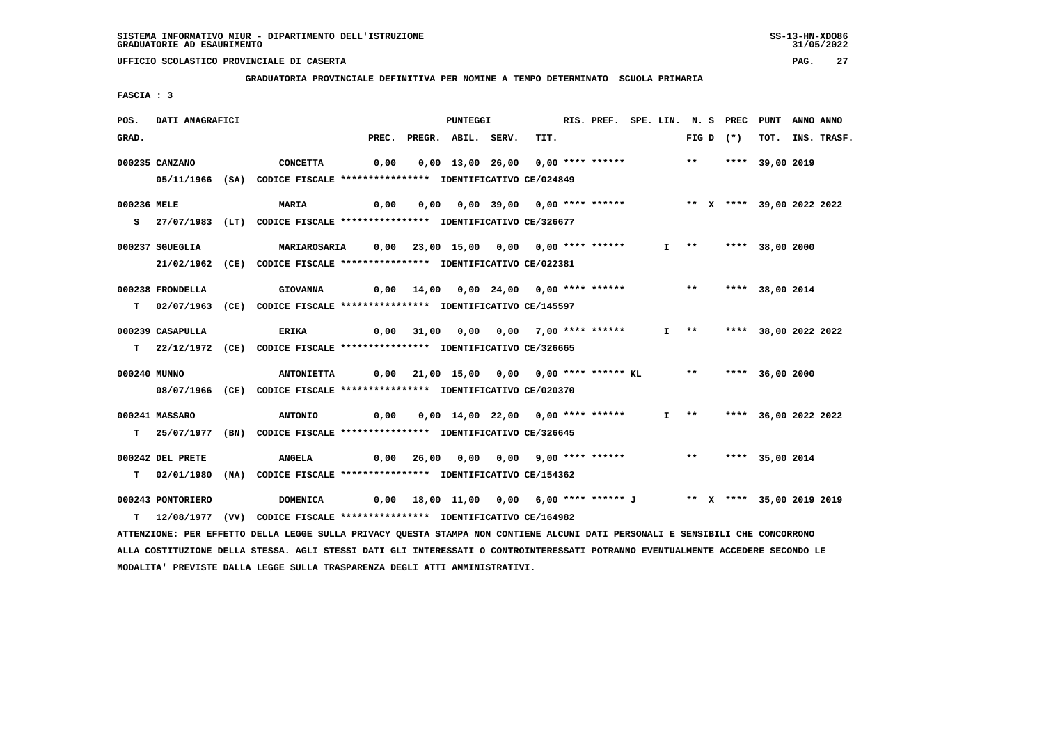**GRADUATORIA PROVINCIALE DEFINITIVA PER NOMINE A TEMPO DETERMINATO SCUOLA PRIMARIA**

 **FASCIA : 3**

| POS.         | DATI ANAGRAFICI   |                                                                                                                                 |       | PUNTEGGI                                                                     |      | RIS. PREF. SPE. LIN. N. S PREC PUNT |  |                   |             |                                 | ANNO ANNO |                  |
|--------------|-------------------|---------------------------------------------------------------------------------------------------------------------------------|-------|------------------------------------------------------------------------------|------|-------------------------------------|--|-------------------|-------------|---------------------------------|-----------|------------------|
| GRAD.        |                   |                                                                                                                                 | PREC. | PREGR. ABIL. SERV.                                                           | TIT. |                                     |  |                   | FIG D $(*)$ |                                 |           | TOT. INS. TRASF. |
|              | 000235 CANZANO    | <b>CONCETTA</b>                                                                                                                 | 0,00  | $0,00$ 13,00 26,00 0,00 **** ****** *** **                                   |      |                                     |  |                   |             | **** 39,00 2019                 |           |                  |
|              |                   | 05/11/1966 (SA) CODICE FISCALE *************** IDENTIFICATIVO CE/024849                                                         |       |                                                                              |      |                                     |  |                   |             |                                 |           |                  |
|              |                   |                                                                                                                                 |       |                                                                              |      |                                     |  |                   |             |                                 |           |                  |
| 000236 MELE  |                   | <b>MARIA</b>                                                                                                                    | 0,00  | 0,00 0,00 39,00 0,00 **** ******                                             |      |                                     |  |                   |             | ** X **** 39,00 2022 2022       |           |                  |
|              |                   | S 27/07/1983 (LT) CODICE FISCALE *************** IDENTIFICATIVO CE/326677                                                       |       |                                                                              |      |                                     |  |                   |             |                                 |           |                  |
|              |                   |                                                                                                                                 |       |                                                                              |      |                                     |  |                   |             |                                 |           |                  |
|              | 000237 SGUEGLIA   | <b>MARIAROSARIA</b>                                                                                                             |       |                                                                              |      |                                     |  |                   |             | I ** **** 38,00 2000            |           |                  |
|              |                   | 21/02/1962 (CE) CODICE FISCALE *************** IDENTIFICATIVO CE/022381                                                         |       |                                                                              |      |                                     |  |                   |             |                                 |           |                  |
|              | 000238 FRONDELLA  | <b>GIOVANNA</b>                                                                                                                 |       | $0,00$ $14,00$ $0,00$ $24,00$ $0,00$ $***$ **** *****                        |      |                                     |  | $***$             |             | **** 38,00 2014                 |           |                  |
|              |                   | T 02/07/1963 (CE) CODICE FISCALE *************** IDENTIFICATIVO CE/145597                                                       |       |                                                                              |      |                                     |  |                   |             |                                 |           |                  |
|              |                   |                                                                                                                                 |       |                                                                              |      |                                     |  |                   |             |                                 |           |                  |
|              | 000239 CASAPULLA  | ERIKA                                                                                                                           |       | $0,00$ 31,00 0,00 0,00 7,00 **** ******                                      |      |                                     |  |                   |             | I **     ****   38,00 2022 2022 |           |                  |
|              |                   | T 22/12/1972 (CE) CODICE FISCALE *************** IDENTIFICATIVO CE/326665                                                       |       |                                                                              |      |                                     |  |                   |             |                                 |           |                  |
|              |                   |                                                                                                                                 |       |                                                                              |      |                                     |  |                   |             |                                 |           |                  |
| 000240 MUNNO |                   | <b>ANTONIETTA</b>                                                                                                               |       | 0,00 21,00 15,00 0,00 0,00 **** ****** KL ** **** 36,00 2000                 |      |                                     |  |                   |             |                                 |           |                  |
|              |                   | 08/07/1966 (CE) CODICE FISCALE *************** IDENTIFICATIVO CE/020370                                                         |       |                                                                              |      |                                     |  |                   |             |                                 |           |                  |
|              | 000241 MASSARO    | <b>ANTONIO</b>                                                                                                                  | 0,00  | 0,00 14,00 22,00 0,00 **** ******                                            |      |                                     |  | $I \quad * \quad$ |             | **** 36,00 2022 2022            |           |                  |
|              |                   | T 25/07/1977 (BN) CODICE FISCALE **************** IDENTIFICATIVO CE/326645                                                      |       |                                                                              |      |                                     |  |                   |             |                                 |           |                  |
|              |                   |                                                                                                                                 |       |                                                                              |      |                                     |  |                   |             |                                 |           |                  |
|              | 000242 DEL PRETE  | <b>ANGELA</b>                                                                                                                   |       | 0,00 26,00 0,00 0,00 9,00 **** ******               **       **** 35,00 2014 |      |                                     |  |                   |             |                                 |           |                  |
|              |                   | T 02/01/1980 (NA) CODICE FISCALE *************** IDENTIFICATIVO CE/154362                                                       |       |                                                                              |      |                                     |  |                   |             |                                 |           |                  |
|              |                   |                                                                                                                                 |       |                                                                              |      |                                     |  |                   |             |                                 |           |                  |
|              | 000243 PONTORIERO | <b>DOMENICA</b>                                                                                                                 |       | 0,00 18,00 11,00 0,00 6,00 **** ****** J ** X **** 35,00 2019 2019           |      |                                     |  |                   |             |                                 |           |                  |
|              |                   | T 12/08/1977 (VV) CODICE FISCALE *************** IDENTIFICATIVO CE/164982                                                       |       |                                                                              |      |                                     |  |                   |             |                                 |           |                  |
|              |                   | ATTENZIONE: PER EFFETTO DELLA LEGGE SULLA PRIVACY QUESTA STAMPA NON CONTIENE ALCUNI DATI PERSONALI E SENSIBILI CHE CONCORRONO   |       |                                                                              |      |                                     |  |                   |             |                                 |           |                  |
|              |                   | ALLA COSTITUZIONE DELLA STESSA. AGLI STESSI DATI GLI INTERESSATI O CONTROINTERESSATI POTRANNO EVENTUALMENTE ACCEDERE SECONDO LE |       |                                                                              |      |                                     |  |                   |             |                                 |           |                  |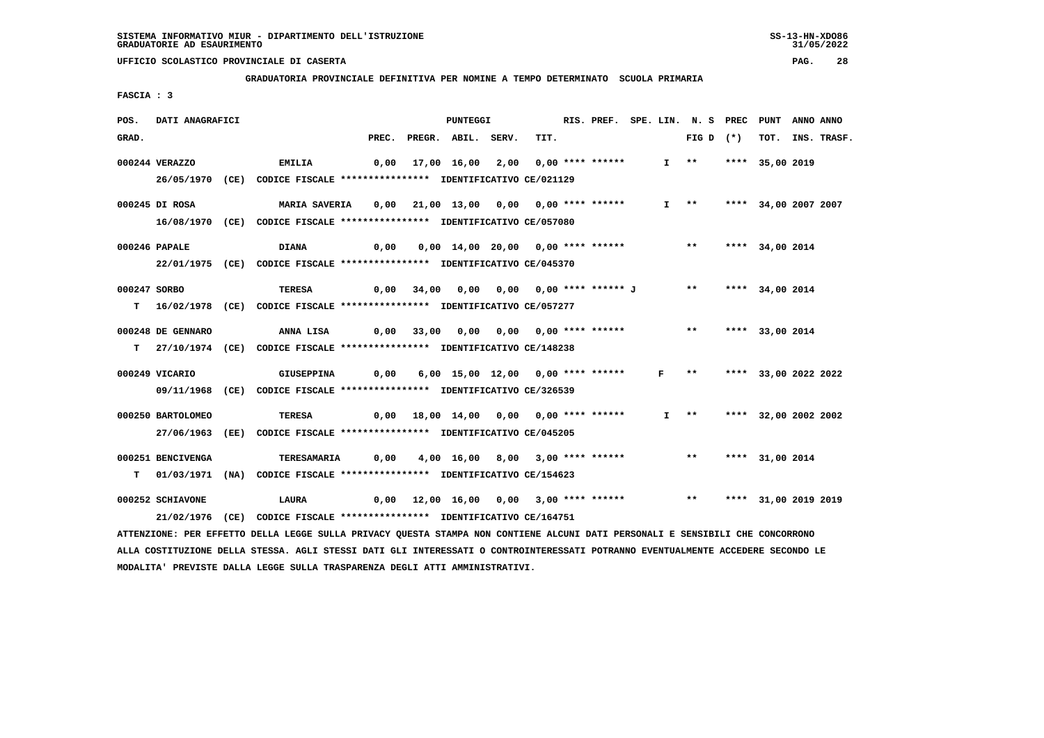**GRADUATORIA PROVINCIALE DEFINITIVA PER NOMINE A TEMPO DETERMINATO SCUOLA PRIMARIA**

 **FASCIA : 3**

| POS.  | DATI ANAGRAFICI   |                                                                                                                                 |      | <b>PUNTEGGI</b>                          |      | RIS. PREF. SPE. LIN. N. S PREC PUNT |              |                           |                      | ANNO ANNO |                  |
|-------|-------------------|---------------------------------------------------------------------------------------------------------------------------------|------|------------------------------------------|------|-------------------------------------|--------------|---------------------------|----------------------|-----------|------------------|
| GRAD. |                   |                                                                                                                                 |      | PREC. PREGR. ABIL. SERV.                 | TIT. |                                     |              | FIG D $(*)$               |                      |           | TOT. INS. TRASF. |
|       | 000244 VERAZZO    | <b>EMILIA</b>                                                                                                                   |      | 0,00 17,00 16,00 2,00 0,00 **** ******   |      |                                     |              | $I \rightarrow \star$     | **** 35,00 2019      |           |                  |
|       |                   | 26/05/1970 (CE) CODICE FISCALE *************** IDENTIFICATIVO CE/021129                                                         |      |                                          |      |                                     |              |                           |                      |           |                  |
|       |                   |                                                                                                                                 |      |                                          |      |                                     |              |                           |                      |           |                  |
|       | 000245 DI ROSA    | <b>MARIA SAVERIA</b>                                                                                                            |      | 0,00 21,00 13,00 0,00 0,00 **** ******   |      |                                     |              | $I \longrightarrow$       | **** 34,00 2007 2007 |           |                  |
|       |                   | 16/08/1970 (CE) CODICE FISCALE *************** IDENTIFICATIVO CE/057080                                                         |      |                                          |      |                                     |              |                           |                      |           |                  |
|       |                   |                                                                                                                                 |      |                                          |      |                                     |              |                           |                      |           |                  |
|       | 000246 PAPALE     | <b>DIANA</b>                                                                                                                    | 0,00 | 0,00 14,00 20,00 0,00 **** ******        |      |                                     |              | ** **** 34,00 2014        |                      |           |                  |
|       |                   | 22/01/1975 (CE) CODICE FISCALE *************** IDENTIFICATIVO CE/045370                                                         |      |                                          |      |                                     |              |                           |                      |           |                  |
|       | 000247 SORBO      | TERESA                                                                                                                          |      | 0,00 34,00 0,00 0,00 0,00 **** ****** J  |      |                                     |              | $***$                     | **** 34,00 2014      |           |                  |
|       |                   | T 16/02/1978 (CE) CODICE FISCALE *************** IDENTIFICATIVO CE/057277                                                       |      |                                          |      |                                     |              |                           |                      |           |                  |
|       |                   |                                                                                                                                 |      |                                          |      |                                     |              |                           |                      |           |                  |
|       | 000248 DE GENNARO | ANNA LISA                                                                                                                       |      | 0,00 33,00 0,00 0,00 0,00 **** ******    |      |                                     |              | ** **** 33,00 2014        |                      |           |                  |
|       |                   | T 27/10/1974 (CE) CODICE FISCALE *************** IDENTIFICATIVO CE/148238                                                       |      |                                          |      |                                     |              |                           |                      |           |                  |
|       |                   |                                                                                                                                 |      |                                          |      |                                     |              |                           |                      |           |                  |
|       | 000249 VICARIO    | GIUSEPPINA                                                                                                                      | 0,00 | 6,00 15,00 12,00 0,00 **** ******        |      |                                     | $\mathbf{F}$ | $***$                     | **** 33,00 2022 2022 |           |                  |
|       |                   | 09/11/1968 (CE) CODICE FISCALE *************** IDENTIFICATIVO CE/326539                                                         |      |                                          |      |                                     |              |                           |                      |           |                  |
|       | 000250 BARTOLOMEO | TERESA                                                                                                                          |      | 0,00 18,00 14,00 0,00 0,00 **** ******   |      |                                     |              | I ** **** 32,00 2002 2002 |                      |           |                  |
|       |                   | 27/06/1963 (EE) CODICE FISCALE *************** IDENTIFICATIVO CE/045205                                                         |      |                                          |      |                                     |              |                           |                      |           |                  |
|       |                   |                                                                                                                                 |      |                                          |      |                                     |              |                           |                      |           |                  |
|       | 000251 BENCIVENGA | TERESAMARIA                                                                                                                     | 0,00 | 4,00 16,00 8,00 3,00 **** ******         |      |                                     |              | ** **** 31,00 2014        |                      |           |                  |
|       |                   | T 01/03/1971 (NA) CODICE FISCALE **************** IDENTIFICATIVO CE/154623                                                      |      |                                          |      |                                     |              |                           |                      |           |                  |
|       | 000252 SCHIAVONE  | LAURA                                                                                                                           |      | $0,00$ 12,00 16,00 0,00 3,00 **** ****** |      |                                     |              | ** **** 31,00 2019 2019   |                      |           |                  |
|       |                   | 21/02/1976 (CE) CODICE FISCALE *************** IDENTIFICATIVO CE/164751                                                         |      |                                          |      |                                     |              |                           |                      |           |                  |
|       |                   |                                                                                                                                 |      |                                          |      |                                     |              |                           |                      |           |                  |
|       |                   | ATTENZIONE: PER EFFETTO DELLA LEGGE SULLA PRIVACY QUESTA STAMPA NON CONTIENE ALCUNI DATI PERSONALI E SENSIBILI CHE CONCORRONO   |      |                                          |      |                                     |              |                           |                      |           |                  |
|       |                   | ALLA COSTITUZIONE DELLA STESSA. AGLI STESSI DATI GLI INTERESSATI O CONTROINTERESSATI POTRANNO EVENTUALMENTE ACCEDERE SECONDO LE |      |                                          |      |                                     |              |                           |                      |           |                  |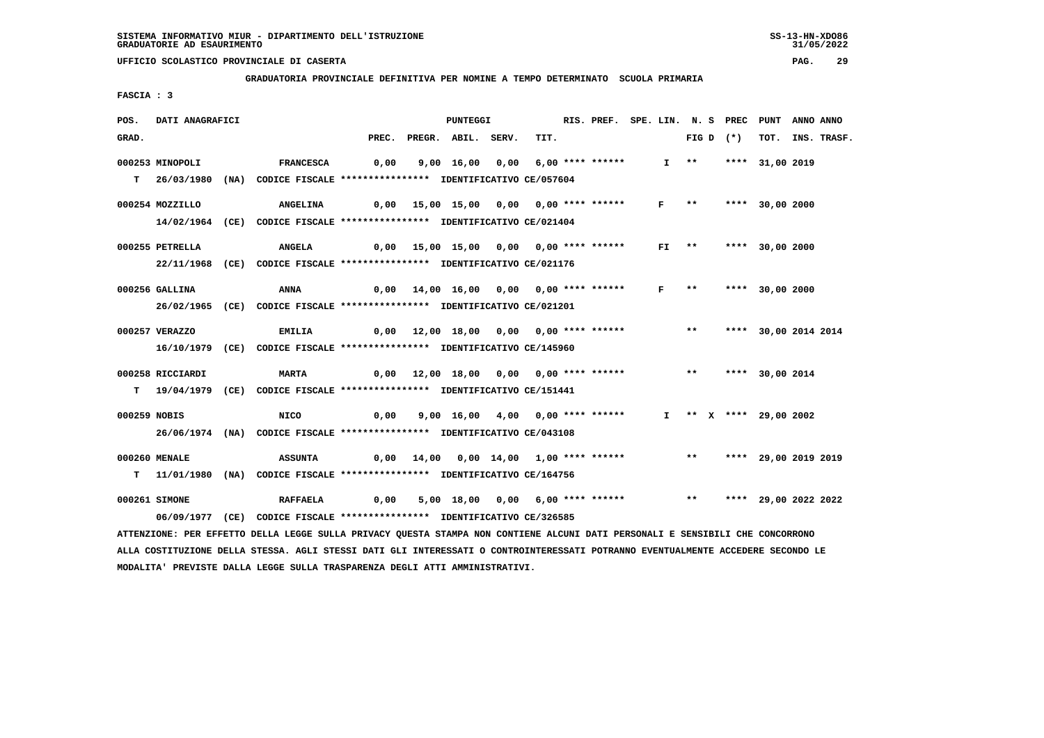**GRADUATORIA PROVINCIALE DEFINITIVA PER NOMINE A TEMPO DETERMINATO SCUOLA PRIMARIA**

 **FASCIA : 3**

| POS.         | DATI ANAGRAFICI                                                                                                                 |                  |       | <b>PUNTEGGI</b>                          |      | RIS. PREF. SPE. LIN. N. S PREC |         |                   |             | PUNT                    | ANNO ANNO |             |
|--------------|---------------------------------------------------------------------------------------------------------------------------------|------------------|-------|------------------------------------------|------|--------------------------------|---------|-------------------|-------------|-------------------------|-----------|-------------|
| GRAD.        |                                                                                                                                 |                  | PREC. | PREGR. ABIL. SERV.                       | TIT. |                                |         |                   | FIG D $(*)$ | тот.                    |           | INS. TRASF. |
|              | 000253 MINOPOLI                                                                                                                 | <b>FRANCESCA</b> | 0,00  | 9,00 16,00 0,00 6,00 **** ******         |      |                                |         | $I \quad * \quad$ |             | **** 31,00 2019         |           |             |
| т            | 26/03/1980 (NA) CODICE FISCALE *************** IDENTIFICATIVO CE/057604                                                         |                  |       |                                          |      |                                |         |                   |             |                         |           |             |
|              |                                                                                                                                 |                  |       |                                          |      |                                |         |                   |             |                         |           |             |
|              | 000254 MOZZILLO                                                                                                                 | <b>ANGELINA</b>  |       | $0,00$ 15,00 15,00 0,00 0,00 **** ****** |      |                                | F       | $***$             |             | **** 30,00 2000         |           |             |
|              | 14/02/1964 (CE) CODICE FISCALE **************** IDENTIFICATIVO CE/021404                                                        |                  |       |                                          |      |                                |         |                   |             |                         |           |             |
|              |                                                                                                                                 |                  |       |                                          |      |                                |         |                   |             |                         |           |             |
|              | 000255 PETRELLA                                                                                                                 | <b>ANGELA</b>    |       | $0,00$ 15,00 15,00 0,00 0,00 **** ****** |      |                                | $FI$ ** |                   |             | **** 30,00 2000         |           |             |
|              | 22/11/1968 (CE) CODICE FISCALE *************** IDENTIFICATIVO CE/021176                                                         |                  |       |                                          |      |                                |         |                   |             |                         |           |             |
|              | 000256 GALLINA                                                                                                                  | ANNA             | 0,00  | 14,00 16,00 0,00 0,00 **** ******        |      |                                | F       | $***$             |             | **** 30,00 2000         |           |             |
|              | 26/02/1965 (CE) CODICE FISCALE *************** IDENTIFICATIVO CE/021201                                                         |                  |       |                                          |      |                                |         |                   |             |                         |           |             |
|              |                                                                                                                                 |                  |       |                                          |      |                                |         |                   |             |                         |           |             |
|              | 000257 VERAZZO                                                                                                                  | <b>EMILIA</b>    |       | 0,00 12,00 18,00 0,00 0,00 **** ******   |      |                                |         | $***$             |             | **** 30,00 2014 2014    |           |             |
|              | 16/10/1979 (CE) CODICE FISCALE **************** IDENTIFICATIVO CE/145960                                                        |                  |       |                                          |      |                                |         |                   |             |                         |           |             |
|              |                                                                                                                                 |                  |       |                                          |      |                                |         |                   |             |                         |           |             |
|              | 000258 RICCIARDI                                                                                                                | <b>MARTA</b>     | 0,00  | 12,00 18,00 0,00 0,00 **** ******        |      |                                |         | $\star\star$      |             | **** 30,00 2014         |           |             |
|              | T 19/04/1979 (CE) CODICE FISCALE **************** IDENTIFICATIVO CE/151441                                                      |                  |       |                                          |      |                                |         |                   |             |                         |           |             |
| 000259 NOBIS |                                                                                                                                 | <b>NICO</b>      | 0,00  | 9,00 16,00 4,00 0,00 **** ******         |      |                                |         |                   |             | I ** X **** 29,00 2002  |           |             |
|              | 26/06/1974 (NA) CODICE FISCALE *************** IDENTIFICATIVO CE/043108                                                         |                  |       |                                          |      |                                |         |                   |             |                         |           |             |
|              |                                                                                                                                 |                  |       |                                          |      |                                |         |                   |             |                         |           |             |
|              | 000260 MENALE                                                                                                                   | <b>ASSUNTA</b>   | 0,00  | 14,00  0,00  14,00  1,00  ****  ******   |      |                                |         |                   |             | ** **** 29,00 2019 2019 |           |             |
|              | T                 11/01/1980 (NA)                    CODICE FISCALE **************** IDENTIFICATIVO CE/164756                   |                  |       |                                          |      |                                |         |                   |             |                         |           |             |
|              |                                                                                                                                 |                  |       |                                          |      |                                |         |                   |             | ** **** 29,00 2022 2022 |           |             |
|              | 000261 SIMONE                                                                                                                   | <b>RAFFAELA</b>  | 0,00  | 5,00 18,00 0,00 6,00 **** ******         |      |                                |         |                   |             |                         |           |             |
|              | 06/09/1977 (CE) CODICE FISCALE *************** IDENTIFICATIVO CE/326585                                                         |                  |       |                                          |      |                                |         |                   |             |                         |           |             |
|              | ATTENZIONE: PER EFFETTO DELLA LEGGE SULLA PRIVACY QUESTA STAMPA NON CONTIENE ALCUNI DATI PERSONALI E SENSIBILI CHE CONCORRONO   |                  |       |                                          |      |                                |         |                   |             |                         |           |             |
|              | ALLA COSTITUZIONE DELLA STESSA. AGLI STESSI DATI GLI INTERESSATI O CONTROINTERESSATI POTRANNO EVENTUALMENTE ACCEDERE SECONDO LE |                  |       |                                          |      |                                |         |                   |             |                         |           |             |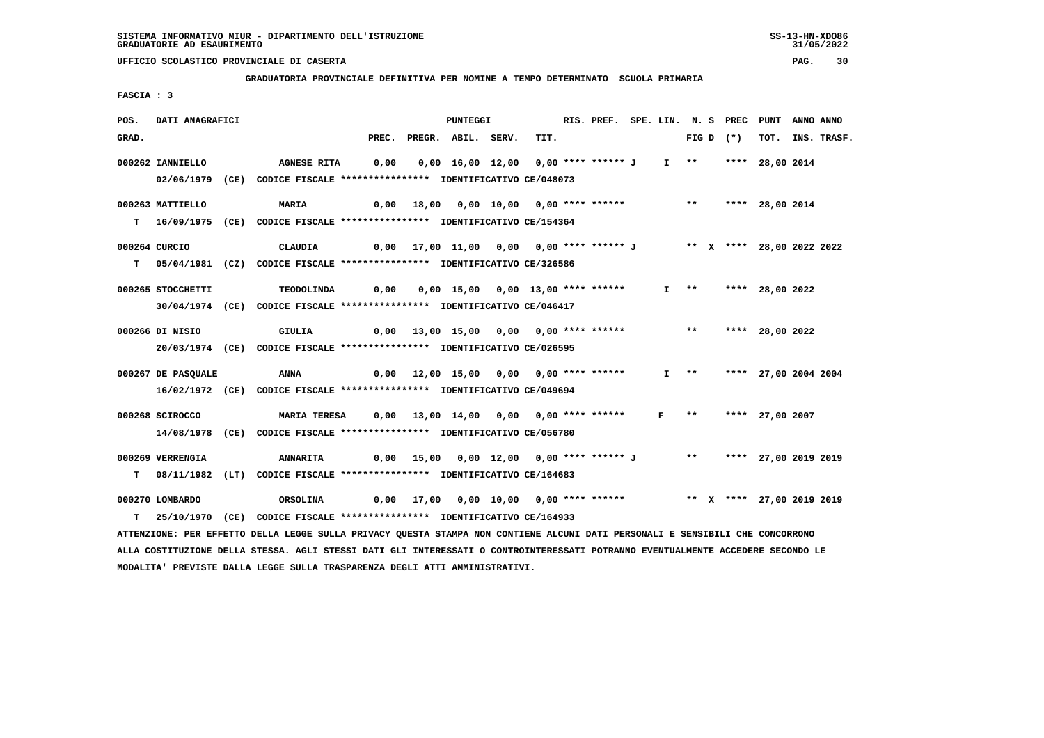**GRADUATORIA PROVINCIALE DEFINITIVA PER NOMINE A TEMPO DETERMINATO SCUOLA PRIMARIA**

 **FASCIA : 3**

| POS.  | DATI ANAGRAFICI                                                                                                                 |                 |                     |       | <b>PUNTEGGI</b>                                                    |      | RIS. PREF. SPE. LIN. N. S PREC |              |                     |             | <b>PUNT</b>               | ANNO ANNO |                  |
|-------|---------------------------------------------------------------------------------------------------------------------------------|-----------------|---------------------|-------|--------------------------------------------------------------------|------|--------------------------------|--------------|---------------------|-------------|---------------------------|-----------|------------------|
| GRAD. |                                                                                                                                 |                 |                     | PREC. | PREGR. ABIL. SERV.                                                 | TIT. |                                |              |                     | FIG D $(*)$ |                           |           | TOT. INS. TRASF. |
|       | 000262 IANNIELLO                                                                                                                |                 | <b>AGNESE RITA</b>  | 0,00  | 0,00 16,00 12,00 0,00 **** ****** J                                |      |                                |              |                     |             | I ** **** 28,00 2014      |           |                  |
|       | 02/06/1979 (CE) CODICE FISCALE *************** IDENTIFICATIVO CE/048073                                                         |                 |                     |       |                                                                    |      |                                |              |                     |             |                           |           |                  |
|       |                                                                                                                                 |                 |                     |       |                                                                    |      |                                |              |                     |             |                           |           |                  |
|       | 000263 MATTIELLO                                                                                                                | MARIA           |                     |       | 0,00 18,00 0,00 10,00 0,00 **** ****** *** *** **** 28,00 2014     |      |                                |              |                     |             |                           |           |                  |
| т     | 16/09/1975 (CE) CODICE FISCALE **************** IDENTIFICATIVO CE/154364                                                        |                 |                     |       |                                                                    |      |                                |              |                     |             |                           |           |                  |
|       | 000264 CURCIO                                                                                                                   | <b>CLAUDIA</b>  |                     |       | 0,00 17,00 11,00 0,00 0,00 **** ****** J ** X **** 28,00 2022 2022 |      |                                |              |                     |             |                           |           |                  |
| т     | 05/04/1981 (CZ) CODICE FISCALE *************** IDENTIFICATIVO CE/326586                                                         |                 |                     |       |                                                                    |      |                                |              |                     |             |                           |           |                  |
|       |                                                                                                                                 |                 |                     |       |                                                                    |      |                                |              |                     |             |                           |           |                  |
|       | 000265 STOCCHETTI                                                                                                               |                 | TEODOLINDA          | 0,00  | 0,00 15,00 0,00 13,00 **** ******                                  |      |                                |              | $I \longrightarrow$ |             | **** 28,00 2022           |           |                  |
|       | 30/04/1974 (CE) CODICE FISCALE *************** IDENTIFICATIVO CE/046417                                                         |                 |                     |       |                                                                    |      |                                |              |                     |             |                           |           |                  |
|       |                                                                                                                                 |                 |                     |       |                                                                    |      |                                |              |                     |             |                           |           |                  |
|       | 000266 DI NISIO                                                                                                                 | <b>GIULIA</b>   |                     |       | $0,00$ 13,00 15,00 0,00 0,00 **** ******                           |      |                                |              |                     |             | ** **** 28,00 2022        |           |                  |
|       | 20/03/1974 (CE) CODICE FISCALE *************** IDENTIFICATIVO CE/026595                                                         |                 |                     |       |                                                                    |      |                                |              |                     |             |                           |           |                  |
|       | 000267 DE PASOUALE                                                                                                              | ANNA            |                     |       | 0,00 12,00 15,00 0,00 0,00 **** ******                             |      |                                |              | $I \quad * \quad$   |             | **** 27,00 2004 2004      |           |                  |
|       | 16/02/1972 (CE) CODICE FISCALE *************** IDENTIFICATIVO CE/049694                                                         |                 |                     |       |                                                                    |      |                                |              |                     |             |                           |           |                  |
|       |                                                                                                                                 |                 |                     |       |                                                                    |      |                                |              |                     |             |                           |           |                  |
|       | 000268 SCIROCCO                                                                                                                 |                 | <b>MARIA TERESA</b> |       | $0,00$ 13,00 14,00 0,00 0,00 **** ******                           |      |                                | $\mathbf{F}$ |                     |             | ** **** 27,00 2007        |           |                  |
|       | 14/08/1978 (CE) CODICE FISCALE *************** IDENTIFICATIVO CE/056780                                                         |                 |                     |       |                                                                    |      |                                |              |                     |             |                           |           |                  |
|       | 000269 VERRENGIA                                                                                                                | <b>ANNARITA</b> |                     |       | 0,00 15,00 0,00 12,00 0,00 **** ****** J ** **** 27,00 2019 2019   |      |                                |              |                     |             |                           |           |                  |
|       | T 08/11/1982 (LT) CODICE FISCALE *************** IDENTIFICATIVO CE/164683                                                       |                 |                     |       |                                                                    |      |                                |              |                     |             |                           |           |                  |
|       |                                                                                                                                 |                 |                     |       |                                                                    |      |                                |              |                     |             |                           |           |                  |
|       | 000270 LOMBARDO                                                                                                                 | ORSOLINA        |                     |       | $0,00$ 17,00 $0,00$ 10,00 $0,00$ **** ******                       |      |                                |              |                     |             | ** X **** 27,00 2019 2019 |           |                  |
|       | T 25/10/1970 (CE) CODICE FISCALE *************** IDENTIFICATIVO CE/164933                                                       |                 |                     |       |                                                                    |      |                                |              |                     |             |                           |           |                  |
|       | ATTENZIONE: PER EFFETTO DELLA LEGGE SULLA PRIVACY QUESTA STAMPA NON CONTIENE ALCUNI DATI PERSONALI E SENSIBILI CHE CONCORRONO   |                 |                     |       |                                                                    |      |                                |              |                     |             |                           |           |                  |
|       | ALLA COSTITUZIONE DELLA STESSA. AGLI STESSI DATI GLI INTERESSATI O CONTROINTERESSATI POTRANNO EVENTUALMENTE ACCEDERE SECONDO LE |                 |                     |       |                                                                    |      |                                |              |                     |             |                           |           |                  |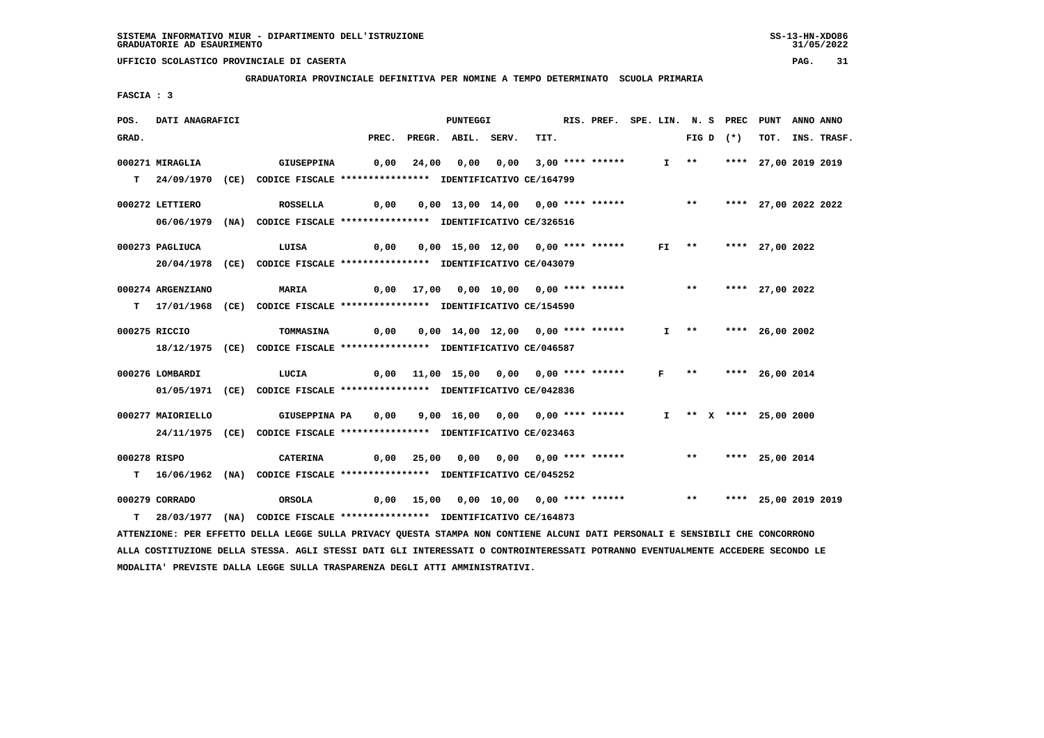**GRADUATORIA PROVINCIALE DEFINITIVA PER NOMINE A TEMPO DETERMINATO SCUOLA PRIMARIA**

 **FASCIA : 3**

| POS.  | DATI ANAGRAFICI   |                                                                                                                                 |      |       | PUNTEGGI                                                            |                         | RIS. PREF. SPE. LIN. N. S PREC PUNT |              |                       |             |                          | ANNO ANNO |                  |
|-------|-------------------|---------------------------------------------------------------------------------------------------------------------------------|------|-------|---------------------------------------------------------------------|-------------------------|-------------------------------------|--------------|-----------------------|-------------|--------------------------|-----------|------------------|
| GRAD. |                   |                                                                                                                                 |      |       | PREC. PREGR. ABIL. SERV.                                            | TIT.                    |                                     |              |                       | FIG D $(*)$ |                          |           | TOT. INS. TRASF. |
|       | 000271 MIRAGLIA   | <b>GIUSEPPINA</b>                                                                                                               | 0,00 | 24,00 | 0,00                                                                | $0,00$ 3,00 **** ****** |                                     |              | $I \rightarrow \star$ |             | **** 27,00 2019 2019     |           |                  |
|       |                   |                                                                                                                                 |      |       |                                                                     |                         |                                     |              |                       |             |                          |           |                  |
|       |                   | T 24/09/1970 (CE) CODICE FISCALE *************** IDENTIFICATIVO CE/164799                                                       |      |       |                                                                     |                         |                                     |              |                       |             |                          |           |                  |
|       | 000272 LETTIERO   | ROSSELLA                                                                                                                        | 0,00 |       | 0,00 13,00 14,00 0,00 **** ****** *** *** **** 27,00 2022 2022      |                         |                                     |              |                       |             |                          |           |                  |
|       |                   | 06/06/1979 (NA) CODICE FISCALE **************** IDENTIFICATIVO CE/326516                                                        |      |       |                                                                     |                         |                                     |              |                       |             |                          |           |                  |
|       |                   |                                                                                                                                 |      |       |                                                                     |                         |                                     |              |                       |             |                          |           |                  |
|       | 000273 PAGLIUCA   | LUISA                                                                                                                           | 0,00 |       | 0,00 15,00 12,00 0,00 **** ******                                   |                         |                                     |              |                       |             | FI ** **** 27,00 2022    |           |                  |
|       |                   | 20/04/1978 (CE) CODICE FISCALE *************** IDENTIFICATIVO CE/043079                                                         |      |       |                                                                     |                         |                                     |              |                       |             |                          |           |                  |
|       | 000274 ARGENZIANO | <b>MARIA</b>                                                                                                                    |      |       | $0,00$ 17,00 0,00 10,00 0,00 **** ****** *** **                     |                         |                                     |              |                       |             | **** 27,00 2022          |           |                  |
|       |                   | T 17/01/1968 (CE) CODICE FISCALE **************** IDENTIFICATIVO CE/154590                                                      |      |       |                                                                     |                         |                                     |              |                       |             |                          |           |                  |
|       |                   |                                                                                                                                 |      |       |                                                                     |                         |                                     |              |                       |             |                          |           |                  |
|       | 000275 RICCIO     | TOMMASINA                                                                                                                       | 0,00 |       | 0,00 14,00 12,00 0,00 **** ******                                   |                         |                                     |              |                       |             | I ** **** 26,00 2002     |           |                  |
|       |                   | 18/12/1975 (CE) CODICE FISCALE *************** IDENTIFICATIVO CE/046587                                                         |      |       |                                                                     |                         |                                     |              |                       |             |                          |           |                  |
|       |                   |                                                                                                                                 |      |       |                                                                     |                         |                                     | $\mathbf{F}$ | $\star\star$          |             |                          |           |                  |
|       | 000276 LOMBARDI   | LUCIA                                                                                                                           |      |       | 0,00 11,00 15,00 0,00 0,00 **** ******                              |                         |                                     |              |                       |             | **** 26,00 2014          |           |                  |
|       |                   | 01/05/1971 (CE) CODICE FISCALE *************** IDENTIFICATIVO CE/042836                                                         |      |       |                                                                     |                         |                                     |              |                       |             |                          |           |                  |
|       | 000277 MAIORIELLO | GIUSEPPINA PA                                                                                                                   | 0,00 |       | 9,00 16,00 0,00 0,00 **** ******                                    |                         |                                     |              |                       |             | $I$ ** X **** 25,00 2000 |           |                  |
|       |                   | 24/11/1975 (CE) CODICE FISCALE *************** IDENTIFICATIVO CE/023463                                                         |      |       |                                                                     |                         |                                     |              |                       |             |                          |           |                  |
|       |                   |                                                                                                                                 |      |       |                                                                     |                         |                                     |              |                       |             |                          |           |                  |
|       | 000278 RISPO      | <b>CATERINA</b>                                                                                                                 |      |       |                                                                     |                         |                                     |              |                       |             |                          |           |                  |
|       |                   | T 16/06/1962 (NA) CODICE FISCALE **************** IDENTIFICATIVO CE/045252                                                      |      |       |                                                                     |                         |                                     |              |                       |             |                          |           |                  |
|       | 000279 CORRADO    | ORSOLA                                                                                                                          |      |       | 0,00 15,00 0,00 10,00 0,00 **** ****** *** *** **** 25,00 2019 2019 |                         |                                     |              |                       |             |                          |           |                  |
|       |                   | T 28/03/1977 (NA) CODICE FISCALE *************** IDENTIFICATIVO CE/164873                                                       |      |       |                                                                     |                         |                                     |              |                       |             |                          |           |                  |
|       |                   | ATTENZIONE: PER EFFETTO DELLA LEGGE SULLA PRIVACY QUESTA STAMPA NON CONTIENE ALCUNI DATI PERSONALI E SENSIBILI CHE CONCORRONO   |      |       |                                                                     |                         |                                     |              |                       |             |                          |           |                  |
|       |                   | ALLA COSTITUZIONE DELLA STESSA. AGLI STESSI DATI GLI INTERESSATI O CONTROINTERESSATI POTRANNO EVENTUALMENTE ACCEDERE SECONDO LE |      |       |                                                                     |                         |                                     |              |                       |             |                          |           |                  |
|       |                   |                                                                                                                                 |      |       |                                                                     |                         |                                     |              |                       |             |                          |           |                  |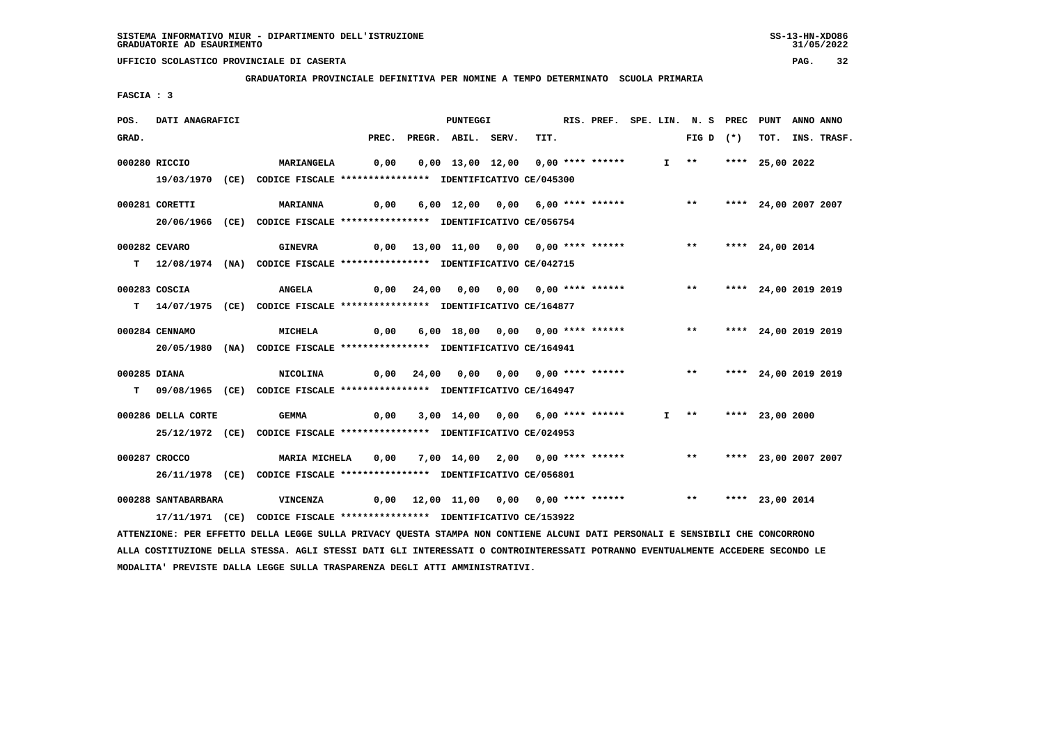**GRADUATORIA PROVINCIALE DEFINITIVA PER NOMINE A TEMPO DETERMINATO SCUOLA PRIMARIA**

 **FASCIA : 3**

| POS.         | DATI ANAGRAFICI     |                                                                                                                               |       |            | PUNTEGGI                               |      | RIS. PREF. SPE. LIN. N. S PREC |  |                         | PUNT                 | ANNO ANNO |             |
|--------------|---------------------|-------------------------------------------------------------------------------------------------------------------------------|-------|------------|----------------------------------------|------|--------------------------------|--|-------------------------|----------------------|-----------|-------------|
| GRAD.        |                     |                                                                                                                               | PREC. |            | PREGR. ABIL. SERV.                     | TIT. |                                |  | FIG D $(*)$             | тот.                 |           | INS. TRASF. |
|              | 000280 RICCIO       | <b>MARIANGELA</b>                                                                                                             | 0,00  |            | 0,00 13,00 12,00 0,00 **** ******      |      |                                |  | $I$ **                  | **** 25,00 2022      |           |             |
|              |                     | 19/03/1970 (CE) CODICE FISCALE *************** IDENTIFICATIVO CE/045300                                                       |       |            |                                        |      |                                |  |                         |                      |           |             |
|              | 000281 CORETTI      | <b>MARIANNA</b>                                                                                                               | 0,00  |            | 6,00 12,00 0,00 6,00 **** ******       |      |                                |  | $***$                   | **** 24,00 2007 2007 |           |             |
|              |                     | 20/06/1966 (CE) CODICE FISCALE *************** IDENTIFICATIVO CE/056754                                                       |       |            |                                        |      |                                |  |                         |                      |           |             |
|              | 000282 CEVARO       | <b>GINEVRA</b>                                                                                                                |       |            | 0,00 13,00 11,00 0,00 0,00 **** ****** |      |                                |  | $***$                   | **** 24,00 2014      |           |             |
|              |                     | T 12/08/1974 (NA) CODICE FISCALE *************** IDENTIFICATIVO CE/042715                                                     |       |            |                                        |      |                                |  |                         |                      |           |             |
|              | 000283 COSCIA       | <b>ANGELA</b>                                                                                                                 |       | 0,00 24,00 |                                        |      |                                |  | ** **** 24,00 2019 2019 |                      |           |             |
|              |                     | T 14/07/1975 (CE) CODICE FISCALE **************** IDENTIFICATIVO CE/164877                                                    |       |            |                                        |      |                                |  |                         |                      |           |             |
|              | 000284 CENNAMO      | MICHELA                                                                                                                       | 0,00  |            |                                        |      |                                |  | $***$                   | **** 24,00 2019 2019 |           |             |
|              |                     | 20/05/1980 (NA) CODICE FISCALE *************** IDENTIFICATIVO CE/164941                                                       |       |            |                                        |      |                                |  |                         |                      |           |             |
| 000285 DIANA |                     | NICOLINA                                                                                                                      |       |            | 0,00 24,00 0,00 0,00 0,00 **** ******  |      |                                |  | $***$                   | **** 24,00 2019 2019 |           |             |
| T.           |                     | 09/08/1965 (CE) CODICE FISCALE *************** IDENTIFICATIVO CE/164947                                                       |       |            |                                        |      |                                |  |                         |                      |           |             |
|              | 000286 DELLA CORTE  | GEMMA                                                                                                                         | 0,00  |            | 3,00 14,00 0,00 6,00 **** ******       |      |                                |  | $I$ **                  | **** 23,00 2000      |           |             |
|              |                     | 25/12/1972 (CE) CODICE FISCALE *************** IDENTIFICATIVO CE/024953                                                       |       |            |                                        |      |                                |  |                         |                      |           |             |
|              | 000287 CROCCO       | MARIA MICHELA                                                                                                                 | 0,00  |            | 7,00 14,00 2,00 0,00 **** ******       |      |                                |  | $***$                   | **** 23,00 2007 2007 |           |             |
|              |                     | 26/11/1978 (CE) CODICE FISCALE *************** IDENTIFICATIVO CE/056801                                                       |       |            |                                        |      |                                |  |                         |                      |           |             |
|              | 000288 SANTABARBARA | VINCENZA                                                                                                                      |       |            | 0,00 12,00 11,00 0,00 0,00 **** ****** |      |                                |  | $***$                   | **** 23,00 2014      |           |             |
|              |                     | 17/11/1971 (CE) CODICE FISCALE *************** IDENTIFICATIVO CE/153922                                                       |       |            |                                        |      |                                |  |                         |                      |           |             |
|              |                     | ATTENZIONE: PER EFFETTO DELLA LEGGE SULLA PRIVACY QUESTA STAMPA NON CONTIENE ALCUNI DATI PERSONALI E SENSIBILI CHE CONCORRONO |       |            |                                        |      |                                |  |                         |                      |           |             |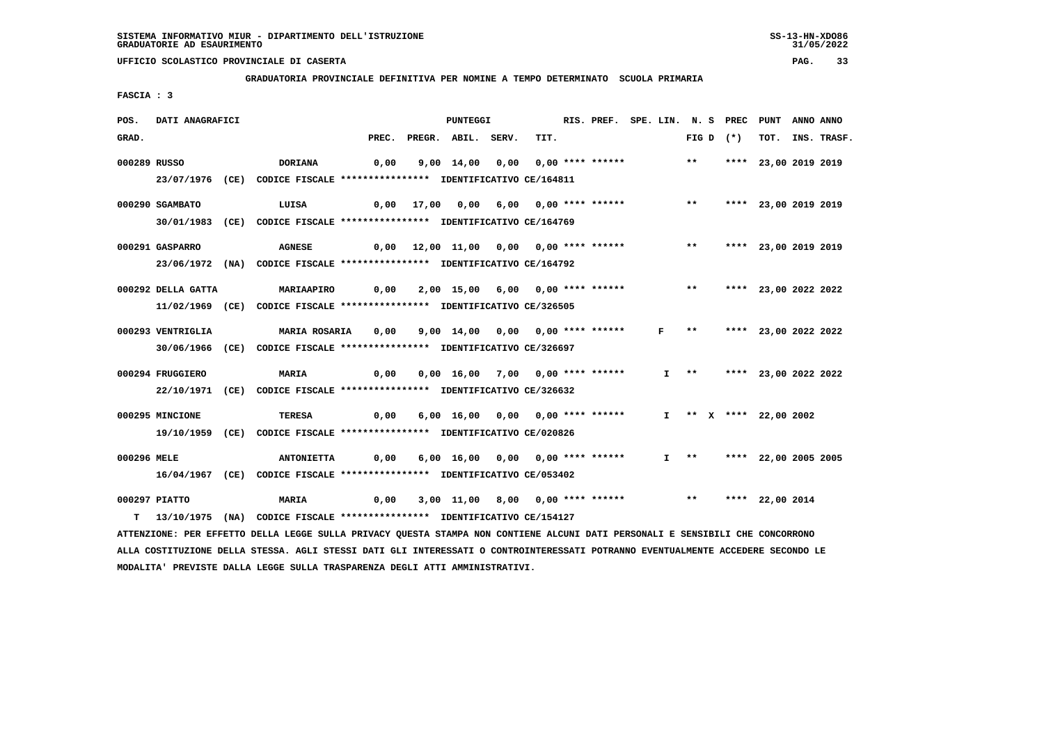**GRADUATORIA PROVINCIALE DEFINITIVA PER NOMINE A TEMPO DETERMINATO SCUOLA PRIMARIA**

 **FASCIA : 3**

| POS.        | DATI ANAGRAFICI    |                                                                                                                                 |       | PUNTEGGI                                                 |      | RIS. PREF. SPE. LIN. N. S PREC PUNT |              |                       |             |                           | ANNO ANNO |             |
|-------------|--------------------|---------------------------------------------------------------------------------------------------------------------------------|-------|----------------------------------------------------------|------|-------------------------------------|--------------|-----------------------|-------------|---------------------------|-----------|-------------|
| GRAD.       |                    |                                                                                                                                 | PREC. | PREGR. ABIL. SERV.                                       | TIT. |                                     |              |                       | FIG D $(*)$ | тот.                      |           | INS. TRASF. |
|             | 000289 RUSSO       | <b>DORIANA</b>                                                                                                                  | 0,00  | 9,00 14,00 0,00 0,00 **** ******                         |      |                                     |              | $***$                 |             | **** 23,00 2019 2019      |           |             |
|             |                    | 23/07/1976 (CE) CODICE FISCALE *************** IDENTIFICATIVO CE/164811                                                         |       |                                                          |      |                                     |              |                       |             |                           |           |             |
|             |                    |                                                                                                                                 |       |                                                          |      |                                     |              |                       |             |                           |           |             |
|             | 000290 SGAMBATO    | LUISA                                                                                                                           |       | $0,00$ 17,00 0,00 6,00 0,00 **** ******                  |      |                                     |              | $***$                 |             | **** 23,00 2019 2019      |           |             |
|             |                    | 30/01/1983 (CE) CODICE FISCALE *************** IDENTIFICATIVO CE/164769                                                         |       |                                                          |      |                                     |              |                       |             |                           |           |             |
|             | 000291 GASPARRO    | <b>AGNESE</b>                                                                                                                   |       | $0,00$ 12,00 11,00 0,00 0,00 **** ******                 |      |                                     |              |                       |             | ** **** 23,00 2019 2019   |           |             |
|             |                    | 23/06/1972 (NA) CODICE FISCALE **************** IDENTIFICATIVO CE/164792                                                        |       |                                                          |      |                                     |              |                       |             |                           |           |             |
|             |                    |                                                                                                                                 |       |                                                          |      |                                     |              |                       |             |                           |           |             |
|             | 000292 DELLA GATTA | <b>MARIAAPIRO</b>                                                                                                               | 0,00  | 2,00 15,00 6,00 0,00 **** ******                         |      |                                     |              | $***$                 |             | **** 23,00 2022 2022      |           |             |
|             |                    | 11/02/1969 (CE) CODICE FISCALE *************** IDENTIFICATIVO CE/326505                                                         |       |                                                          |      |                                     |              |                       |             |                           |           |             |
|             | 000293 VENTRIGLIA  | <b>MARIA ROSARIA</b>                                                                                                            | 0,00  | 9,00 14,00 0,00 0,00 **** ******                         |      |                                     | $\mathbf{F}$ | $\star \star$         |             | **** 23,00 2022 2022      |           |             |
|             |                    | 30/06/1966 (CE) CODICE FISCALE *************** IDENTIFICATIVO CE/326697                                                         |       |                                                          |      |                                     |              |                       |             |                           |           |             |
|             |                    |                                                                                                                                 |       |                                                          |      |                                     |              |                       |             |                           |           |             |
|             | 000294 FRUGGIERO   | MARIA                                                                                                                           | 0,00  | 0,00 16,00 7,00 0,00 **** ******                         |      |                                     |              | $I \rightarrow \star$ |             | **** 23,00 2022 2022      |           |             |
|             |                    | 22/10/1971 (CE) CODICE FISCALE *************** IDENTIFICATIVO CE/326632                                                         |       |                                                          |      |                                     |              |                       |             |                           |           |             |
|             | 000295 MINCIONE    | TERESA                                                                                                                          | 0,00  | 6,00 16,00 0,00 0,00 **** ******                         |      |                                     |              |                       |             | I ** X **** 22,00 2002    |           |             |
|             |                    | 19/10/1959 (CE) CODICE FISCALE **************** IDENTIFICATIVO CE/020826                                                        |       |                                                          |      |                                     |              |                       |             |                           |           |             |
|             |                    |                                                                                                                                 |       |                                                          |      |                                     |              |                       |             |                           |           |             |
| 000296 MELE |                    | <b>ANTONIETTA</b>                                                                                                               | 0,00  | 6,00 16,00 0,00 0,00 **** ******                         |      |                                     |              |                       |             | I ** **** 22,00 2005 2005 |           |             |
|             |                    | 16/04/1967 (CE) CODICE FISCALE *************** IDENTIFICATIVO CE/053402                                                         |       |                                                          |      |                                     |              |                       |             |                           |           |             |
|             | 000297 PIATTO      | <b>MARIA</b>                                                                                                                    | 0,00  | 3,00 11,00 8,00 0,00 **** ****** *** *** **** 22,00 2014 |      |                                     |              |                       |             |                           |           |             |
| т           |                    | 13/10/1975 (NA) CODICE FISCALE **************** IDENTIFICATIVO CE/154127                                                        |       |                                                          |      |                                     |              |                       |             |                           |           |             |
|             |                    | ATTENZIONE: PER EFFETTO DELLA LEGGE SULLA PRIVACY QUESTA STAMPA NON CONTIENE ALCUNI DATI PERSONALI E SENSIBILI CHE CONCORRONO   |       |                                                          |      |                                     |              |                       |             |                           |           |             |
|             |                    | ALLA COSTITUZIONE DELLA STESSA. AGLI STESSI DATI GLI INTERESSATI O CONTROINTERESSATI POTRANNO EVENTUALMENTE ACCEDERE SECONDO LE |       |                                                          |      |                                     |              |                       |             |                           |           |             |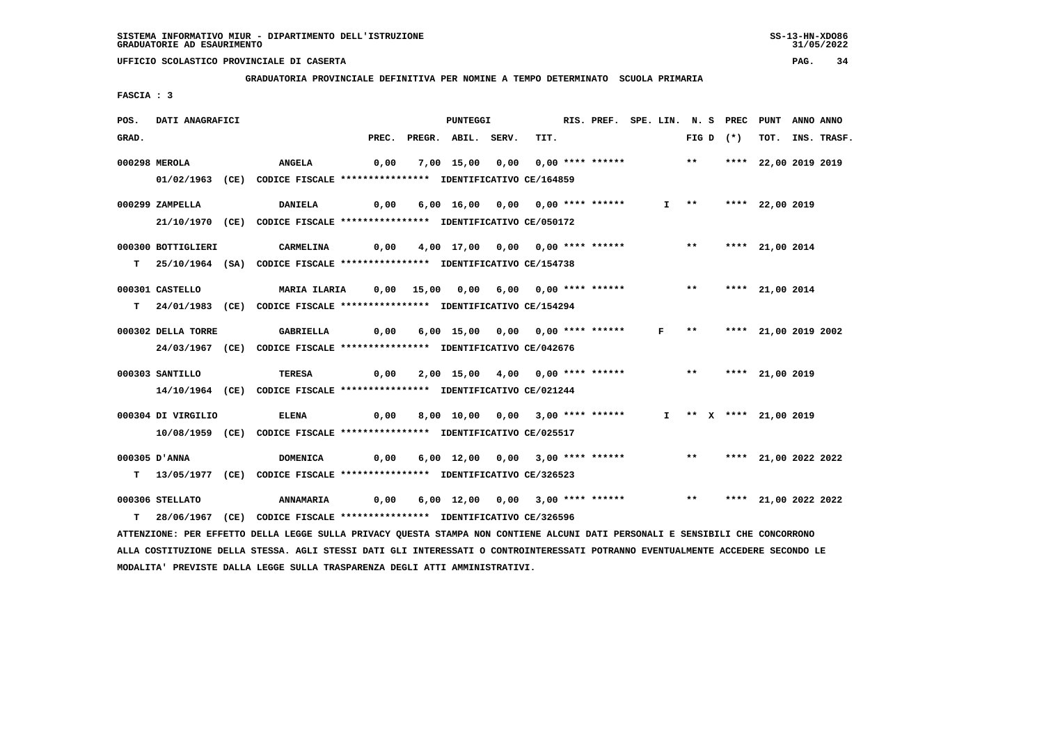**GRADUATORIA PROVINCIALE DEFINITIVA PER NOMINE A TEMPO DETERMINATO SCUOLA PRIMARIA**

 **FASCIA : 3**

| POS.  | DATI ANAGRAFICI    |                                                                                                                                 |       | PUNTEGGI                                                                 |      | RIS. PREF. SPE. LIN. N. S PREC PUNT |  |                   |             |                          | ANNO ANNO |             |
|-------|--------------------|---------------------------------------------------------------------------------------------------------------------------------|-------|--------------------------------------------------------------------------|------|-------------------------------------|--|-------------------|-------------|--------------------------|-----------|-------------|
| GRAD. |                    |                                                                                                                                 | PREC. | PREGR. ABIL. SERV.                                                       | TIT. |                                     |  |                   | FIG D $(*)$ | тот.                     |           | INS. TRASF. |
|       | 000298 MEROLA      | <b>ANGELA</b>                                                                                                                   | 0,00  | 7,00 15,00 0,00 0,00 **** ****** ** **                                   |      |                                     |  |                   |             | **** 22,00 2019 2019     |           |             |
|       |                    | 01/02/1963 (CE) CODICE FISCALE *************** IDENTIFICATIVO CE/164859                                                         |       |                                                                          |      |                                     |  |                   |             |                          |           |             |
|       |                    |                                                                                                                                 |       |                                                                          |      |                                     |  |                   |             |                          |           |             |
|       | 000299 ZAMPELLA    | <b>DANIELA</b>                                                                                                                  | 0,00  | 6,00 16,00 0,00 0,00 **** ******                                         |      |                                     |  | $I \quad * \quad$ |             | **** 22,00 2019          |           |             |
|       |                    | 21/10/1970 (CE) CODICE FISCALE *************** IDENTIFICATIVO CE/050172                                                         |       |                                                                          |      |                                     |  |                   |             |                          |           |             |
|       | 000300 BOTTIGLIERI | CARMELINA                                                                                                                       | 0,00  | 4,00 17,00 0,00 0,00 **** ******                                         |      |                                     |  |                   |             | ** **** 21,00 2014       |           |             |
|       |                    | T 25/10/1964 (SA) CODICE FISCALE **************** IDENTIFICATIVO CE/154738                                                      |       |                                                                          |      |                                     |  |                   |             |                          |           |             |
|       |                    |                                                                                                                                 |       |                                                                          |      |                                     |  |                   |             |                          |           |             |
|       | 000301 CASTELLO    | MARIA ILARIA       0,00    15,00    0,00   6,00    0,00  ****  ******                                                           |       |                                                                          |      |                                     |  | $\star\star$      |             | **** 21,00 2014          |           |             |
|       |                    | T 24/01/1983 (CE) CODICE FISCALE *************** IDENTIFICATIVO CE/154294                                                       |       |                                                                          |      |                                     |  |                   |             |                          |           |             |
|       | 000302 DELLA TORRE | GABRIELLA                                                                                                                       | 0,00  | 6,00 15,00 0,00 0,00 **** ****** F ** **** 21,00 2019 2002               |      |                                     |  |                   |             |                          |           |             |
|       |                    | 24/03/1967 (CE) CODICE FISCALE *************** IDENTIFICATIVO CE/042676                                                         |       |                                                                          |      |                                     |  |                   |             |                          |           |             |
|       |                    |                                                                                                                                 |       |                                                                          |      |                                     |  |                   |             |                          |           |             |
|       | 000303 SANTILLO    | <b>TERESA</b>                                                                                                                   | 0,00  | 2,00 15,00 4,00 0,00 **** ****** *** *** **** 21,00 2019                 |      |                                     |  |                   |             |                          |           |             |
|       |                    | 14/10/1964 (CE) CODICE FISCALE *************** IDENTIFICATIVO CE/021244                                                         |       |                                                                          |      |                                     |  |                   |             |                          |           |             |
|       | 000304 DI VIRGILIO | <b>ELENA</b>                                                                                                                    | 0,00  | 8,00 10,00 0,00 3,00 **** ******                                         |      |                                     |  |                   |             | $I$ ** X **** 21,00 2019 |           |             |
|       |                    | 10/08/1959 (CE) CODICE FISCALE *************** IDENTIFICATIVO CE/025517                                                         |       |                                                                          |      |                                     |  |                   |             |                          |           |             |
|       |                    |                                                                                                                                 |       |                                                                          |      |                                     |  |                   |             |                          |           |             |
|       | 000305 D'ANNA      | <b>DOMENICA</b>                                                                                                                 | 0,00  | 6,00 12,00 0,00 3,00 **** ******                                         |      |                                     |  |                   |             | ** **** 21,00 2022 2022  |           |             |
|       |                    | T 13/05/1977 (CE) CODICE FISCALE *************** IDENTIFICATIVO CE/326523                                                       |       |                                                                          |      |                                     |  |                   |             |                          |           |             |
|       | 000306 STELLATO    | <b>ANNAMARIA</b>                                                                                                                | 0,00  | 6,00 12,00 0,00 3,00 **** ******             **     **** 21,00 2022 2022 |      |                                     |  |                   |             |                          |           |             |
|       |                    | T 28/06/1967 (CE) CODICE FISCALE *************** IDENTIFICATIVO CE/326596                                                       |       |                                                                          |      |                                     |  |                   |             |                          |           |             |
|       |                    | ATTENZIONE: PER EFFETTO DELLA LEGGE SULLA PRIVACY QUESTA STAMPA NON CONTIENE ALCUNI DATI PERSONALI E SENSIBILI CHE CONCORRONO   |       |                                                                          |      |                                     |  |                   |             |                          |           |             |
|       |                    | ALLA COSTITUZIONE DELLA STESSA. AGLI STESSI DATI GLI INTERESSATI O CONTROINTERESSATI POTRANNO EVENTUALMENTE ACCEDERE SECONDO LE |       |                                                                          |      |                                     |  |                   |             |                          |           |             |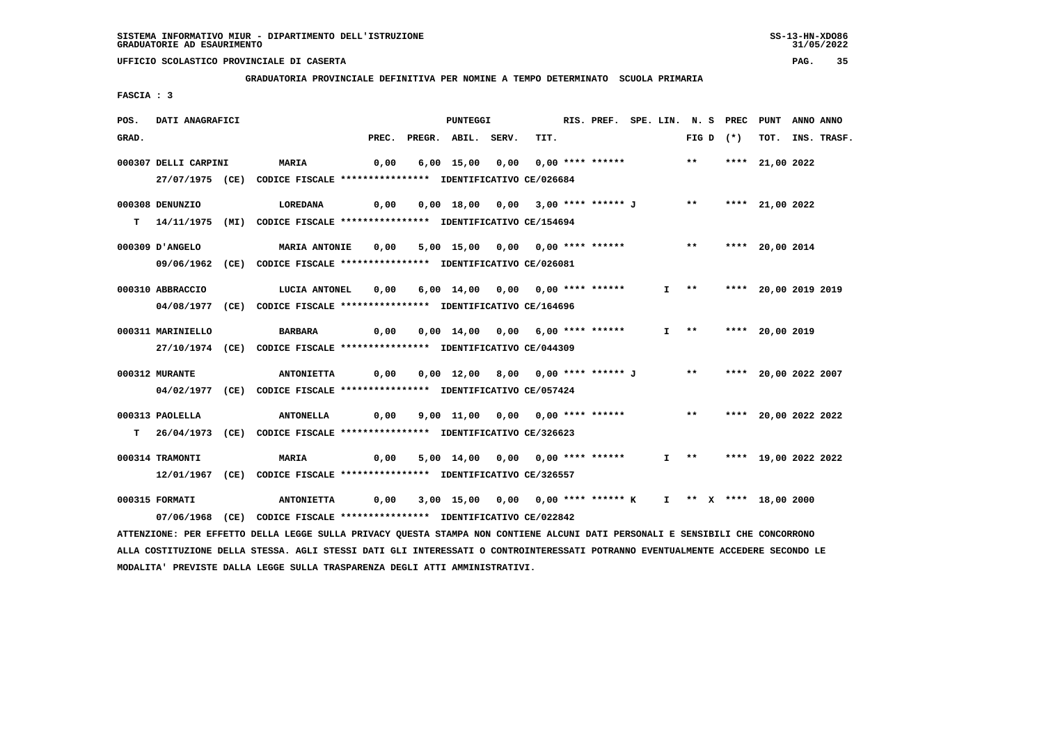**GRADUATORIA PROVINCIALE DEFINITIVA PER NOMINE A TEMPO DETERMINATO SCUOLA PRIMARIA**

 **FASCIA : 3**

| POS.  | DATI ANAGRAFICI      |                                                                            |       | <b>PUNTEGGI</b>                                                                |      | RIS. PREF. SPE. LIN. N. S PREC |  |                   |             | PUNT                      | ANNO ANNO |                  |
|-------|----------------------|----------------------------------------------------------------------------|-------|--------------------------------------------------------------------------------|------|--------------------------------|--|-------------------|-------------|---------------------------|-----------|------------------|
| GRAD. |                      |                                                                            | PREC. | PREGR. ABIL. SERV.                                                             | TIT. |                                |  |                   | FIG D $(*)$ |                           |           | TOT. INS. TRASF. |
|       | 000307 DELLI CARPINI | <b>MARIA</b>                                                               | 0,00  | 6,00 15,00 0,00 0,00 **** ******                                               |      |                                |  |                   |             | ** **** 21,00 2022        |           |                  |
|       |                      | 27/07/1975 (CE) CODICE FISCALE *************** IDENTIFICATIVO CE/026684    |       |                                                                                |      |                                |  |                   |             |                           |           |                  |
|       | 000308 DENUNZIO      | <b>LOREDANA</b>                                                            |       | 0,00  0,00  18,00  0,00  3,00  ****  ******  J  **  ****  21,00  2022          |      |                                |  |                   |             |                           |           |                  |
|       |                      | T 14/11/1975 (MI) CODICE FISCALE **************** IDENTIFICATIVO CE/154694 |       |                                                                                |      |                                |  |                   |             |                           |           |                  |
|       | 000309 D'ANGELO      | <b>MARIA ANTONIE</b>                                                       | 0,00  | 5,00 15,00 0,00 0,00 **** ****** *** **                                        |      |                                |  |                   |             | **** 20,00 2014           |           |                  |
|       |                      | 09/06/1962 (CE) CODICE FISCALE *************** IDENTIFICATIVO CE/026081    |       |                                                                                |      |                                |  |                   |             |                           |           |                  |
|       | 000310 ABBRACCIO     | <b>LUCIA ANTONEL</b>                                                       | 0,00  | 6,00 14,00 0,00 0,00 **** ******                                               |      |                                |  | $I$ **            |             | **** 20,00 2019 2019      |           |                  |
|       |                      | 04/08/1977 (CE) CODICE FISCALE *************** IDENTIFICATIVO CE/164696    |       |                                                                                |      |                                |  |                   |             |                           |           |                  |
|       | 000311 MARINIELLO    | <b>BARBARA</b>                                                             | 0,00  | 0,00 14,00 0,00 6,00 **** ******                                               |      |                                |  | $I \quad * \quad$ |             | **** 20,00 2019           |           |                  |
|       |                      | 27/10/1974 (CE) CODICE FISCALE *************** IDENTIFICATIVO CE/044309    |       |                                                                                |      |                                |  |                   |             |                           |           |                  |
|       | 000312 MURANTE       | <b>ANTONIETTA</b>                                                          |       | 0,00  0,00  12,00  8,00  0,00  ****  ****** J    **    ****  20,00  2022  2007 |      |                                |  |                   |             |                           |           |                  |
|       |                      | 04/02/1977 (CE) CODICE FISCALE *************** IDENTIFICATIVO CE/057424    |       |                                                                                |      |                                |  |                   |             |                           |           |                  |
|       | 000313 PAOLELLA      |                                                                            |       |                                                                                |      |                                |  |                   |             |                           |           |                  |
|       |                      | T 26/04/1973 (CE) CODICE FISCALE **************** IDENTIFICATIVO CE/326623 |       |                                                                                |      |                                |  |                   |             |                           |           |                  |
|       | 000314 TRAMONTI      | <b>MARIA</b>                                                               | 0,00  | 5,00 14,00 0,00 0,00 **** ******                                               |      |                                |  |                   |             | I ** **** 19,00 2022 2022 |           |                  |
|       |                      | 12/01/1967 (CE) CODICE FISCALE *************** IDENTIFICATIVO CE/326557    |       |                                                                                |      |                                |  |                   |             |                           |           |                  |
|       | 000315 FORMATI       | <b>ANTONIETTA</b>                                                          | 0,00  | 3,00 15,00 0,00 0,00 **** ****** K                                             |      |                                |  |                   |             | I ** X **** 18,00 2000    |           |                  |
|       |                      | 07/06/1968 (CE) CODICE FISCALE *************** IDENTIFICATIVO CE/022842    |       |                                                                                |      |                                |  |                   |             |                           |           |                  |

 **ATTENZIONE: PER EFFETTO DELLA LEGGE SULLA PRIVACY QUESTA STAMPA NON CONTIENE ALCUNI DATI PERSONALI E SENSIBILI CHE CONCORRONO ALLA COSTITUZIONE DELLA STESSA. AGLI STESSI DATI GLI INTERESSATI O CONTROINTERESSATI POTRANNO EVENTUALMENTE ACCEDERE SECONDO LE MODALITA' PREVISTE DALLA LEGGE SULLA TRASPARENZA DEGLI ATTI AMMINISTRATIVI.**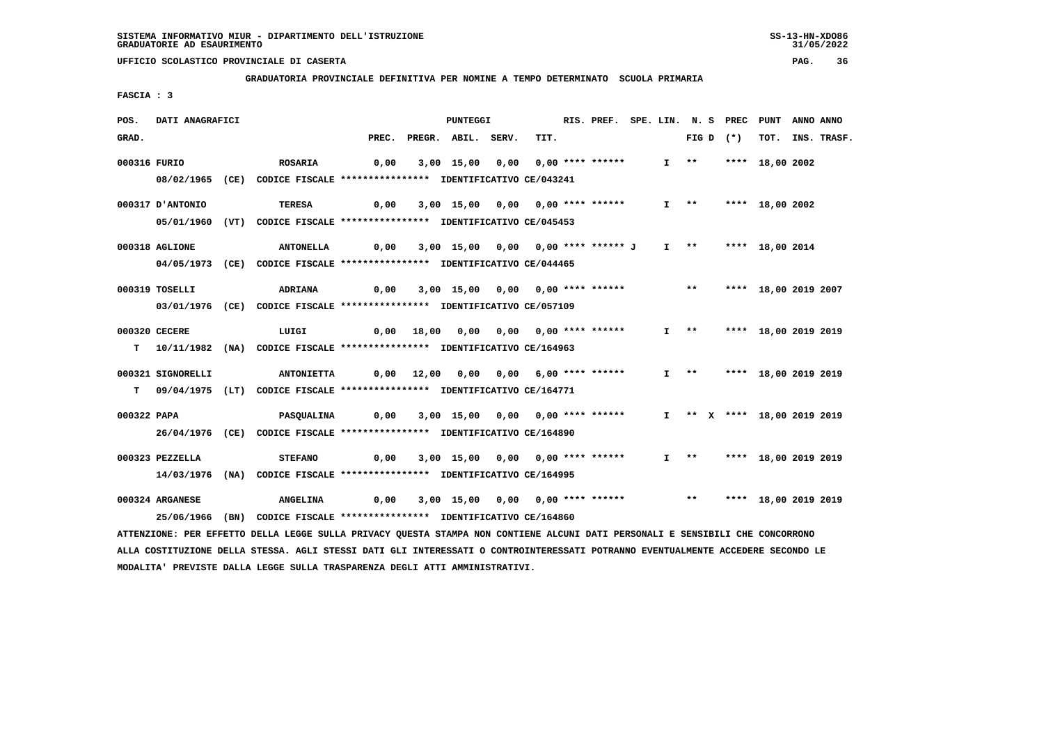**GRADUATORIA PROVINCIALE DEFINITIVA PER NOMINE A TEMPO DETERMINATO SCUOLA PRIMARIA**

 **FASCIA : 3**

| POS.        | DATI ANAGRAFICI   |                                                                                                                                 |                                       | <b>PUNTEGGI</b>                       |      | RIS. PREF. SPE. LIN. N. S PREC PUNT |  |                       |  |                             | ANNO ANNO |             |
|-------------|-------------------|---------------------------------------------------------------------------------------------------------------------------------|---------------------------------------|---------------------------------------|------|-------------------------------------|--|-----------------------|--|-----------------------------|-----------|-------------|
| GRAD.       |                   |                                                                                                                                 | PREC.                                 | PREGR. ABIL. SERV.                    | TIT. |                                     |  | FIG D $(*)$           |  | тот.                        |           | INS. TRASF. |
|             | 000316 FURIO      | <b>ROSARIA</b>                                                                                                                  | 0,00                                  | 3,00 15,00 0,00 0,00 **** ******      |      |                                     |  | $I$ **                |  | **** 18,00 2002             |           |             |
|             |                   |                                                                                                                                 |                                       |                                       |      |                                     |  |                       |  |                             |           |             |
|             |                   | 08/02/1965 (CE) CODICE FISCALE *************** IDENTIFICATIVO CE/043241                                                         |                                       |                                       |      |                                     |  |                       |  |                             |           |             |
|             | 000317 D'ANTONIO  | <b>TERESA</b>                                                                                                                   | 0,00                                  | 3,00 15,00 0,00 0,00 **** ******      |      |                                     |  | $I \rightarrow *$     |  | **** 18,00 2002             |           |             |
|             |                   | 05/01/1960 (VT) CODICE FISCALE *************** IDENTIFICATIVO CE/045453                                                         |                                       |                                       |      |                                     |  |                       |  |                             |           |             |
|             |                   |                                                                                                                                 |                                       |                                       |      |                                     |  |                       |  |                             |           |             |
|             | 000318 AGLIONE    | <b>ANTONELLA</b>                                                                                                                | 0,00                                  | 3,00 15,00 0,00 0,00 **** ****** J    |      |                                     |  |                       |  | I ** **** 18,00 2014        |           |             |
|             |                   | 04/05/1973 (CE) CODICE FISCALE *************** IDENTIFICATIVO CE/044465                                                         |                                       |                                       |      |                                     |  |                       |  |                             |           |             |
|             |                   |                                                                                                                                 |                                       |                                       |      |                                     |  | $\star\star$          |  |                             |           |             |
|             | 000319 TOSELLI    | <b>ADRIANA</b>                                                                                                                  | 0,00                                  | 3,00 15,00 0,00 0,00 **** ******      |      |                                     |  |                       |  | **** 18,00 2019 2007        |           |             |
|             |                   | 03/01/1976 (CE) CODICE FISCALE *************** IDENTIFICATIVO CE/057109                                                         |                                       |                                       |      |                                     |  |                       |  |                             |           |             |
|             | 000320 CECERE     | LUIGI                                                                                                                           |                                       | 0,00 18,00 0,00 0,00 0,00 **** ****** |      |                                     |  | $I \rightarrow \star$ |  | **** 18,00 2019 2019        |           |             |
|             |                   | T 10/11/1982 (NA) CODICE FISCALE **************** IDENTIFICATIVO CE/164963                                                      |                                       |                                       |      |                                     |  |                       |  |                             |           |             |
|             |                   |                                                                                                                                 |                                       |                                       |      |                                     |  |                       |  |                             |           |             |
|             | 000321 SIGNORELLI | <b>ANTONIETTA</b>                                                                                                               | 0,00 12,00 0,00 0,00 6,00 **** ****** |                                       |      |                                     |  |                       |  | I ** **** 18,00 2019 2019   |           |             |
|             |                   | T 09/04/1975 (LT) CODICE FISCALE **************** IDENTIFICATIVO CE/164771                                                      |                                       |                                       |      |                                     |  |                       |  |                             |           |             |
|             |                   |                                                                                                                                 |                                       |                                       |      |                                     |  |                       |  |                             |           |             |
| 000322 PAPA |                   | <b>PASQUALINA</b>                                                                                                               | 0,00                                  | 3,00 15,00 0,00 0,00 **** ******      |      |                                     |  |                       |  | I ** X **** 18,00 2019 2019 |           |             |
|             |                   | 26/04/1976 (CE) CODICE FISCALE *************** IDENTIFICATIVO CE/164890                                                         |                                       |                                       |      |                                     |  |                       |  |                             |           |             |
|             |                   |                                                                                                                                 |                                       |                                       |      |                                     |  |                       |  |                             |           |             |
|             | 000323 PEZZELLA   | <b>STEFANO</b>                                                                                                                  | 0,00                                  | 3,00 15,00 0,00 0,00 **** ******      |      |                                     |  |                       |  | I ** **** 18,00 2019 2019   |           |             |
|             |                   | 14/03/1976 (NA) CODICE FISCALE *************** IDENTIFICATIVO CE/164995                                                         |                                       |                                       |      |                                     |  |                       |  |                             |           |             |
|             | 000324 ARGANESE   | <b>ANGELINA</b>                                                                                                                 | 0,00                                  | 3,00 15,00 0,00 0,00 **** ******      |      |                                     |  |                       |  | ** **** 18,00 2019 2019     |           |             |
|             |                   | 25/06/1966 (BN) CODICE FISCALE *************** IDENTIFICATIVO CE/164860                                                         |                                       |                                       |      |                                     |  |                       |  |                             |           |             |
|             |                   | ATTENZIONE: PER EFFETTO DELLA LEGGE SULLA PRIVACY QUESTA STAMPA NON CONTIENE ALCUNI DATI PERSONALI E SENSIBILI CHE CONCORRONO   |                                       |                                       |      |                                     |  |                       |  |                             |           |             |
|             |                   | ALLA COSTITUZIONE DELLA STESSA. AGLI STESSI DATI GLI INTERESSATI O CONTROINTERESSATI POTRANNO EVENTUALMENTE ACCEDERE SECONDO LE |                                       |                                       |      |                                     |  |                       |  |                             |           |             |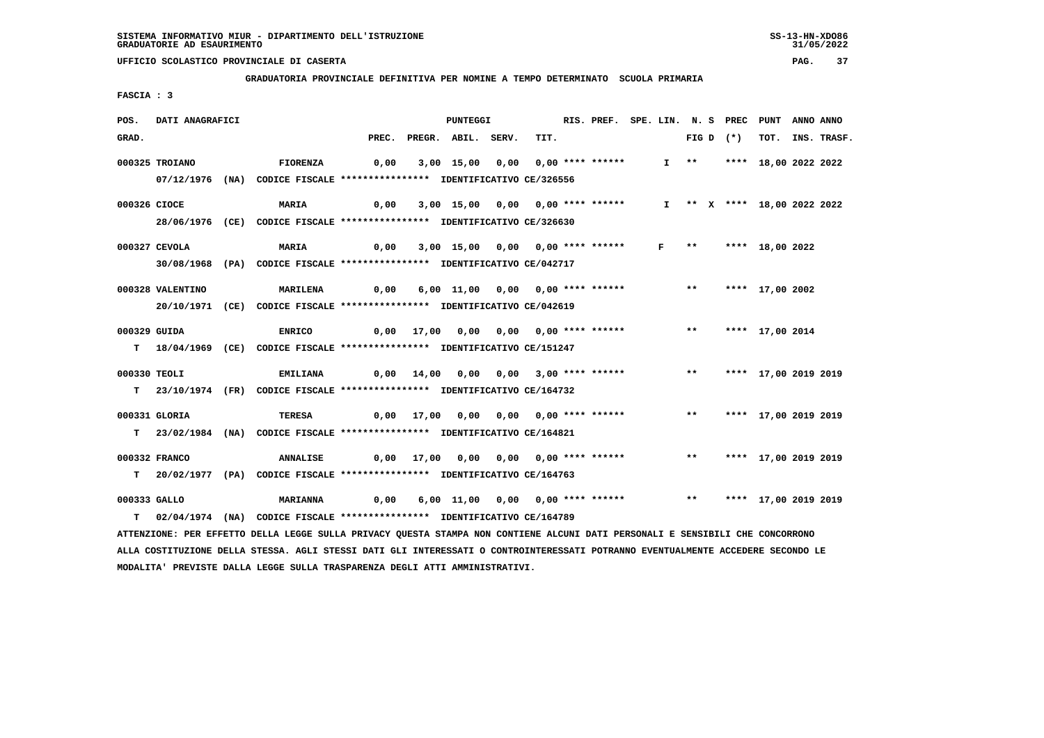**GRADUATORIA PROVINCIALE DEFINITIVA PER NOMINE A TEMPO DETERMINATO SCUOLA PRIMARIA**

 **FASCIA : 3**

| POS.  | DATI ANAGRAFICI  |                                                                                                                                 |      | <b>PUNTEGGI</b>                                                    |  |      | RIS. PREF. SPE. LIN. N. S PREC PUNT |  |              |             | ANNO ANNO                   |  |                  |
|-------|------------------|---------------------------------------------------------------------------------------------------------------------------------|------|--------------------------------------------------------------------|--|------|-------------------------------------|--|--------------|-------------|-----------------------------|--|------------------|
| GRAD. |                  |                                                                                                                                 |      | PREC. PREGR. ABIL. SERV.                                           |  | TIT. |                                     |  |              | FIG D $(*)$ |                             |  | TOT. INS. TRASF. |
|       | 000325 TROIANO   | <b>FIORENZA</b>                                                                                                                 | 0,00 | 3,00 15,00 0,00 0,00 **** ******                                   |  |      |                                     |  |              |             | I ** **** 18,00 2022 2022   |  |                  |
|       |                  |                                                                                                                                 |      |                                                                    |  |      |                                     |  |              |             |                             |  |                  |
|       |                  | 07/12/1976 (NA) CODICE FISCALE *************** IDENTIFICATIVO CE/326556                                                         |      |                                                                    |  |      |                                     |  |              |             |                             |  |                  |
|       | 000326 CIOCE     | <b>MARIA</b>                                                                                                                    | 0,00 | 3,00 15,00 0,00 0,00 **** ******                                   |  |      |                                     |  |              |             | I ** X **** 18,00 2022 2022 |  |                  |
|       |                  | 28/06/1976 (CE) CODICE FISCALE *************** IDENTIFICATIVO CE/326630                                                         |      |                                                                    |  |      |                                     |  |              |             |                             |  |                  |
|       |                  |                                                                                                                                 |      |                                                                    |  |      |                                     |  |              |             |                             |  |                  |
|       | 000327 CEVOLA    | <b>MARIA</b>                                                                                                                    | 0,00 | 3,00 15,00 0,00 0,00 **** ****** F ** **** 18,00 2022              |  |      |                                     |  |              |             |                             |  |                  |
|       |                  | 30/08/1968 (PA) CODICE FISCALE *************** IDENTIFICATIVO CE/042717                                                         |      |                                                                    |  |      |                                     |  |              |             |                             |  |                  |
|       |                  |                                                                                                                                 |      |                                                                    |  |      |                                     |  | $\star\star$ |             |                             |  |                  |
|       | 000328 VALENTINO | <b>MARILENA</b>                                                                                                                 | 0,00 | 6,00 11,00 0,00 0,00 **** ******                                   |  |      |                                     |  |              |             | **** 17,00 2002             |  |                  |
|       |                  | 20/10/1971 (CE) CODICE FISCALE *************** IDENTIFICATIVO CE/042619                                                         |      |                                                                    |  |      |                                     |  |              |             |                             |  |                  |
|       | 000329 GUIDA     | <b>ENRICO</b>                                                                                                                   |      | 0,00 17,00 0,00 0,00 0,00 **** ******                              |  |      |                                     |  |              |             | ** **** 17,00 2014          |  |                  |
|       |                  | T 18/04/1969 (CE) CODICE FISCALE *************** IDENTIFICATIVO CE/151247                                                       |      |                                                                    |  |      |                                     |  |              |             |                             |  |                  |
|       |                  |                                                                                                                                 |      |                                                                    |  |      |                                     |  |              |             |                             |  |                  |
|       | 000330 TEOLI     | <b>EMILIANA</b>                                                                                                                 |      | 0,00 14,00 0,00 0,00 3,00 **** ******                              |  |      |                                     |  |              |             | ** **** 17,00 2019 2019     |  |                  |
|       |                  | T 23/10/1974 (FR) CODICE FISCALE *************** IDENTIFICATIVO CE/164732                                                       |      |                                                                    |  |      |                                     |  |              |             |                             |  |                  |
|       |                  |                                                                                                                                 |      |                                                                    |  |      |                                     |  |              |             |                             |  |                  |
|       | 000331 GLORIA    | <b>TERESA</b>                                                                                                                   |      | 0,00 17,00 0,00 0,00 0,00 **** ******                              |  |      |                                     |  | $***$        |             | **** 17,00 2019 2019        |  |                  |
|       |                  | T 23/02/1984 (NA) CODICE FISCALE **************** IDENTIFICATIVO CE/164821                                                      |      |                                                                    |  |      |                                     |  |              |             |                             |  |                  |
|       | 000332 FRANCO    | <b>ANNALISE</b>                                                                                                                 |      |                                                                    |  |      |                                     |  |              |             | ** **** 17,00 2019 2019     |  |                  |
|       |                  |                                                                                                                                 |      | 0,00 17,00 0,00 0,00 0,00 **** ******                              |  |      |                                     |  |              |             |                             |  |                  |
|       |                  | T 20/02/1977 (PA) CODICE FISCALE **************** IDENTIFICATIVO CE/164763                                                      |      |                                                                    |  |      |                                     |  |              |             |                             |  |                  |
|       | 000333 GALLO     | <b>MARIANNA</b>                                                                                                                 |      | 0,00 6,00 11,00 0,00 0,00 **** ****** *** *** **** 17,00 2019 2019 |  |      |                                     |  |              |             |                             |  |                  |
| T.    |                  | 02/04/1974 (NA) CODICE FISCALE **************** IDENTIFICATIVO CE/164789                                                        |      |                                                                    |  |      |                                     |  |              |             |                             |  |                  |
|       |                  | ATTENZIONE: PER EFFETTO DELLA LEGGE SULLA PRIVACY QUESTA STAMPA NON CONTIENE ALCUNI DATI PERSONALI E SENSIBILI CHE CONCORRONO   |      |                                                                    |  |      |                                     |  |              |             |                             |  |                  |
|       |                  | ALLA COSTITUZIONE DELLA STESSA. AGLI STESSI DATI GLI INTERESSATI O CONTROINTERESSATI POTRANNO EVENTUALMENTE ACCEDERE SECONDO LE |      |                                                                    |  |      |                                     |  |              |             |                             |  |                  |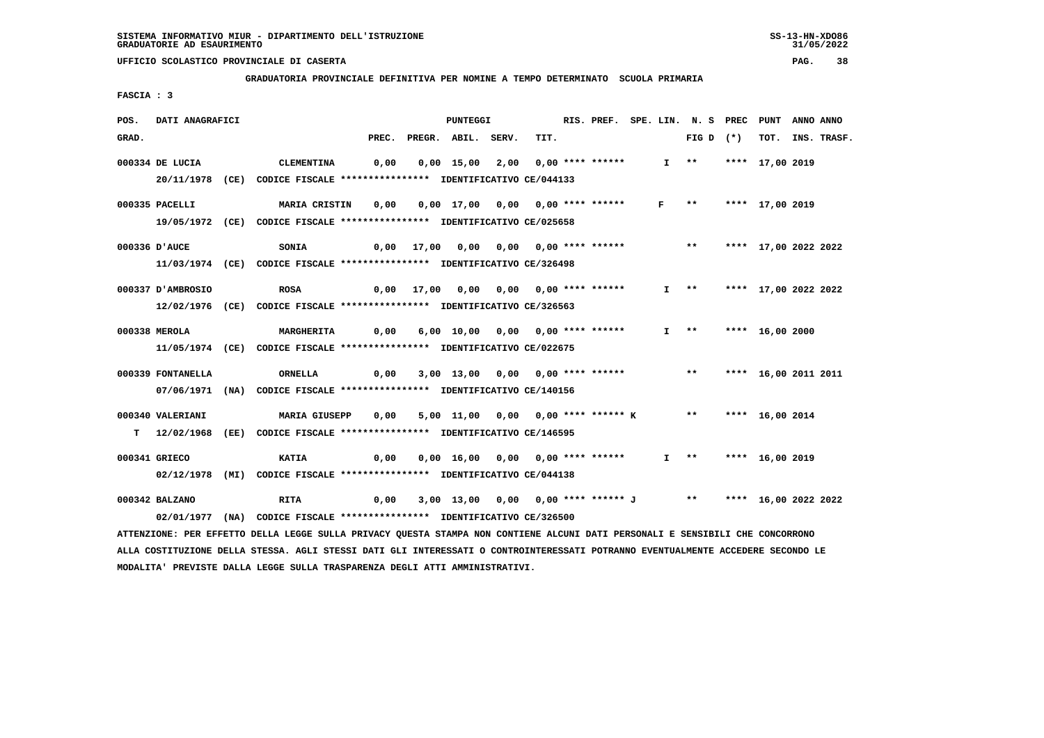**GRADUATORIA PROVINCIALE DEFINITIVA PER NOMINE A TEMPO DETERMINATO SCUOLA PRIMARIA**

 **FASCIA : 3**

| POS.  | DATI ANAGRAFICI   |                                                                                                                                 |       | PUNTEGGI                                                   |  |      |  | RIS. PREF. SPE. LIN. N. S PREC PUNT |  |                       |                        |                      | ANNO ANNO |                  |
|-------|-------------------|---------------------------------------------------------------------------------------------------------------------------------|-------|------------------------------------------------------------|--|------|--|-------------------------------------|--|-----------------------|------------------------|----------------------|-----------|------------------|
| GRAD. |                   |                                                                                                                                 | PREC. | PREGR. ABIL. SERV.                                         |  | TIT. |  |                                     |  |                       | FIG D $(*)$            |                      |           | TOT. INS. TRASF. |
|       | 000334 DE LUCIA   | <b>CLEMENTINA</b>                                                                                                               | 0,00  | $0,00$ 15,00 2,00 0,00 **** ******                         |  |      |  |                                     |  |                       | I ** **** 17,00 2019   |                      |           |                  |
|       |                   | 20/11/1978 (CE) CODICE FISCALE *************** IDENTIFICATIVO CE/044133                                                         |       |                                                            |  |      |  |                                     |  |                       |                        |                      |           |                  |
|       | 000335 PACELLI    | <b>MARIA CRISTIN</b>                                                                                                            | 0,00  | 0,00 17,00 0,00 0,00 **** ******                           |  |      |  |                                     |  | $F \rightarrow \star$ |                        | **** 17,00 2019      |           |                  |
|       |                   | 19/05/1972 (CE) CODICE FISCALE *************** IDENTIFICATIVO CE/025658                                                         |       |                                                            |  |      |  |                                     |  |                       |                        |                      |           |                  |
|       | 000336 D'AUCE     | SONIA                                                                                                                           |       |                                                            |  |      |  |                                     |  |                       |                        |                      |           |                  |
|       |                   | 11/03/1974 (CE) CODICE FISCALE *************** IDENTIFICATIVO CE/326498                                                         |       |                                                            |  |      |  |                                     |  |                       |                        |                      |           |                  |
|       | 000337 D'AMBROSIO | <b>ROSA</b>                                                                                                                     |       | 0,00 17,00 0,00 0,00 0,00 **** ******                      |  |      |  |                                     |  | $I \longrightarrow$   |                        | **** 17,00 2022 2022 |           |                  |
|       |                   | 12/02/1976 (CE) CODICE FISCALE **************** IDENTIFICATIVO CE/326563                                                        |       |                                                            |  |      |  |                                     |  |                       |                        |                      |           |                  |
|       | 000338 MEROLA     | <b>MARGHERITA</b>                                                                                                               | 0,00  | 6,00 10,00 0,00 0,00 **** ******                           |  |      |  |                                     |  |                       | $I$ ** **** 16,00 2000 |                      |           |                  |
|       |                   | 11/05/1974 (CE) CODICE FISCALE *************** IDENTIFICATIVO CE/022675                                                         |       |                                                            |  |      |  |                                     |  |                       |                        |                      |           |                  |
|       |                   |                                                                                                                                 |       |                                                            |  |      |  |                                     |  |                       |                        |                      |           |                  |
|       | 000339 FONTANELLA | ORNELLA                                                                                                                         | 0,00  | 3,00 13,00 0,00 0,00 **** ******                           |  |      |  |                                     |  | $\star\star$          |                        | **** 16,00 2011 2011 |           |                  |
|       |                   | 07/06/1971 (NA) CODICE FISCALE *************** IDENTIFICATIVO CE/140156                                                         |       |                                                            |  |      |  |                                     |  |                       |                        |                      |           |                  |
|       | 000340 VALERIANI  | <b>MARIA GIUSEPP</b>                                                                                                            | 0,00  | 5,00 11,00 0,00 0,00 **** ****** K ** **** 16,00 2014      |  |      |  |                                     |  |                       |                        |                      |           |                  |
|       |                   | T 12/02/1968 (EE) CODICE FISCALE *************** IDENTIFICATIVO CE/146595                                                       |       |                                                            |  |      |  |                                     |  |                       |                        |                      |           |                  |
|       | 000341 GRIECO     | <b>KATIA</b>                                                                                                                    | 0,00  | 0,00 16,00 0,00 0,00 **** ******                           |  |      |  |                                     |  |                       | $I$ ** **** 16,00 2019 |                      |           |                  |
|       |                   | 02/12/1978 (MI) CODICE FISCALE *************** IDENTIFICATIVO CE/044138                                                         |       |                                                            |  |      |  |                                     |  |                       |                        |                      |           |                  |
|       |                   |                                                                                                                                 |       |                                                            |  |      |  |                                     |  |                       |                        |                      |           |                  |
|       | 000342 BALZANO    | <b>RITA</b>                                                                                                                     | 0,00  | 3,00 13,00 0,00 0,00 **** ****** J ** **** 16,00 2022 2022 |  |      |  |                                     |  |                       |                        |                      |           |                  |
|       |                   | 02/01/1977 (NA) CODICE FISCALE *************** IDENTIFICATIVO CE/326500                                                         |       |                                                            |  |      |  |                                     |  |                       |                        |                      |           |                  |
|       |                   | ATTENZIONE: PER EFFETTO DELLA LEGGE SULLA PRIVACY QUESTA STAMPA NON CONTIENE ALCUNI DATI PERSONALI E SENSIBILI CHE CONCORRONO   |       |                                                            |  |      |  |                                     |  |                       |                        |                      |           |                  |
|       |                   | ALLA COSTITUZIONE DELLA STESSA. AGLI STESSI DATI GLI INTERESSATI O CONTROINTERESSATI POTRANNO EVENTUALMENTE ACCEDERE SECONDO LE |       |                                                            |  |      |  |                                     |  |                       |                        |                      |           |                  |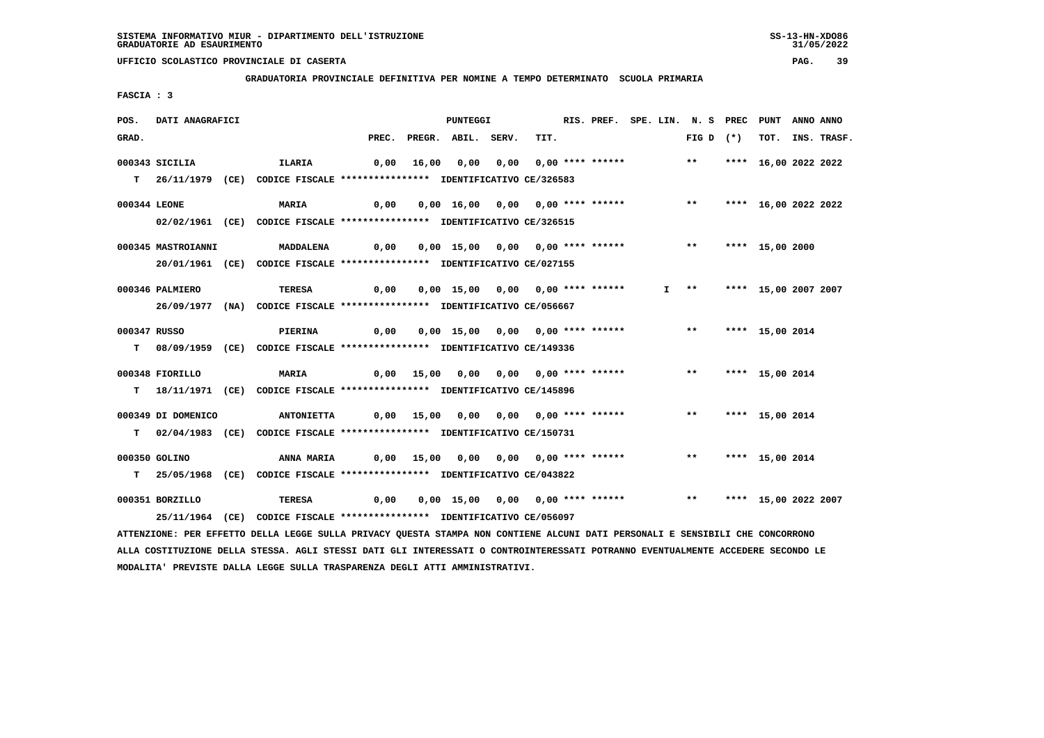**GRADUATORIA PROVINCIALE DEFINITIVA PER NOMINE A TEMPO DETERMINATO SCUOLA PRIMARIA**

 **FASCIA : 3**

| POS.         | DATI ANAGRAFICI    |                                                                                                                                 |      |  | <b>PUNTEGGI</b>                                               |  | RIS. PREF. SPE. LIN. N. S PREC PUNT |  |  |                       |                    | ANNO ANNO            |  |                  |
|--------------|--------------------|---------------------------------------------------------------------------------------------------------------------------------|------|--|---------------------------------------------------------------|--|-------------------------------------|--|--|-----------------------|--------------------|----------------------|--|------------------|
| GRAD.        |                    |                                                                                                                                 |      |  | PREC. PREGR. ABIL. SERV.                                      |  | TIT.                                |  |  |                       | FIG D $(*)$        |                      |  | TOT. INS. TRASF. |
|              | 000343 SICILIA     | ILARIA                                                                                                                          | 0,00 |  | 16,00 0,00 0,00 0,00 **** ****** *** **                       |  |                                     |  |  |                       |                    | **** 16,00 2022 2022 |  |                  |
|              |                    |                                                                                                                                 |      |  |                                                               |  |                                     |  |  |                       |                    |                      |  |                  |
|              |                    | T 26/11/1979 (CE) CODICE FISCALE **************** IDENTIFICATIVO CE/326583                                                      |      |  |                                                               |  |                                     |  |  |                       |                    |                      |  |                  |
| 000344 LEONE |                    | <b>MARIA</b>                                                                                                                    | 0,00 |  | 0,00 16,00 0,00 0,00 **** ******                              |  |                                     |  |  | $***$                 |                    | **** 16,00 2022 2022 |  |                  |
|              |                    | 02/02/1961 (CE) CODICE FISCALE *************** IDENTIFICATIVO CE/326515                                                         |      |  |                                                               |  |                                     |  |  |                       |                    |                      |  |                  |
|              |                    |                                                                                                                                 |      |  |                                                               |  |                                     |  |  |                       |                    |                      |  |                  |
|              | 000345 MASTROIANNI | MADDALENA                                                                                                                       |      |  |                                                               |  |                                     |  |  |                       | ** **** 15,00 2000 |                      |  |                  |
|              |                    | 20/01/1961 (CE) CODICE FISCALE *************** IDENTIFICATIVO CE/027155                                                         |      |  |                                                               |  |                                     |  |  |                       |                    |                      |  |                  |
|              | 000346 PALMIERO    | TERESA                                                                                                                          | 0,00 |  | 0,00 15,00 0,00 0,00 **** ******                              |  |                                     |  |  | $I \rightarrow \star$ |                    | **** 15,00 2007 2007 |  |                  |
|              |                    | 26/09/1977 (NA) CODICE FISCALE *************** IDENTIFICATIVO CE/056667                                                         |      |  |                                                               |  |                                     |  |  |                       |                    |                      |  |                  |
|              |                    |                                                                                                                                 |      |  |                                                               |  |                                     |  |  |                       |                    |                      |  |                  |
| 000347 RUSSO |                    | PIERINA                                                                                                                         | 0,00 |  | 0,00 15,00 0,00 0,00 **** ******                              |  |                                     |  |  | $\star \star$         |                    | **** 15,00 2014      |  |                  |
|              |                    | T 08/09/1959 (CE) CODICE FISCALE **************** IDENTIFICATIVO CE/149336                                                      |      |  |                                                               |  |                                     |  |  |                       |                    |                      |  |                  |
|              |                    |                                                                                                                                 |      |  |                                                               |  |                                     |  |  |                       |                    |                      |  |                  |
|              | 000348 FIORILLO    | <b>MARIA</b>                                                                                                                    |      |  | 0,00 15,00 0,00 0,00 0,00 **** ******                         |  |                                     |  |  |                       | ** **** 15,00 2014 |                      |  |                  |
|              |                    | T 18/11/1971 (CE) CODICE FISCALE *************** IDENTIFICATIVO CE/145896                                                       |      |  |                                                               |  |                                     |  |  |                       |                    |                      |  |                  |
|              | 000349 DI DOMENICO | <b>ANTONIETTA</b>                                                                                                               |      |  | 0,00 15,00 0,00 0,00 0,00 **** ******                         |  |                                     |  |  | $***$                 |                    | **** 15,00 2014      |  |                  |
|              |                    |                                                                                                                                 |      |  |                                                               |  |                                     |  |  |                       |                    |                      |  |                  |
|              |                    | T 02/04/1983 (CE) CODICE FISCALE **************** IDENTIFICATIVO CE/150731                                                      |      |  |                                                               |  |                                     |  |  |                       |                    |                      |  |                  |
|              | 000350 GOLINO      | ANNA MARIA                                                                                                                      |      |  | 0,00 15,00 0,00 0,00 0,00 **** ******                         |  |                                     |  |  |                       | ** **** 15,00 2014 |                      |  |                  |
|              |                    | T 25/05/1968 (CE) CODICE FISCALE *************** IDENTIFICATIVO CE/043822                                                       |      |  |                                                               |  |                                     |  |  |                       |                    |                      |  |                  |
|              |                    |                                                                                                                                 |      |  |                                                               |  |                                     |  |  |                       |                    |                      |  |                  |
|              | 000351 BORZILLO    | TERESA                                                                                                                          | 0,00 |  | 0,00 15,00 0,00 0,00 **** ****** *** *** **** 15,00 2022 2007 |  |                                     |  |  |                       |                    |                      |  |                  |
|              |                    | 25/11/1964 (CE) CODICE FISCALE *************** IDENTIFICATIVO CE/056097                                                         |      |  |                                                               |  |                                     |  |  |                       |                    |                      |  |                  |
|              |                    | ATTENZIONE: PER EFFETTO DELLA LEGGE SULLA PRIVACY QUESTA STAMPA NON CONTIENE ALCUNI DATI PERSONALI E SENSIBILI CHE CONCORRONO   |      |  |                                                               |  |                                     |  |  |                       |                    |                      |  |                  |
|              |                    | ALLA COSTITUZIONE DELLA STESSA. AGLI STESSI DATI GLI INTERESSATI O CONTROINTERESSATI POTRANNO EVENTUALMENTE ACCEDERE SECONDO LE |      |  |                                                               |  |                                     |  |  |                       |                    |                      |  |                  |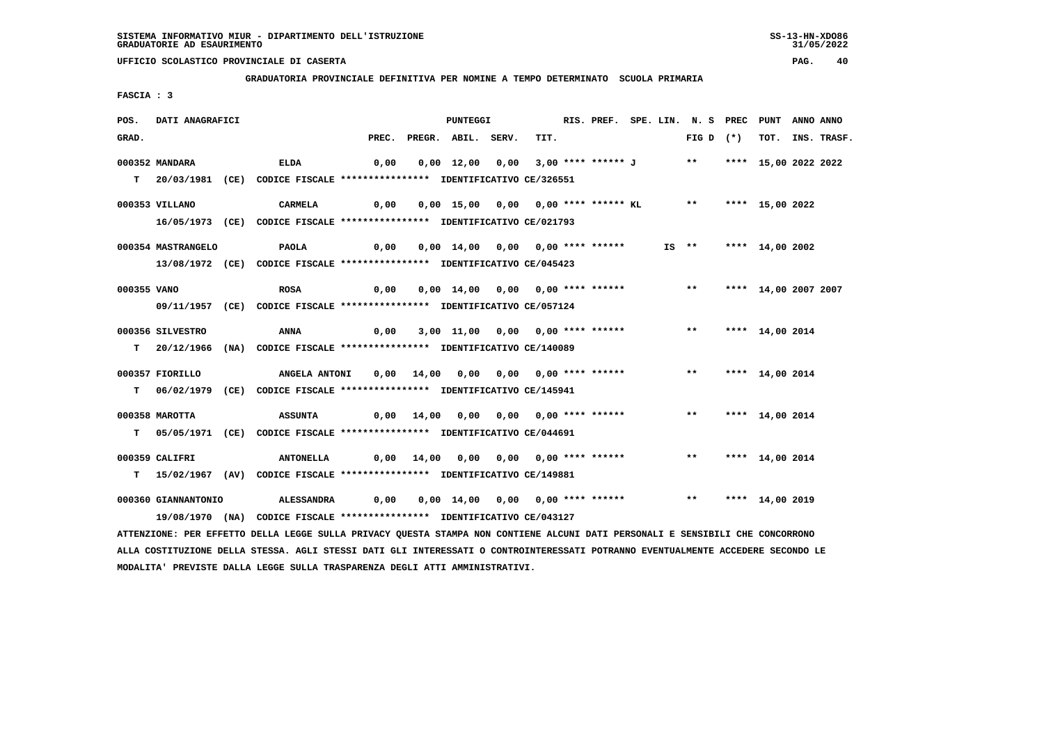**GRADUATORIA PROVINCIALE DEFINITIVA PER NOMINE A TEMPO DETERMINATO SCUOLA PRIMARIA**

 **FASCIA : 3**

| POS.        | DATI ANAGRAFICI     |                                                                                                                               |      | PUNTEGGI | RIS. PREF. SPE. LIN. N. S PREC PUNT                                     |  |      |  |  |  |  |  | ANNO ANNO             |  |                  |
|-------------|---------------------|-------------------------------------------------------------------------------------------------------------------------------|------|----------|-------------------------------------------------------------------------|--|------|--|--|--|--|--|-----------------------|--|------------------|
| GRAD.       |                     |                                                                                                                               |      |          | PREC. PREGR. ABIL. SERV.                                                |  | TIT. |  |  |  |  |  | FIG D $(*)$           |  | TOT. INS. TRASF. |
|             | 000352 MANDARA      | <b>ELDA</b>                                                                                                                   | 0,00 |          | 0,00 12,00 0,00 3,00 **** ****** J ** **** 15,00 2022 2022              |  |      |  |  |  |  |  |                       |  |                  |
|             |                     |                                                                                                                               |      |          |                                                                         |  |      |  |  |  |  |  |                       |  |                  |
|             |                     | T 20/03/1981 (CE) CODICE FISCALE **************** IDENTIFICATIVO CE/326551                                                    |      |          |                                                                         |  |      |  |  |  |  |  |                       |  |                  |
|             | 000353 VILLANO      | <b>CARMELA</b>                                                                                                                | 0,00 |          | 0,00 15,00 0,00 0,00 **** ****** KL ** **** 15,00 2022                  |  |      |  |  |  |  |  |                       |  |                  |
|             |                     | 16/05/1973 (CE) CODICE FISCALE **************** IDENTIFICATIVO CE/021793                                                      |      |          |                                                                         |  |      |  |  |  |  |  |                       |  |                  |
|             |                     |                                                                                                                               |      |          |                                                                         |  |      |  |  |  |  |  |                       |  |                  |
|             | 000354 MASTRANGELO  | PAOLA                                                                                                                         | 0,00 |          | 0,00 14,00 0,00 0,00 **** ******                                        |  |      |  |  |  |  |  | IS ** **** 14,00 2002 |  |                  |
|             |                     | 13/08/1972 (CE) CODICE FISCALE *************** IDENTIFICATIVO CE/045423                                                       |      |          |                                                                         |  |      |  |  |  |  |  |                       |  |                  |
| 000355 VANO |                     | <b>ROSA</b>                                                                                                                   |      |          | 0,00 14,00 0,00 0,00 **** ****** *** *** **** 14,00 2007 2007           |  |      |  |  |  |  |  |                       |  |                  |
|             |                     |                                                                                                                               | 0,00 |          |                                                                         |  |      |  |  |  |  |  |                       |  |                  |
|             |                     | 09/11/1957 (CE) CODICE FISCALE *************** IDENTIFICATIVO CE/057124                                                       |      |          |                                                                         |  |      |  |  |  |  |  |                       |  |                  |
|             | 000356 SILVESTRO    | ANNA                                                                                                                          | 0,00 |          | 3,00 11,00 0,00 0,00 **** ****** *** **** 14,00 2014                    |  |      |  |  |  |  |  |                       |  |                  |
|             |                     | T 20/12/1966 (NA) CODICE FISCALE *************** IDENTIFICATIVO CE/140089                                                     |      |          |                                                                         |  |      |  |  |  |  |  |                       |  |                  |
|             |                     |                                                                                                                               |      |          |                                                                         |  |      |  |  |  |  |  |                       |  |                  |
|             | 000357 FIORILLO     | <b>ANGELA ANTONI</b>                                                                                                          |      |          |                                                                         |  |      |  |  |  |  |  |                       |  |                  |
|             |                     | T 06/02/1979 (CE) CODICE FISCALE *************** IDENTIFICATIVO CE/145941                                                     |      |          |                                                                         |  |      |  |  |  |  |  |                       |  |                  |
|             |                     |                                                                                                                               |      |          |                                                                         |  |      |  |  |  |  |  |                       |  |                  |
|             | 000358 MAROTTA      | <b>ASSUNTA</b>                                                                                                                |      |          | 0,00 14,00 0,00 0,00 0,00 **** ******                                   |  |      |  |  |  |  |  | ** **** 14,00 2014    |  |                  |
|             |                     | T 05/05/1971 (CE) CODICE FISCALE **************** IDENTIFICATIVO CE/044691                                                    |      |          |                                                                         |  |      |  |  |  |  |  |                       |  |                  |
|             | 000359 CALIFRI      |                                                                                                                               |      |          |                                                                         |  |      |  |  |  |  |  |                       |  |                  |
|             |                     | <b>ANTONELLA</b>                                                                                                              |      |          |                                                                         |  |      |  |  |  |  |  |                       |  |                  |
|             |                     | T 15/02/1967 (AV) CODICE FISCALE **************** IDENTIFICATIVO CE/149881                                                    |      |          |                                                                         |  |      |  |  |  |  |  |                       |  |                  |
|             | 000360 GIANNANTONIO | <b>ALESSANDRA</b>                                                                                                             |      |          | $0,00$ $0,00$ $14,00$ $0,00$ $0,00$ **** ****** *** *** **** 14,00 2019 |  |      |  |  |  |  |  |                       |  |                  |
|             |                     | 19/08/1970 (NA) CODICE FISCALE *************** IDENTIFICATIVO CE/043127                                                       |      |          |                                                                         |  |      |  |  |  |  |  |                       |  |                  |
|             |                     | ATTENZIONE: PER EFFETTO DELLA LEGGE SULLA PRIVACY QUESTA STAMPA NON CONTIENE ALCUNI DATI PERSONALI E SENSIBILI CHE CONCORRONO |      |          |                                                                         |  |      |  |  |  |  |  |                       |  |                  |
|             |                     |                                                                                                                               |      |          |                                                                         |  |      |  |  |  |  |  |                       |  |                  |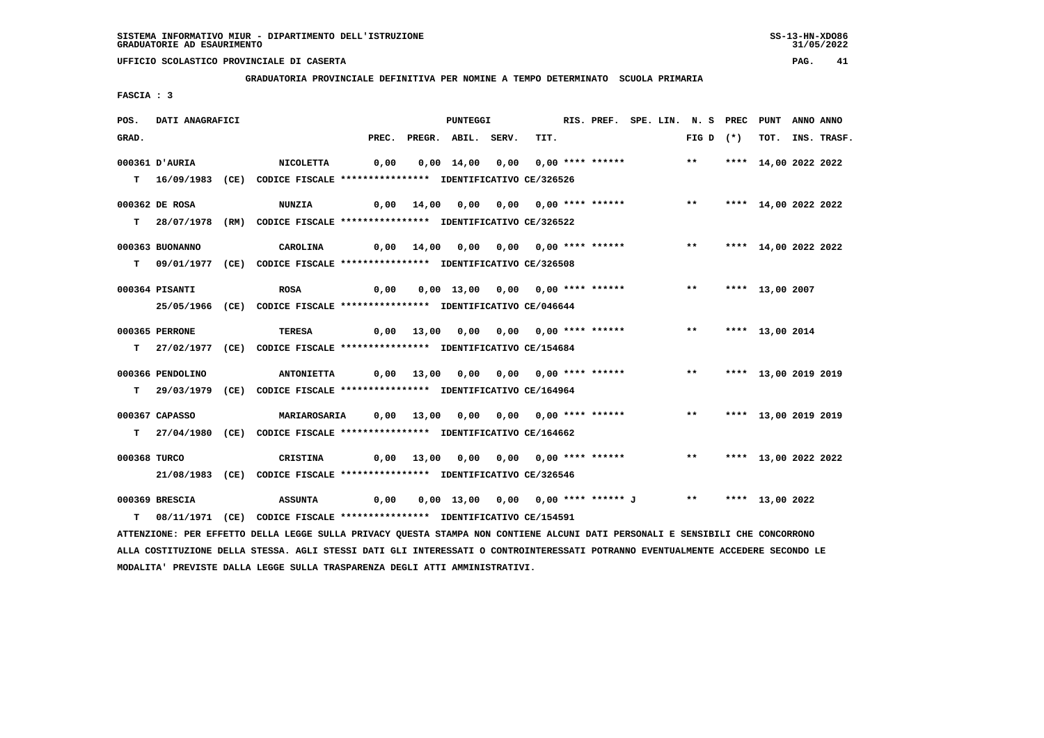**GRADUATORIA PROVINCIALE DEFINITIVA PER NOMINE A TEMPO DETERMINATO SCUOLA PRIMARIA**

 **FASCIA : 3**

| POS.         | <b>DATI ANAGRAFICI</b> |                                                                                                                               |      | <b>PUNTEGGI</b> |                                                                               |  |      | RIS. PREF. SPE. LIN. N. S PREC PUNT |  | ANNO ANNO               |                      |  |                  |
|--------------|------------------------|-------------------------------------------------------------------------------------------------------------------------------|------|-----------------|-------------------------------------------------------------------------------|--|------|-------------------------------------|--|-------------------------|----------------------|--|------------------|
| GRAD.        |                        |                                                                                                                               |      |                 | PREC. PREGR. ABIL. SERV.                                                      |  | TIT. |                                     |  | $FIG D (*)$             |                      |  | TOT. INS. TRASF. |
|              | AURIA D'AURIA          |                                                                                                                               | 0,00 |                 | 0,00 14,00 0,00 0,00 **** ****** *** **                                       |  |      |                                     |  |                         |                      |  |                  |
|              |                        | <b>NICOLETTA</b>                                                                                                              |      |                 |                                                                               |  |      |                                     |  |                         | **** 14,00 2022 2022 |  |                  |
|              |                        | T 16/09/1983 (CE) CODICE FISCALE **************** IDENTIFICATIVO CE/326526                                                    |      |                 |                                                                               |  |      |                                     |  |                         |                      |  |                  |
|              | 000362 DE ROSA         | <b>NUNZIA</b>                                                                                                                 |      | 0,00 14,00      | 0,00  0,00  0,00  ****  ******    **    ***    ***    14,00    2022    2022   |  |      |                                     |  |                         |                      |  |                  |
|              |                        | T 28/07/1978 (RM) CODICE FISCALE *************** IDENTIFICATIVO CE/326522                                                     |      |                 |                                                                               |  |      |                                     |  |                         |                      |  |                  |
|              |                        |                                                                                                                               |      |                 |                                                                               |  |      |                                     |  |                         |                      |  |                  |
|              | 000363 BUONANNO        | CAROLINA                                                                                                                      |      |                 | 0,00 14,00 0,00 0,00 0,00 **** ****** *** **                                  |  |      |                                     |  |                         | **** 14,00 2022 2022 |  |                  |
|              |                        | T 09/01/1977 (CE) CODICE FISCALE *************** IDENTIFICATIVO CE/326508                                                     |      |                 |                                                                               |  |      |                                     |  |                         |                      |  |                  |
|              | 000364 PISANTI         | <b>ROSA</b>                                                                                                                   |      |                 | 0,00 13,00 0,00 0,00 **** ******                                              |  |      |                                     |  | $\star \star$           | **** 13,00 2007      |  |                  |
|              |                        |                                                                                                                               | 0,00 |                 |                                                                               |  |      |                                     |  |                         |                      |  |                  |
|              |                        | 25/05/1966 (CE) CODICE FISCALE *************** IDENTIFICATIVO CE/046644                                                       |      |                 |                                                                               |  |      |                                     |  |                         |                      |  |                  |
|              | 000365 PERRONE         | <b>TERESA</b>                                                                                                                 |      |                 |                                                                               |  |      |                                     |  |                         |                      |  |                  |
|              |                        | T 27/02/1977 (CE) CODICE FISCALE *************** IDENTIFICATIVO CE/154684                                                     |      |                 |                                                                               |  |      |                                     |  |                         |                      |  |                  |
|              |                        |                                                                                                                               |      |                 |                                                                               |  |      |                                     |  |                         |                      |  |                  |
|              | 000366 PENDOLINO       | <b>ANTONIETTA</b>                                                                                                             |      |                 | 0,00 13,00 0,00 0,00 0,00 **** ******           **                            |  |      |                                     |  |                         | **** 13,00 2019 2019 |  |                  |
|              |                        | T 29/03/1979 (CE) CODICE FISCALE *************** IDENTIFICATIVO CE/164964                                                     |      |                 |                                                                               |  |      |                                     |  |                         |                      |  |                  |
|              | 000367 CAPASSO         | <b>MARIAROSARIA</b>                                                                                                           |      |                 |                                                                               |  |      |                                     |  |                         | **** 13,00 2019 2019 |  |                  |
|              |                        |                                                                                                                               |      |                 | 0,00 13,00 0,00 0,00 0,00 **** ****** *** **                                  |  |      |                                     |  |                         |                      |  |                  |
|              |                        | T 27/04/1980 (CE) CODICE FISCALE **************** IDENTIFICATIVO CE/164662                                                    |      |                 |                                                                               |  |      |                                     |  |                         |                      |  |                  |
| 000368 TURCO |                        | CRISTINA                                                                                                                      |      |                 | 0,00 13,00 0,00 0,00 0,00 **** ******                                         |  |      |                                     |  | ** **** 13,00 2022 2022 |                      |  |                  |
|              |                        | 21/08/1983 (CE) CODICE FISCALE *************** IDENTIFICATIVO CE/326546                                                       |      |                 |                                                                               |  |      |                                     |  |                         |                      |  |                  |
|              |                        |                                                                                                                               |      |                 |                                                                               |  |      |                                     |  |                         |                      |  |                  |
|              | 000369 BRESCIA         | <b>ASSUNTA</b>                                                                                                                |      |                 | 0,00  0,00  13,00  0,00  0,00  ****  ****** J       **      ****  13,00  2022 |  |      |                                     |  |                         |                      |  |                  |
|              |                        | T 08/11/1971 (CE) CODICE FISCALE *************** IDENTIFICATIVO CE/154591                                                     |      |                 |                                                                               |  |      |                                     |  |                         |                      |  |                  |
|              |                        | ATTENZIONE: PER EFFETTO DELLA LEGGE SULLA PRIVACY QUESTA STAMPA NON CONTIENE ALCUNI DATI PERSONALI E SENSIBILI CHE CONCORRONO |      |                 |                                                                               |  |      |                                     |  |                         |                      |  |                  |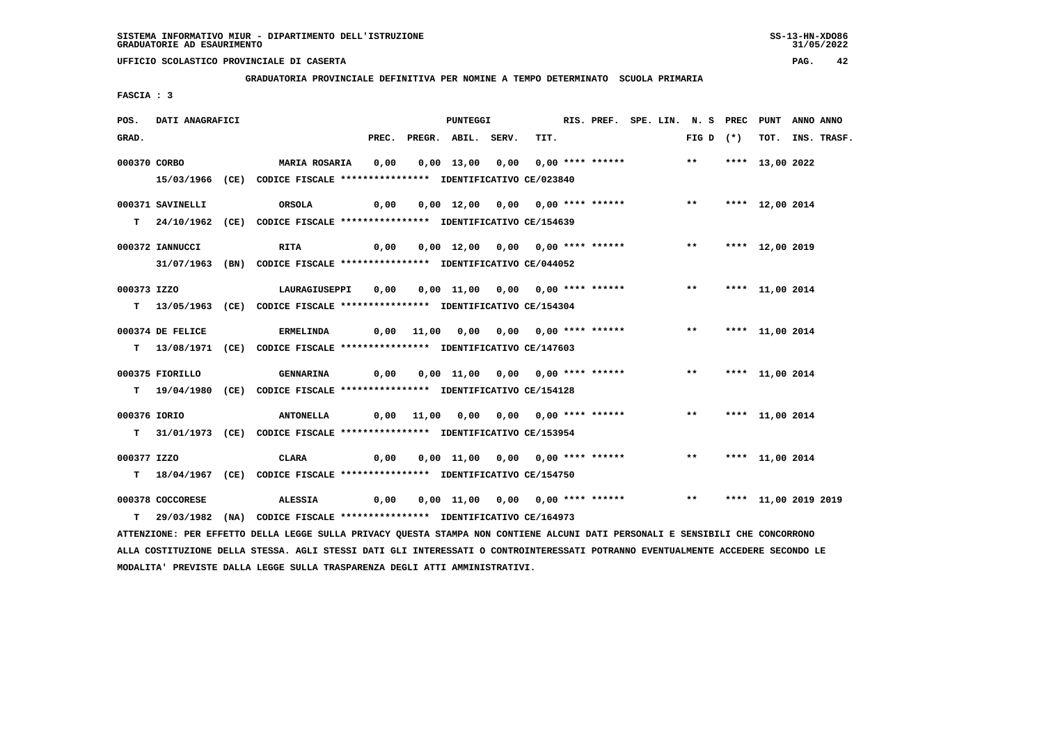**GRADUATORIA PROVINCIALE DEFINITIVA PER NOMINE A TEMPO DETERMINATO SCUOLA PRIMARIA**

 **FASCIA : 3**

| POS.         | DATI ANAGRAFICI  |                                                                                                                               | PUNTEGGI |                                                                          |  |      | RIS. PREF. SPE. LIN. N. S PREC PUNT |  | ANNO ANNO          |                 |  |                  |
|--------------|------------------|-------------------------------------------------------------------------------------------------------------------------------|----------|--------------------------------------------------------------------------|--|------|-------------------------------------|--|--------------------|-----------------|--|------------------|
| GRAD.        |                  |                                                                                                                               |          | PREC. PREGR. ABIL. SERV.                                                 |  | TIT. |                                     |  | FIG D $(*)$        |                 |  | TOT. INS. TRASF. |
|              | 000370 CORBO     | MARIA ROSARIA                                                                                                                 | 0,00     | 0,00 13,00 0,00 0,00 **** ******                                         |  |      |                                     |  | $\star\star$       | **** 13,00 2022 |  |                  |
|              |                  | 15/03/1966 (CE) CODICE FISCALE *************** IDENTIFICATIVO CE/023840                                                       |          |                                                                          |  |      |                                     |  |                    |                 |  |                  |
|              | 000371 SAVINELLI | ORSOLA                                                                                                                        | 0,00     | 0,00 12,00 0,00 0,00 **** ******                                         |  |      |                                     |  | $\star \star$      | **** 12,00 2014 |  |                  |
|              |                  | T 24/10/1962 (CE) CODICE FISCALE *************** IDENTIFICATIVO CE/154639                                                     |          |                                                                          |  |      |                                     |  |                    |                 |  |                  |
|              | 000372 IANNUCCI  | <b>RITA</b>                                                                                                                   | 0,00     | 0,00 12,00 0,00 0,00 **** ****** *** *** **** 12,00 2019                 |  |      |                                     |  |                    |                 |  |                  |
|              |                  | 31/07/1963 (BN) CODICE FISCALE *************** IDENTIFICATIVO CE/044052                                                       |          |                                                                          |  |      |                                     |  |                    |                 |  |                  |
| 000373 IZZO  |                  | LAURAGIUSEPPI                                                                                                                 | 0,00     | 0,00 11,00 0,00 0,00 **** ******                                         |  |      |                                     |  | ** **** 11,00 2014 |                 |  |                  |
|              |                  | T 13/05/1963 (CE) CODICE FISCALE *************** IDENTIFICATIVO CE/154304                                                     |          |                                                                          |  |      |                                     |  |                    |                 |  |                  |
|              | 000374 DE FELICE | <b>ERMELINDA</b>                                                                                                              |          | 0,00 11,00 0,00 0,00 0,00 **** ******           **                       |  |      |                                     |  |                    | **** 11,00 2014 |  |                  |
|              |                  | T 13/08/1971 (CE) CODICE FISCALE *************** IDENTIFICATIVO CE/147603                                                     |          |                                                                          |  |      |                                     |  |                    |                 |  |                  |
|              | 000375 FIORILLO  | <b>GENNARINA</b>                                                                                                              | 0,00     | 0,00 11,00 0,00 0,00 **** ******                                         |  |      |                                     |  | $***$              | **** 11,00 2014 |  |                  |
|              |                  | T 19/04/1980 (CE) CODICE FISCALE **************** IDENTIFICATIVO CE/154128                                                    |          |                                                                          |  |      |                                     |  |                    |                 |  |                  |
| 000376 IORIO |                  | <b>ANTONELLA</b>                                                                                                              |          | 0,00 11,00 0,00 0,00 0,00 **** ******                                    |  |      |                                     |  | ** **** 11,00 2014 |                 |  |                  |
|              |                  | T 31/01/1973 (CE) CODICE FISCALE *************** IDENTIFICATIVO CE/153954                                                     |          |                                                                          |  |      |                                     |  |                    |                 |  |                  |
| 000377 IZZO  |                  | CLARA                                                                                                                         | 0,00     | 0,00 11,00 0,00 0,00 **** ******               **       *** 11,00 2014   |  |      |                                     |  |                    |                 |  |                  |
|              |                  | T 18/04/1967 (CE) CODICE FISCALE **************** IDENTIFICATIVO CE/154750                                                    |          |                                                                          |  |      |                                     |  |                    |                 |  |                  |
|              | 000378 COCCORESE | <b>ALESSIA</b>                                                                                                                | 0,00     | 0,00 11,00 0,00 0,00 **** ******             **     **** 11,00 2019 2019 |  |      |                                     |  |                    |                 |  |                  |
|              |                  | T 29/03/1982 (NA) CODICE FISCALE *************** IDENTIFICATIVO CE/164973                                                     |          |                                                                          |  |      |                                     |  |                    |                 |  |                  |
|              |                  | ATTENZIONE: PER EFFETTO DELLA LEGGE SULLA PRIVACY QUESTA STAMPA NON CONTIENE ALCUNI DATI PERSONALI E SENSIBILI CHE CONCORRONO |          |                                                                          |  |      |                                     |  |                    |                 |  |                  |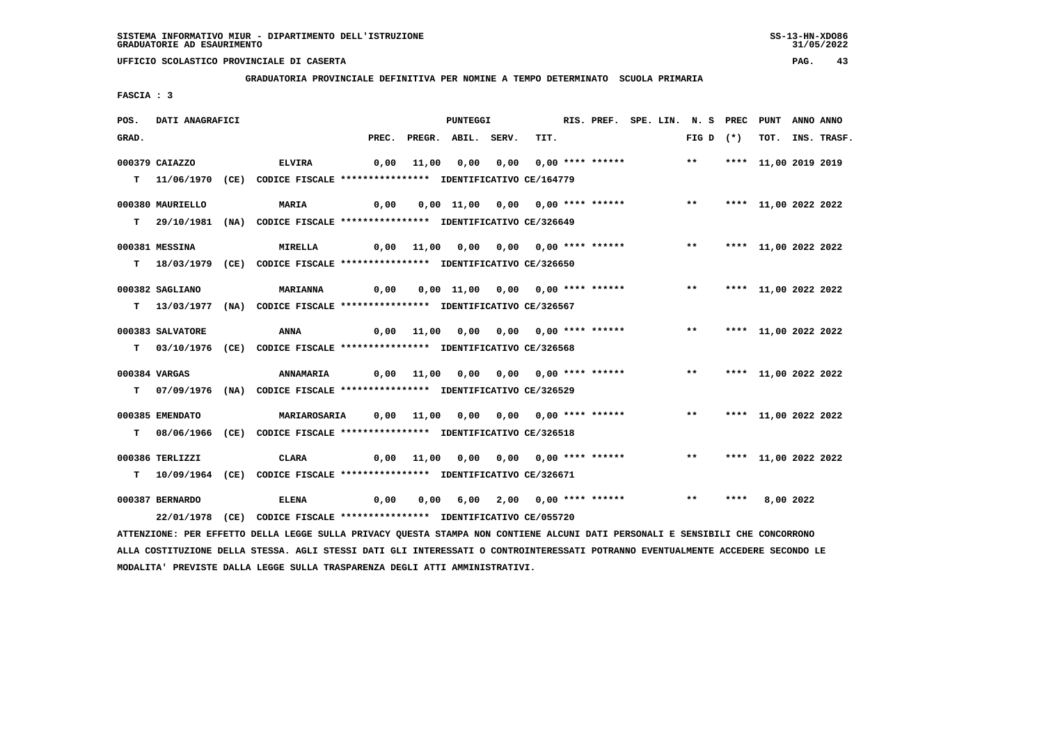**GRADUATORIA PROVINCIALE DEFINITIVA PER NOMINE A TEMPO DETERMINATO SCUOLA PRIMARIA**

 **FASCIA : 3**

| POS.  | DATI ANAGRAFICI  |                                                                                                                               |       | PUNTEGGI |                                           | RIS. PREF. SPE. LIN. N. S PREC PUNT |                                 |  |  |                         | ANNO ANNO |                      |           |             |
|-------|------------------|-------------------------------------------------------------------------------------------------------------------------------|-------|----------|-------------------------------------------|-------------------------------------|---------------------------------|--|--|-------------------------|-----------|----------------------|-----------|-------------|
| GRAD. |                  |                                                                                                                               | PREC. |          | PREGR. ABIL. SERV.                        |                                     | TIT.                            |  |  | FIG D $(*)$             |           | TOT.                 |           | INS. TRASF. |
|       | 000379 CAIAZZO   | <b>ELVIRA</b>                                                                                                                 | 0,00  | 11,00    | 0,00                                      |                                     | $0,00$ $0,00$ **** ****** ** ** |  |  |                         |           | **** 11,00 2019 2019 |           |             |
|       |                  |                                                                                                                               |       |          |                                           |                                     |                                 |  |  |                         |           |                      |           |             |
|       |                  | T 11/06/1970 (CE) CODICE FISCALE *************** IDENTIFICATIVO CE/164779                                                     |       |          |                                           |                                     |                                 |  |  |                         |           |                      |           |             |
|       | 000380 MAURIELLO | <b>MARIA</b>                                                                                                                  | 0,00  |          | $0,00$ 11,00 0,00 0,00 **** ****** *** ** |                                     |                                 |  |  |                         |           | **** 11,00 2022 2022 |           |             |
|       |                  | T 29/10/1981 (NA) CODICE FISCALE *************** IDENTIFICATIVO CE/326649                                                     |       |          |                                           |                                     |                                 |  |  |                         |           |                      |           |             |
|       |                  |                                                                                                                               |       |          |                                           |                                     |                                 |  |  |                         |           |                      |           |             |
|       | 000381 MESSINA   | <b>MIRELLA</b>                                                                                                                |       |          | 0,00 11,00 0,00 0,00 0,00 **** ******     |                                     |                                 |  |  | $***$                   |           | **** 11,00 2022 2022 |           |             |
|       |                  | T 18/03/1979 (CE) CODICE FISCALE **************** IDENTIFICATIVO CE/326650                                                    |       |          |                                           |                                     |                                 |  |  |                         |           |                      |           |             |
|       |                  |                                                                                                                               |       |          |                                           |                                     |                                 |  |  |                         |           |                      |           |             |
|       | 000382 SAGLIANO  | <b>MARIANNA</b>                                                                                                               | 0,00  |          | 0,00 11,00 0,00 0,00 **** ******          |                                     |                                 |  |  | ** **** 11,00 2022 2022 |           |                      |           |             |
|       | T 13/03/1977     | (NA) CODICE FISCALE **************** IDENTIFICATIVO CE/326567                                                                 |       |          |                                           |                                     |                                 |  |  |                         |           |                      |           |             |
|       | 000383 SALVATORE |                                                                                                                               |       |          |                                           |                                     |                                 |  |  |                         |           | **** 11,00 2022 2022 |           |             |
|       |                  | ANNA                                                                                                                          | 0,00  | 11,00    |                                           |                                     |                                 |  |  |                         |           |                      |           |             |
|       |                  | T 03/10/1976 (CE) CODICE FISCALE **************** IDENTIFICATIVO CE/326568                                                    |       |          |                                           |                                     |                                 |  |  |                         |           |                      |           |             |
|       | 000384 VARGAS    | <b>ANNAMARIA</b>                                                                                                              |       |          | 0,00 11,00 0,00 0,00 0,00 **** ******     |                                     |                                 |  |  | $***$                   |           | **** 11,00 2022 2022 |           |             |
|       |                  | T 07/09/1976 (NA) CODICE FISCALE *************** IDENTIFICATIVO CE/326529                                                     |       |          |                                           |                                     |                                 |  |  |                         |           |                      |           |             |
|       |                  |                                                                                                                               |       |          |                                           |                                     |                                 |  |  |                         |           |                      |           |             |
|       | 000385 EMENDATO  | <b>MARIAROSARIA</b>                                                                                                           |       |          | 0,00 11,00 0,00 0,00 0,00 **** ******     |                                     |                                 |  |  | $\star \star$           |           | **** 11,00 2022 2022 |           |             |
|       |                  | T 08/06/1966 (CE) CODICE FISCALE **************** IDENTIFICATIVO CE/326518                                                    |       |          |                                           |                                     |                                 |  |  |                         |           |                      |           |             |
|       |                  |                                                                                                                               |       |          |                                           |                                     |                                 |  |  |                         |           |                      |           |             |
|       | 000386 TERLIZZI  | CLARA                                                                                                                         | 0,00  | 11,00    | 0,00 0,00 0,00 **** ****** ** ** **       |                                     |                                 |  |  |                         |           | **** 11,00 2022 2022 |           |             |
| T.    |                  | 10/09/1964 (CE) CODICE FISCALE **************** IDENTIFICATIVO CE/326671                                                      |       |          |                                           |                                     |                                 |  |  |                         |           |                      |           |             |
|       | 000387 BERNARDO  | <b>ELENA</b>                                                                                                                  | 0,00  | 0,00     | 6,00 2,00 0,00 **** ******                |                                     |                                 |  |  | $***$                   | ****      |                      | 8,00 2022 |             |
|       | 22/01/1978 (CE)  | CODICE FISCALE **************** IDENTIFICATIVO CE/055720                                                                      |       |          |                                           |                                     |                                 |  |  |                         |           |                      |           |             |
|       |                  |                                                                                                                               |       |          |                                           |                                     |                                 |  |  |                         |           |                      |           |             |
|       |                  | ATTENZIONE: PER EFFETTO DELLA LEGGE SULLA PRIVACY QUESTA STAMPA NON CONTIENE ALCUNI DATI PERSONALI E SENSIBILI CHE CONCORRONO |       |          |                                           |                                     |                                 |  |  |                         |           |                      |           |             |